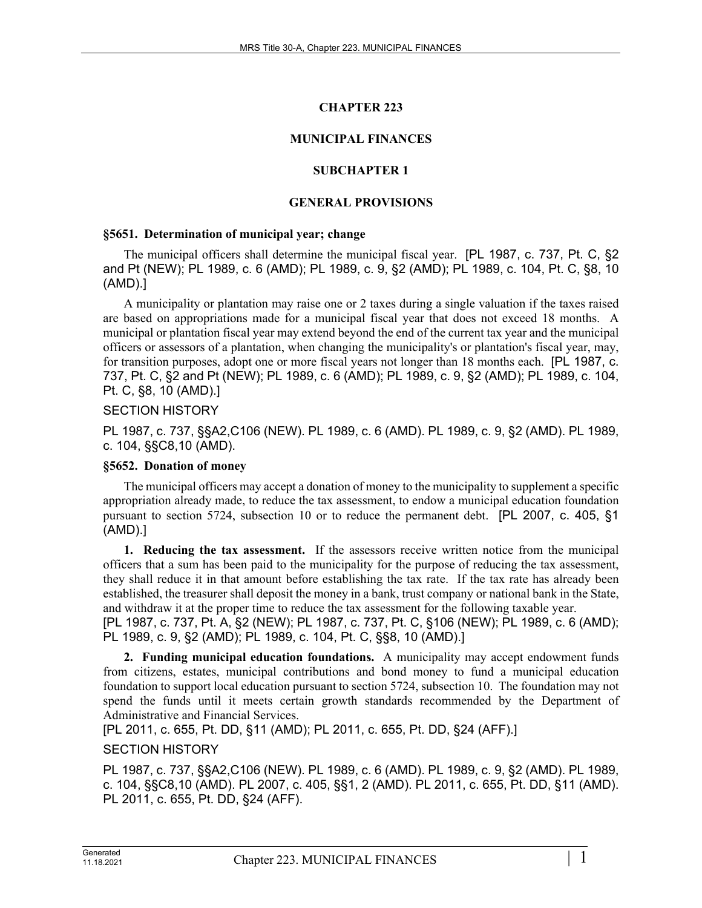# **CHAPTER 223**

# **MUNICIPAL FINANCES**

# **SUBCHAPTER 1**

# **GENERAL PROVISIONS**

### **§5651. Determination of municipal year; change**

The municipal officers shall determine the municipal fiscal year. [PL 1987, c. 737, Pt. C, §2 and Pt (NEW); PL 1989, c. 6 (AMD); PL 1989, c. 9, §2 (AMD); PL 1989, c. 104, Pt. C, §8, 10 (AMD).]

A municipality or plantation may raise one or 2 taxes during a single valuation if the taxes raised are based on appropriations made for a municipal fiscal year that does not exceed 18 months. A municipal or plantation fiscal year may extend beyond the end of the current tax year and the municipal officers or assessors of a plantation, when changing the municipality's or plantation's fiscal year, may, for transition purposes, adopt one or more fiscal years not longer than 18 months each. [PL 1987, c. 737, Pt. C, §2 and Pt (NEW); PL 1989, c. 6 (AMD); PL 1989, c. 9, §2 (AMD); PL 1989, c. 104, Pt. C, §8, 10 (AMD).]

### SECTION HISTORY

PL 1987, c. 737, §§A2,C106 (NEW). PL 1989, c. 6 (AMD). PL 1989, c. 9, §2 (AMD). PL 1989, c. 104, §§C8,10 (AMD).

### **§5652. Donation of money**

The municipal officers may accept a donation of money to the municipality to supplement a specific appropriation already made, to reduce the tax assessment, to endow a municipal education foundation pursuant to section 5724, subsection 10 or to reduce the permanent debt. [PL 2007, c. 405, §1 (AMD).]

**1. Reducing the tax assessment.** If the assessors receive written notice from the municipal officers that a sum has been paid to the municipality for the purpose of reducing the tax assessment, they shall reduce it in that amount before establishing the tax rate. If the tax rate has already been established, the treasurer shall deposit the money in a bank, trust company or national bank in the State, and withdraw it at the proper time to reduce the tax assessment for the following taxable year.

[PL 1987, c. 737, Pt. A, §2 (NEW); PL 1987, c. 737, Pt. C, §106 (NEW); PL 1989, c. 6 (AMD); PL 1989, c. 9, §2 (AMD); PL 1989, c. 104, Pt. C, §§8, 10 (AMD).]

**2. Funding municipal education foundations.** A municipality may accept endowment funds from citizens, estates, municipal contributions and bond money to fund a municipal education foundation to support local education pursuant to section 5724, subsection 10. The foundation may not spend the funds until it meets certain growth standards recommended by the Department of Administrative and Financial Services.

[PL 2011, c. 655, Pt. DD, §11 (AMD); PL 2011, c. 655, Pt. DD, §24 (AFF).]

# SECTION HISTORY

PL 1987, c. 737, §§A2,C106 (NEW). PL 1989, c. 6 (AMD). PL 1989, c. 9, §2 (AMD). PL 1989, c. 104, §§C8,10 (AMD). PL 2007, c. 405, §§1, 2 (AMD). PL 2011, c. 655, Pt. DD, §11 (AMD). PL 2011, c. 655, Pt. DD, §24 (AFF).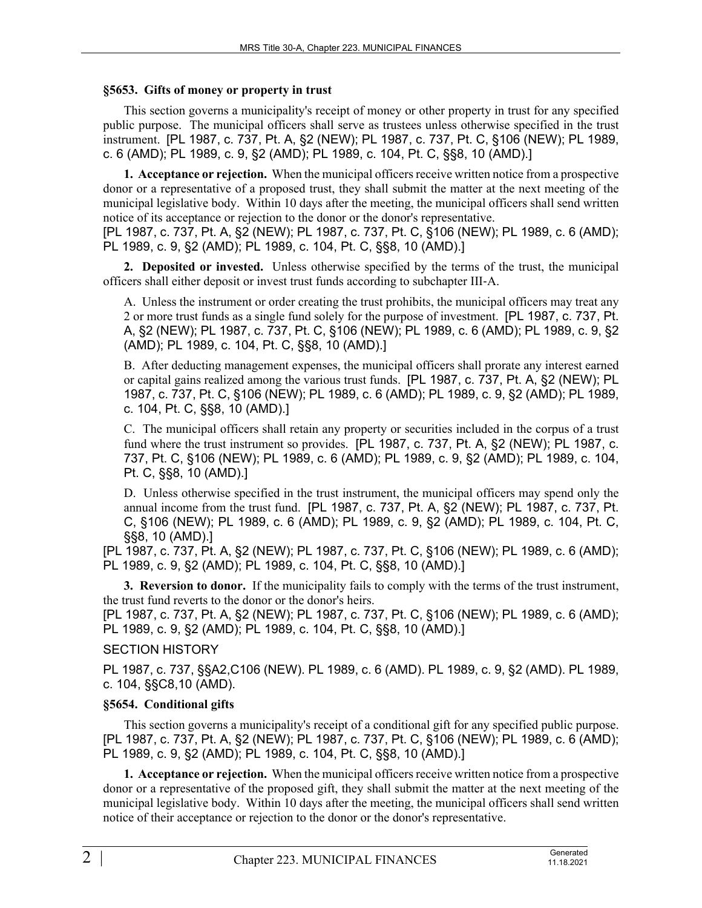#### **§5653. Gifts of money or property in trust**

This section governs a municipality's receipt of money or other property in trust for any specified public purpose. The municipal officers shall serve as trustees unless otherwise specified in the trust instrument. [PL 1987, c. 737, Pt. A, §2 (NEW); PL 1987, c. 737, Pt. C, §106 (NEW); PL 1989, c. 6 (AMD); PL 1989, c. 9, §2 (AMD); PL 1989, c. 104, Pt. C, §§8, 10 (AMD).]

**1. Acceptance or rejection.** When the municipal officers receive written notice from a prospective donor or a representative of a proposed trust, they shall submit the matter at the next meeting of the municipal legislative body. Within 10 days after the meeting, the municipal officers shall send written notice of its acceptance or rejection to the donor or the donor's representative.

[PL 1987, c. 737, Pt. A, §2 (NEW); PL 1987, c. 737, Pt. C, §106 (NEW); PL 1989, c. 6 (AMD); PL 1989, c. 9, §2 (AMD); PL 1989, c. 104, Pt. C, §§8, 10 (AMD).]

**2. Deposited or invested.** Unless otherwise specified by the terms of the trust, the municipal officers shall either deposit or invest trust funds according to subchapter III‑A.

A. Unless the instrument or order creating the trust prohibits, the municipal officers may treat any 2 or more trust funds as a single fund solely for the purpose of investment. [PL 1987, c. 737, Pt. A, §2 (NEW); PL 1987, c. 737, Pt. C, §106 (NEW); PL 1989, c. 6 (AMD); PL 1989, c. 9, §2 (AMD); PL 1989, c. 104, Pt. C, §§8, 10 (AMD).]

B. After deducting management expenses, the municipal officers shall prorate any interest earned or capital gains realized among the various trust funds. [PL 1987, c. 737, Pt. A, §2 (NEW); PL 1987, c. 737, Pt. C, §106 (NEW); PL 1989, c. 6 (AMD); PL 1989, c. 9, §2 (AMD); PL 1989, c. 104, Pt. C, §§8, 10 (AMD).]

C. The municipal officers shall retain any property or securities included in the corpus of a trust fund where the trust instrument so provides. [PL 1987, c. 737, Pt. A, §2 (NEW); PL 1987, c. 737, Pt. C, §106 (NEW); PL 1989, c. 6 (AMD); PL 1989, c. 9, §2 (AMD); PL 1989, c. 104, Pt. C, §§8, 10 (AMD).]

D. Unless otherwise specified in the trust instrument, the municipal officers may spend only the annual income from the trust fund. [PL 1987, c. 737, Pt. A, §2 (NEW); PL 1987, c. 737, Pt. C, §106 (NEW); PL 1989, c. 6 (AMD); PL 1989, c. 9, §2 (AMD); PL 1989, c. 104, Pt. C, §§8, 10 (AMD).]

[PL 1987, c. 737, Pt. A, §2 (NEW); PL 1987, c. 737, Pt. C, §106 (NEW); PL 1989, c. 6 (AMD); PL 1989, c. 9, §2 (AMD); PL 1989, c. 104, Pt. C, §§8, 10 (AMD).]

**3. Reversion to donor.** If the municipality fails to comply with the terms of the trust instrument, the trust fund reverts to the donor or the donor's heirs.

[PL 1987, c. 737, Pt. A, §2 (NEW); PL 1987, c. 737, Pt. C, §106 (NEW); PL 1989, c. 6 (AMD); PL 1989, c. 9, §2 (AMD); PL 1989, c. 104, Pt. C, §§8, 10 (AMD).]

### SECTION HISTORY

PL 1987, c. 737, §§A2,C106 (NEW). PL 1989, c. 6 (AMD). PL 1989, c. 9, §2 (AMD). PL 1989, c. 104, §§C8,10 (AMD).

### **§5654. Conditional gifts**

This section governs a municipality's receipt of a conditional gift for any specified public purpose. [PL 1987, c. 737, Pt. A, §2 (NEW); PL 1987, c. 737, Pt. C, §106 (NEW); PL 1989, c. 6 (AMD); PL 1989, c. 9, §2 (AMD); PL 1989, c. 104, Pt. C, §§8, 10 (AMD).]

**1. Acceptance or rejection.** When the municipal officers receive written notice from a prospective donor or a representative of the proposed gift, they shall submit the matter at the next meeting of the municipal legislative body. Within 10 days after the meeting, the municipal officers shall send written notice of their acceptance or rejection to the donor or the donor's representative.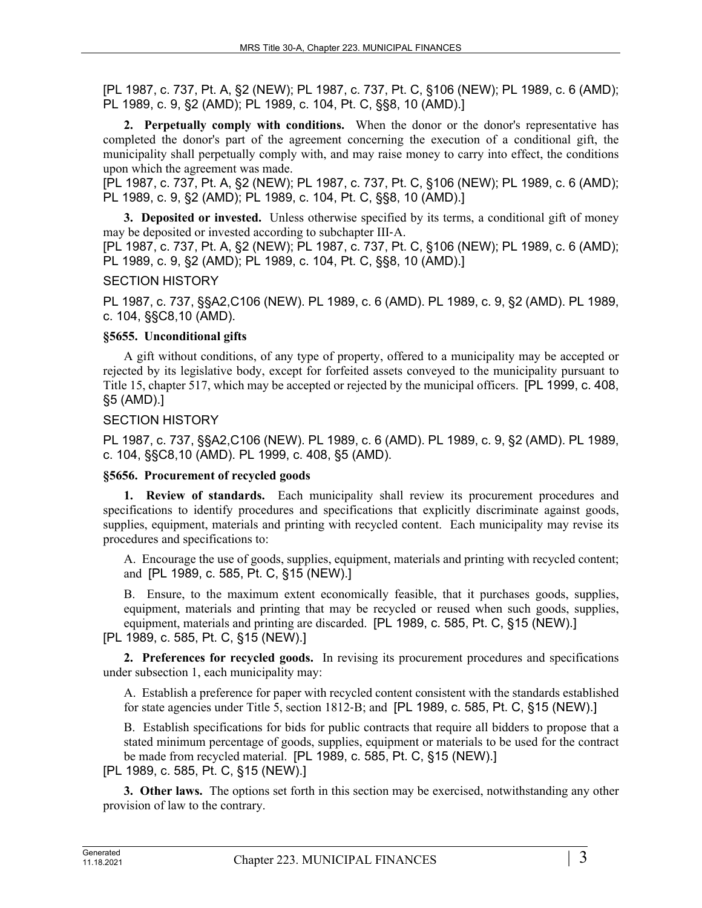**2. Perpetually comply with conditions.** When the donor or the donor's representative has completed the donor's part of the agreement concerning the execution of a conditional gift, the municipality shall perpetually comply with, and may raise money to carry into effect, the conditions upon which the agreement was made.

[PL 1987, c. 737, Pt. A, §2 (NEW); PL 1987, c. 737, Pt. C, §106 (NEW); PL 1989, c. 6 (AMD); PL 1989, c. 9, §2 (AMD); PL 1989, c. 104, Pt. C, §§8, 10 (AMD).]

**3. Deposited or invested.** Unless otherwise specified by its terms, a conditional gift of money may be deposited or invested according to subchapter III‑A.

[PL 1987, c. 737, Pt. A, §2 (NEW); PL 1987, c. 737, Pt. C, §106 (NEW); PL 1989, c. 6 (AMD); PL 1989, c. 9, §2 (AMD); PL 1989, c. 104, Pt. C, §§8, 10 (AMD).]

### SECTION HISTORY

PL 1987, c. 737, §§A2,C106 (NEW). PL 1989, c. 6 (AMD). PL 1989, c. 9, §2 (AMD). PL 1989, c. 104, §§C8,10 (AMD).

### **§5655. Unconditional gifts**

A gift without conditions, of any type of property, offered to a municipality may be accepted or rejected by its legislative body, except for forfeited assets conveyed to the municipality pursuant to Title 15, chapter 517, which may be accepted or rejected by the municipal officers. [PL 1999, c. 408, §5 (AMD).]

#### SECTION HISTORY

PL 1987, c. 737, §§A2,C106 (NEW). PL 1989, c. 6 (AMD). PL 1989, c. 9, §2 (AMD). PL 1989, c. 104, §§C8,10 (AMD). PL 1999, c. 408, §5 (AMD).

### **§5656. Procurement of recycled goods**

**1. Review of standards.** Each municipality shall review its procurement procedures and specifications to identify procedures and specifications that explicitly discriminate against goods, supplies, equipment, materials and printing with recycled content. Each municipality may revise its procedures and specifications to:

A. Encourage the use of goods, supplies, equipment, materials and printing with recycled content; and [PL 1989, c. 585, Pt. C, §15 (NEW).]

B. Ensure, to the maximum extent economically feasible, that it purchases goods, supplies, equipment, materials and printing that may be recycled or reused when such goods, supplies, equipment, materials and printing are discarded. [PL 1989, c. 585, Pt. C, §15 (NEW).]

[PL 1989, c. 585, Pt. C, §15 (NEW).]

**2. Preferences for recycled goods.** In revising its procurement procedures and specifications under subsection 1, each municipality may:

A. Establish a preference for paper with recycled content consistent with the standards established for state agencies under Title 5, section 1812-B; and JPL 1989, c. 585, Pt. C, §15 (NEW).]

B. Establish specifications for bids for public contracts that require all bidders to propose that a stated minimum percentage of goods, supplies, equipment or materials to be used for the contract be made from recycled material. [PL 1989, c. 585, Pt. C, §15 (NEW).]

[PL 1989, c. 585, Pt. C, §15 (NEW).]

**3. Other laws.** The options set forth in this section may be exercised, notwithstanding any other provision of law to the contrary.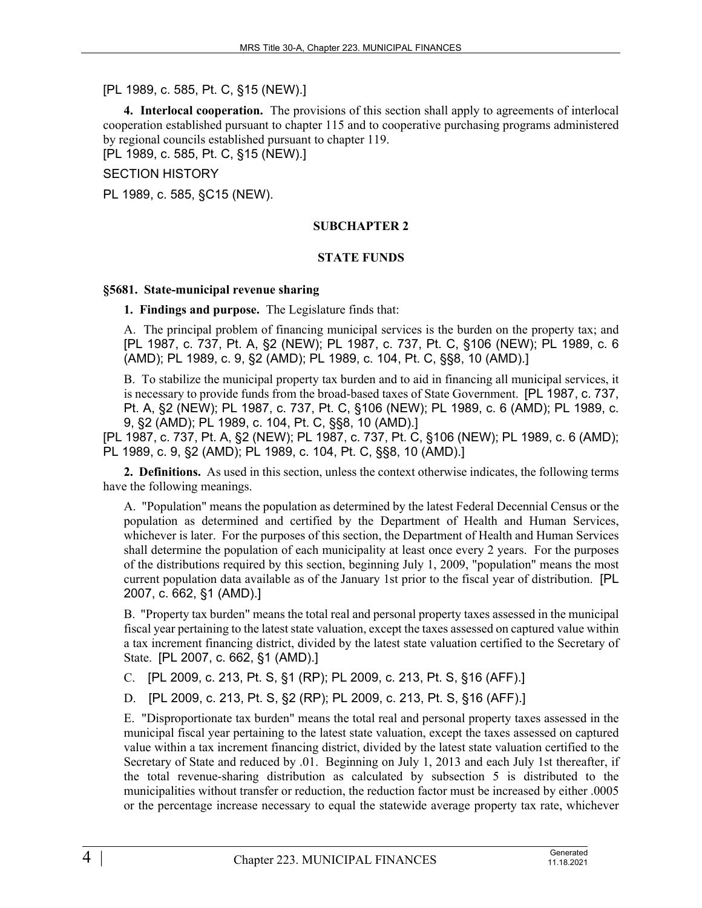### [PL 1989, c. 585, Pt. C, §15 (NEW).]

**4. Interlocal cooperation.** The provisions of this section shall apply to agreements of interlocal cooperation established pursuant to chapter 115 and to cooperative purchasing programs administered by regional councils established pursuant to chapter 119.

[PL 1989, c. 585, Pt. C, §15 (NEW).]

SECTION HISTORY

PL 1989, c. 585, §C15 (NEW).

#### **SUBCHAPTER 2**

### **STATE FUNDS**

#### **§5681. State-municipal revenue sharing**

**1. Findings and purpose.** The Legislature finds that:

A. The principal problem of financing municipal services is the burden on the property tax; and [PL 1987, c. 737, Pt. A, §2 (NEW); PL 1987, c. 737, Pt. C, §106 (NEW); PL 1989, c. 6 (AMD); PL 1989, c. 9, §2 (AMD); PL 1989, c. 104, Pt. C, §§8, 10 (AMD).]

B. To stabilize the municipal property tax burden and to aid in financing all municipal services, it is necessary to provide funds from the broad-based taxes of State Government. [PL 1987, c. 737, Pt. A, §2 (NEW); PL 1987, c. 737, Pt. C, §106 (NEW); PL 1989, c. 6 (AMD); PL 1989, c. 9, §2 (AMD); PL 1989, c. 104, Pt. C, §§8, 10 (AMD).]

[PL 1987, c. 737, Pt. A, §2 (NEW); PL 1987, c. 737, Pt. C, §106 (NEW); PL 1989, c. 6 (AMD); PL 1989, c. 9, §2 (AMD); PL 1989, c. 104, Pt. C, §§8, 10 (AMD).]

**2. Definitions.** As used in this section, unless the context otherwise indicates, the following terms have the following meanings.

A. "Population" means the population as determined by the latest Federal Decennial Census or the population as determined and certified by the Department of Health and Human Services, whichever is later. For the purposes of this section, the Department of Health and Human Services shall determine the population of each municipality at least once every 2 years. For the purposes of the distributions required by this section, beginning July 1, 2009, "population" means the most current population data available as of the January 1st prior to the fiscal year of distribution. [PL 2007, c. 662, §1 (AMD).]

B. "Property tax burden" means the total real and personal property taxes assessed in the municipal fiscal year pertaining to the latest state valuation, except the taxes assessed on captured value within a tax increment financing district, divided by the latest state valuation certified to the Secretary of State. [PL 2007, c. 662, §1 (AMD).]

C. [PL 2009, c. 213, Pt. S, §1 (RP); PL 2009, c. 213, Pt. S, §16 (AFF).]

D. [PL 2009, c. 213, Pt. S, §2 (RP); PL 2009, c. 213, Pt. S, §16 (AFF).]

E. "Disproportionate tax burden" means the total real and personal property taxes assessed in the municipal fiscal year pertaining to the latest state valuation, except the taxes assessed on captured value within a tax increment financing district, divided by the latest state valuation certified to the Secretary of State and reduced by .01. Beginning on July 1, 2013 and each July 1st thereafter, if the total revenue-sharing distribution as calculated by subsection 5 is distributed to the municipalities without transfer or reduction, the reduction factor must be increased by either .0005 or the percentage increase necessary to equal the statewide average property tax rate, whichever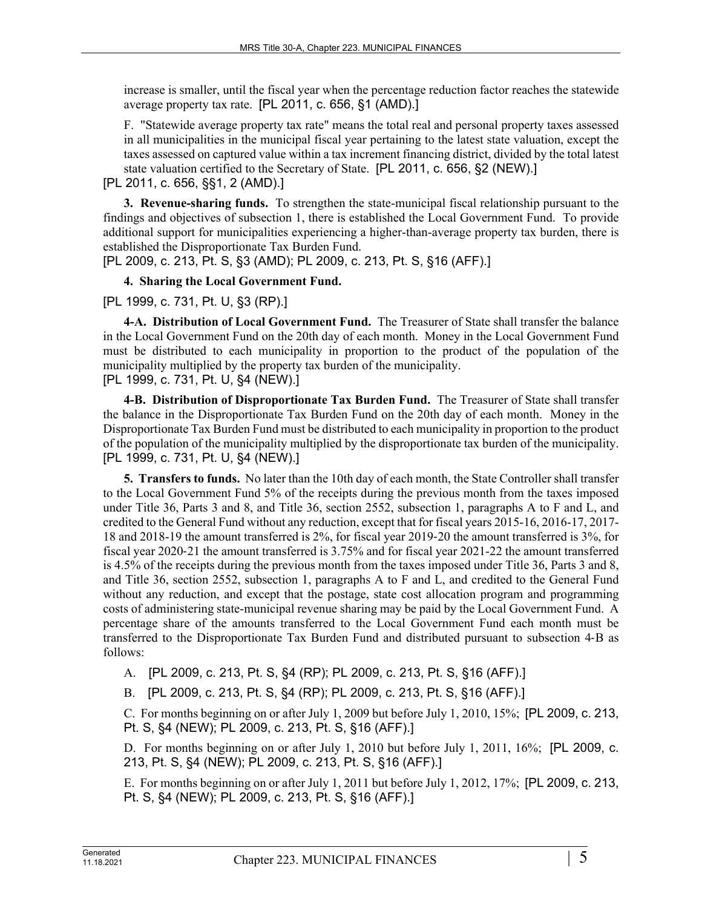increase is smaller, until the fiscal year when the percentage reduction factor reaches the statewide average property tax rate. [PL 2011, c. 656, §1 (AMD).]

F. "Statewide average property tax rate" means the total real and personal property taxes assessed in all municipalities in the municipal fiscal year pertaining to the latest state valuation, except the taxes assessed on captured value within a tax increment financing district, divided by the total latest state valuation certified to the Secretary of State. [PL 2011, c. 656, §2 (NEW).]

[PL 2011, c. 656, §§1, 2 (AMD).]

**3. Revenue-sharing funds.** To strengthen the state-municipal fiscal relationship pursuant to the findings and objectives of subsection 1, there is established the Local Government Fund. To provide additional support for municipalities experiencing a higher-than-average property tax burden, there is established the Disproportionate Tax Burden Fund.

[PL 2009, c. 213, Pt. S, §3 (AMD); PL 2009, c. 213, Pt. S, §16 (AFF).]

# **4. Sharing the Local Government Fund.**

# [PL 1999, c. 731, Pt. U, §3 (RP).]

**4-A. Distribution of Local Government Fund.** The Treasurer of State shall transfer the balance in the Local Government Fund on the 20th day of each month. Money in the Local Government Fund must be distributed to each municipality in proportion to the product of the population of the municipality multiplied by the property tax burden of the municipality. [PL 1999, c. 731, Pt. U, §4 (NEW).]

**4-B. Distribution of Disproportionate Tax Burden Fund.** The Treasurer of State shall transfer the balance in the Disproportionate Tax Burden Fund on the 20th day of each month. Money in the Disproportionate Tax Burden Fund must be distributed to each municipality in proportion to the product of the population of the municipality multiplied by the disproportionate tax burden of the municipality. [PL 1999, c. 731, Pt. U, §4 (NEW).]

**5. Transfers to funds.** No later than the 10th day of each month, the State Controller shall transfer to the Local Government Fund 5% of the receipts during the previous month from the taxes imposed under Title 36, Parts 3 and 8, and Title 36, section 2552, subsection 1, paragraphs A to F and L, and credited to the General Fund without any reduction, except that for fiscal years 2015-16, 2016-17, 2017- 18 and 2018-19 the amount transferred is 2%, for fiscal year 2019‑20 the amount transferred is 3%, for fiscal year 2020‑21 the amount transferred is 3.75% and for fiscal year 2021-22 the amount transferred is 4.5% of the receipts during the previous month from the taxes imposed under Title 36, Parts 3 and 8, and Title 36, section 2552, subsection 1, paragraphs A to F and L, and credited to the General Fund without any reduction, and except that the postage, state cost allocation program and programming costs of administering state-municipal revenue sharing may be paid by the Local Government Fund. A percentage share of the amounts transferred to the Local Government Fund each month must be transferred to the Disproportionate Tax Burden Fund and distributed pursuant to subsection 4‑B as follows:

A. [PL 2009, c. 213, Pt. S, §4 (RP); PL 2009, c. 213, Pt. S, §16 (AFF).]

B. [PL 2009, c. 213, Pt. S, §4 (RP); PL 2009, c. 213, Pt. S, §16 (AFF).]

C. For months beginning on or after July 1, 2009 but before July 1, 2010, 15%; [PL 2009, c. 213, Pt. S, §4 (NEW); PL 2009, c. 213, Pt. S, §16 (AFF).]

D. For months beginning on or after July 1, 2010 but before July 1, 2011, 16%; [PL 2009, c. 213, Pt. S, §4 (NEW); PL 2009, c. 213, Pt. S, §16 (AFF).]

E. For months beginning on or after July 1, 2011 but before July 1, 2012, 17%; [PL 2009, c. 213, Pt. S, §4 (NEW); PL 2009, c. 213, Pt. S, §16 (AFF).]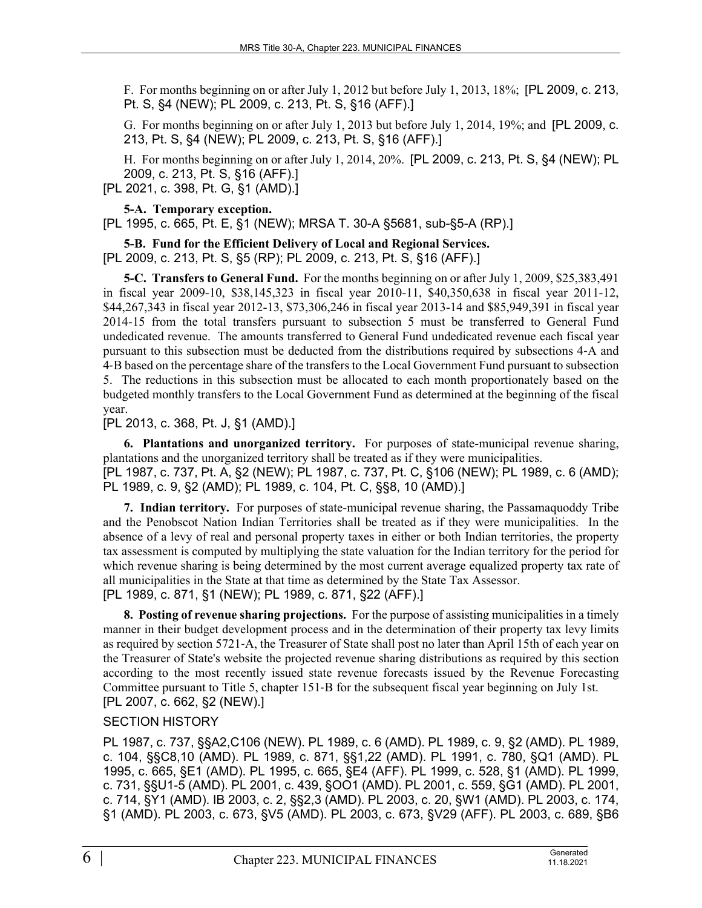F. For months beginning on or after July 1, 2012 but before July 1, 2013, 18%; [PL 2009, c. 213, Pt. S, §4 (NEW); PL 2009, c. 213, Pt. S, §16 (AFF).]

G. For months beginning on or after July 1, 2013 but before July 1, 2014, 19%; and [PL 2009, c. 213, Pt. S, §4 (NEW); PL 2009, c. 213, Pt. S, §16 (AFF).]

H. For months beginning on or after July 1, 2014, 20%. [PL 2009, c. 213, Pt. S, §4 (NEW); PL 2009, c. 213, Pt. S, §16 (AFF).]

[PL 2021, c. 398, Pt. G, §1 (AMD).]

**5-A. Temporary exception.** 

[PL 1995, c. 665, Pt. E, §1 (NEW); MRSA T. 30-A §5681, sub-§5-A (RP).]

**5-B. Fund for the Efficient Delivery of Local and Regional Services.**  [PL 2009, c. 213, Pt. S, §5 (RP); PL 2009, c. 213, Pt. S, §16 (AFF).]

**5-C. Transfers to General Fund.** For the months beginning on or after July 1, 2009, \$25,383,491 in fiscal year 2009-10, \$38,145,323 in fiscal year 2010-11, \$40,350,638 in fiscal year 2011-12, \$44,267,343 in fiscal year 2012-13, \$73,306,246 in fiscal year 2013-14 and \$85,949,391 in fiscal year 2014-15 from the total transfers pursuant to subsection 5 must be transferred to General Fund undedicated revenue. The amounts transferred to General Fund undedicated revenue each fiscal year pursuant to this subsection must be deducted from the distributions required by subsections 4‑A and 4‑B based on the percentage share of the transfers to the Local Government Fund pursuant to subsection 5. The reductions in this subsection must be allocated to each month proportionately based on the budgeted monthly transfers to the Local Government Fund as determined at the beginning of the fiscal year.

[PL 2013, c. 368, Pt. J, §1 (AMD).]

**6. Plantations and unorganized territory.** For purposes of state-municipal revenue sharing, plantations and the unorganized territory shall be treated as if they were municipalities. [PL 1987, c. 737, Pt. A, §2 (NEW); PL 1987, c. 737, Pt. C, §106 (NEW); PL 1989, c. 6 (AMD); PL 1989, c. 9, §2 (AMD); PL 1989, c. 104, Pt. C, §§8, 10 (AMD).]

**7. Indian territory.** For purposes of state-municipal revenue sharing, the Passamaquoddy Tribe and the Penobscot Nation Indian Territories shall be treated as if they were municipalities. In the absence of a levy of real and personal property taxes in either or both Indian territories, the property tax assessment is computed by multiplying the state valuation for the Indian territory for the period for which revenue sharing is being determined by the most current average equalized property tax rate of all municipalities in the State at that time as determined by the State Tax Assessor.

[PL 1989, c. 871, §1 (NEW); PL 1989, c. 871, §22 (AFF).]

**8. Posting of revenue sharing projections.** For the purpose of assisting municipalities in a timely manner in their budget development process and in the determination of their property tax levy limits as required by section 5721‑A, the Treasurer of State shall post no later than April 15th of each year on the Treasurer of State's website the projected revenue sharing distributions as required by this section according to the most recently issued state revenue forecasts issued by the Revenue Forecasting Committee pursuant to Title 5, chapter 151‑B for the subsequent fiscal year beginning on July 1st. [PL 2007, c. 662, §2 (NEW).]

# SECTION HISTORY

PL 1987, c. 737, §§A2,C106 (NEW). PL 1989, c. 6 (AMD). PL 1989, c. 9, §2 (AMD). PL 1989, c. 104, §§C8,10 (AMD). PL 1989, c. 871, §§1,22 (AMD). PL 1991, c. 780, §Q1 (AMD). PL 1995, c. 665, §E1 (AMD). PL 1995, c. 665, §E4 (AFF). PL 1999, c. 528, §1 (AMD). PL 1999, c. 731, §§U1-5 (AMD). PL 2001, c. 439, §OO1 (AMD). PL 2001, c. 559, §G1 (AMD). PL 2001, c. 714, §Y1 (AMD). IB 2003, c. 2, §§2,3 (AMD). PL 2003, c. 20, §W1 (AMD). PL 2003, c. 174, §1 (AMD). PL 2003, c. 673, §V5 (AMD). PL 2003, c. 673, §V29 (AFF). PL 2003, c. 689, §B6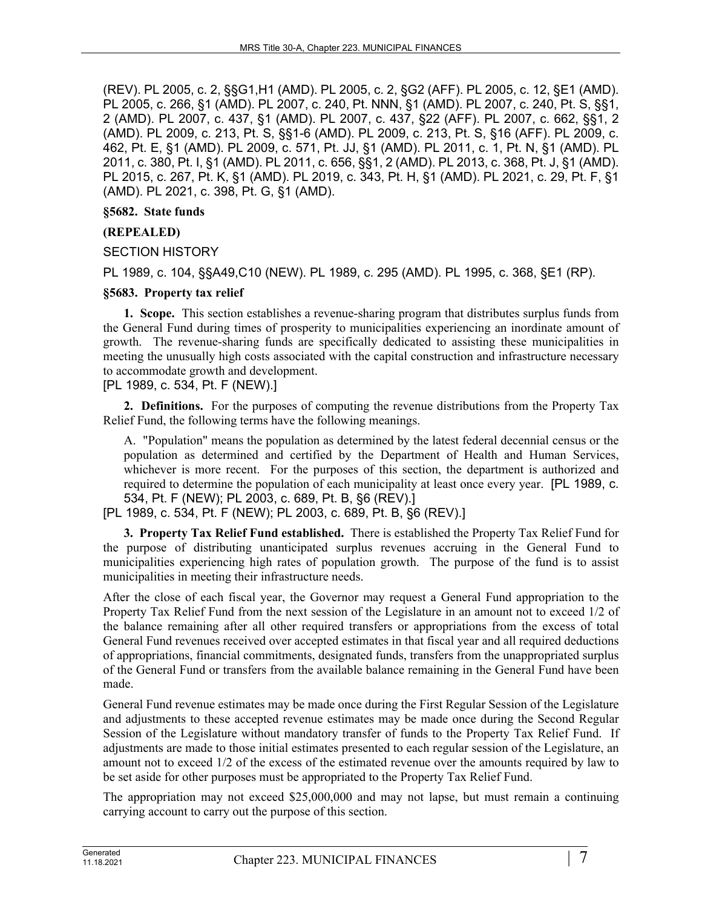(REV). PL 2005, c. 2, §§G1,H1 (AMD). PL 2005, c. 2, §G2 (AFF). PL 2005, c. 12, §E1 (AMD). PL 2005, c. 266, §1 (AMD). PL 2007, c. 240, Pt. NNN, §1 (AMD). PL 2007, c. 240, Pt. S, §§1, 2 (AMD). PL 2007, c. 437, §1 (AMD). PL 2007, c. 437, §22 (AFF). PL 2007, c. 662, §§1, 2 (AMD). PL 2009, c. 213, Pt. S, §§1-6 (AMD). PL 2009, c. 213, Pt. S, §16 (AFF). PL 2009, c. 462, Pt. E, §1 (AMD). PL 2009, c. 571, Pt. JJ, §1 (AMD). PL 2011, c. 1, Pt. N, §1 (AMD). PL 2011, c. 380, Pt. I, §1 (AMD). PL 2011, c. 656, §§1, 2 (AMD). PL 2013, c. 368, Pt. J, §1 (AMD). PL 2015, c. 267, Pt. K, §1 (AMD). PL 2019, c. 343, Pt. H, §1 (AMD). PL 2021, c. 29, Pt. F, §1 (AMD). PL 2021, c. 398, Pt. G, §1 (AMD).

### **§5682. State funds**

### **(REPEALED)**

### SECTION HISTORY

PL 1989, c. 104, §§A49,C10 (NEW). PL 1989, c. 295 (AMD). PL 1995, c. 368, §E1 (RP).

### **§5683. Property tax relief**

**1. Scope.** This section establishes a revenue-sharing program that distributes surplus funds from the General Fund during times of prosperity to municipalities experiencing an inordinate amount of growth. The revenue-sharing funds are specifically dedicated to assisting these municipalities in meeting the unusually high costs associated with the capital construction and infrastructure necessary to accommodate growth and development.

[PL 1989, c. 534, Pt. F (NEW).]

**2. Definitions.** For the purposes of computing the revenue distributions from the Property Tax Relief Fund, the following terms have the following meanings.

A. "Population" means the population as determined by the latest federal decennial census or the population as determined and certified by the Department of Health and Human Services, whichever is more recent. For the purposes of this section, the department is authorized and required to determine the population of each municipality at least once every year. [PL 1989, c. 534, Pt. F (NEW); PL 2003, c. 689, Pt. B, §6 (REV).]

[PL 1989, c. 534, Pt. F (NEW); PL 2003, c. 689, Pt. B, §6 (REV).]

**3. Property Tax Relief Fund established.** There is established the Property Tax Relief Fund for the purpose of distributing unanticipated surplus revenues accruing in the General Fund to municipalities experiencing high rates of population growth. The purpose of the fund is to assist municipalities in meeting their infrastructure needs.

After the close of each fiscal year, the Governor may request a General Fund appropriation to the Property Tax Relief Fund from the next session of the Legislature in an amount not to exceed 1/2 of the balance remaining after all other required transfers or appropriations from the excess of total General Fund revenues received over accepted estimates in that fiscal year and all required deductions of appropriations, financial commitments, designated funds, transfers from the unappropriated surplus of the General Fund or transfers from the available balance remaining in the General Fund have been made.

General Fund revenue estimates may be made once during the First Regular Session of the Legislature and adjustments to these accepted revenue estimates may be made once during the Second Regular Session of the Legislature without mandatory transfer of funds to the Property Tax Relief Fund. If adjustments are made to those initial estimates presented to each regular session of the Legislature, an amount not to exceed 1/2 of the excess of the estimated revenue over the amounts required by law to be set aside for other purposes must be appropriated to the Property Tax Relief Fund.

The appropriation may not exceed \$25,000,000 and may not lapse, but must remain a continuing carrying account to carry out the purpose of this section.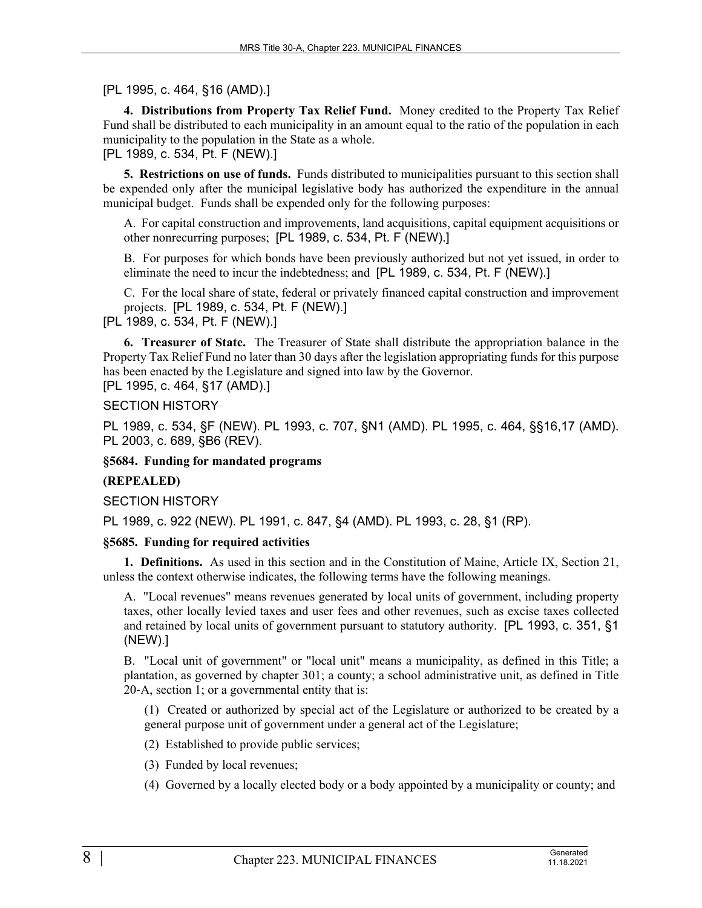[PL 1995, c. 464, §16 (AMD).]

**4. Distributions from Property Tax Relief Fund.** Money credited to the Property Tax Relief Fund shall be distributed to each municipality in an amount equal to the ratio of the population in each municipality to the population in the State as a whole.

[PL 1989, c. 534, Pt. F (NEW).]

**5. Restrictions on use of funds.** Funds distributed to municipalities pursuant to this section shall be expended only after the municipal legislative body has authorized the expenditure in the annual municipal budget. Funds shall be expended only for the following purposes:

A. For capital construction and improvements, land acquisitions, capital equipment acquisitions or other nonrecurring purposes; [PL 1989, c. 534, Pt. F (NEW).]

B. For purposes for which bonds have been previously authorized but not yet issued, in order to eliminate the need to incur the indebtedness; and [PL 1989, c. 534, Pt. F (NEW).]

C. For the local share of state, federal or privately financed capital construction and improvement projects. [PL 1989, c. 534, Pt. F (NEW).]

[PL 1989, c. 534, Pt. F (NEW).]

**6. Treasurer of State.** The Treasurer of State shall distribute the appropriation balance in the Property Tax Relief Fund no later than 30 days after the legislation appropriating funds for this purpose has been enacted by the Legislature and signed into law by the Governor.

[PL 1995, c. 464, §17 (AMD).]

SECTION HISTORY

PL 1989, c. 534, §F (NEW). PL 1993, c. 707, §N1 (AMD). PL 1995, c. 464, §§16,17 (AMD). PL 2003, c. 689, §B6 (REV).

**§5684. Funding for mandated programs**

### **(REPEALED)**

SECTION HISTORY

PL 1989, c. 922 (NEW). PL 1991, c. 847, §4 (AMD). PL 1993, c. 28, §1 (RP).

### **§5685. Funding for required activities**

**1. Definitions.** As used in this section and in the Constitution of Maine, Article IX, Section 21, unless the context otherwise indicates, the following terms have the following meanings.

A. "Local revenues" means revenues generated by local units of government, including property taxes, other locally levied taxes and user fees and other revenues, such as excise taxes collected and retained by local units of government pursuant to statutory authority. [PL 1993, c. 351, §1 (NEW).]

B. "Local unit of government" or "local unit" means a municipality, as defined in this Title; a plantation, as governed by chapter 301; a county; a school administrative unit, as defined in Title 20‑A, section 1; or a governmental entity that is:

(1) Created or authorized by special act of the Legislature or authorized to be created by a general purpose unit of government under a general act of the Legislature;

(2) Established to provide public services;

(3) Funded by local revenues;

(4) Governed by a locally elected body or a body appointed by a municipality or county; and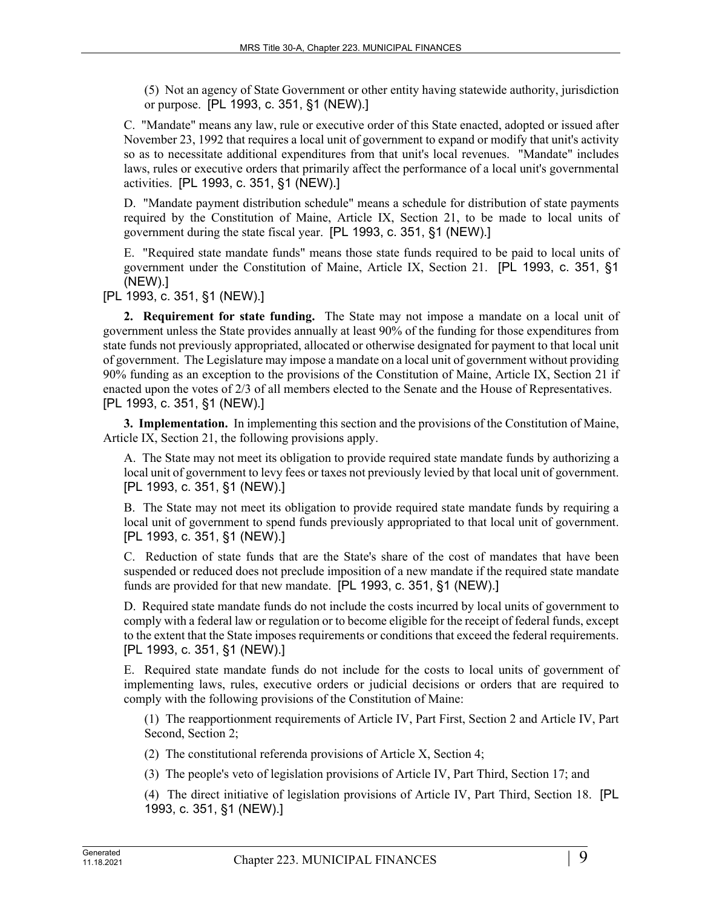(5) Not an agency of State Government or other entity having statewide authority, jurisdiction or purpose. [PL 1993, c. 351, §1 (NEW).]

C. "Mandate" means any law, rule or executive order of this State enacted, adopted or issued after November 23, 1992 that requires a local unit of government to expand or modify that unit's activity so as to necessitate additional expenditures from that unit's local revenues. "Mandate" includes laws, rules or executive orders that primarily affect the performance of a local unit's governmental activities. [PL 1993, c. 351, §1 (NEW).]

D. "Mandate payment distribution schedule" means a schedule for distribution of state payments required by the Constitution of Maine, Article IX, Section 21, to be made to local units of government during the state fiscal year. [PL 1993, c. 351, §1 (NEW).]

E. "Required state mandate funds" means those state funds required to be paid to local units of government under the Constitution of Maine, Article IX, Section 21. [PL 1993, c. 351, §1 (NEW).]

[PL 1993, c. 351, §1 (NEW).]

**2. Requirement for state funding.** The State may not impose a mandate on a local unit of government unless the State provides annually at least 90% of the funding for those expenditures from state funds not previously appropriated, allocated or otherwise designated for payment to that local unit of government. The Legislature may impose a mandate on a local unit of government without providing 90% funding as an exception to the provisions of the Constitution of Maine, Article IX, Section 21 if enacted upon the votes of 2/3 of all members elected to the Senate and the House of Representatives. [PL 1993, c. 351, §1 (NEW).]

**3. Implementation.** In implementing this section and the provisions of the Constitution of Maine, Article IX, Section 21, the following provisions apply.

A. The State may not meet its obligation to provide required state mandate funds by authorizing a local unit of government to levy fees or taxes not previously levied by that local unit of government. [PL 1993, c. 351, §1 (NEW).]

B. The State may not meet its obligation to provide required state mandate funds by requiring a local unit of government to spend funds previously appropriated to that local unit of government. [PL 1993, c. 351, §1 (NEW).]

C. Reduction of state funds that are the State's share of the cost of mandates that have been suspended or reduced does not preclude imposition of a new mandate if the required state mandate funds are provided for that new mandate. [PL 1993, c. 351, §1 (NEW).]

D. Required state mandate funds do not include the costs incurred by local units of government to comply with a federal law or regulation or to become eligible for the receipt of federal funds, except to the extent that the State imposes requirements or conditions that exceed the federal requirements. [PL 1993, c. 351, §1 (NEW).]

E. Required state mandate funds do not include for the costs to local units of government of implementing laws, rules, executive orders or judicial decisions or orders that are required to comply with the following provisions of the Constitution of Maine:

(1) The reapportionment requirements of Article IV, Part First, Section 2 and Article IV, Part Second, Section 2;

(2) The constitutional referenda provisions of Article X, Section 4;

(3) The people's veto of legislation provisions of Article IV, Part Third, Section 17; and

(4) The direct initiative of legislation provisions of Article IV, Part Third, Section 18. [PL 1993, c. 351, §1 (NEW).]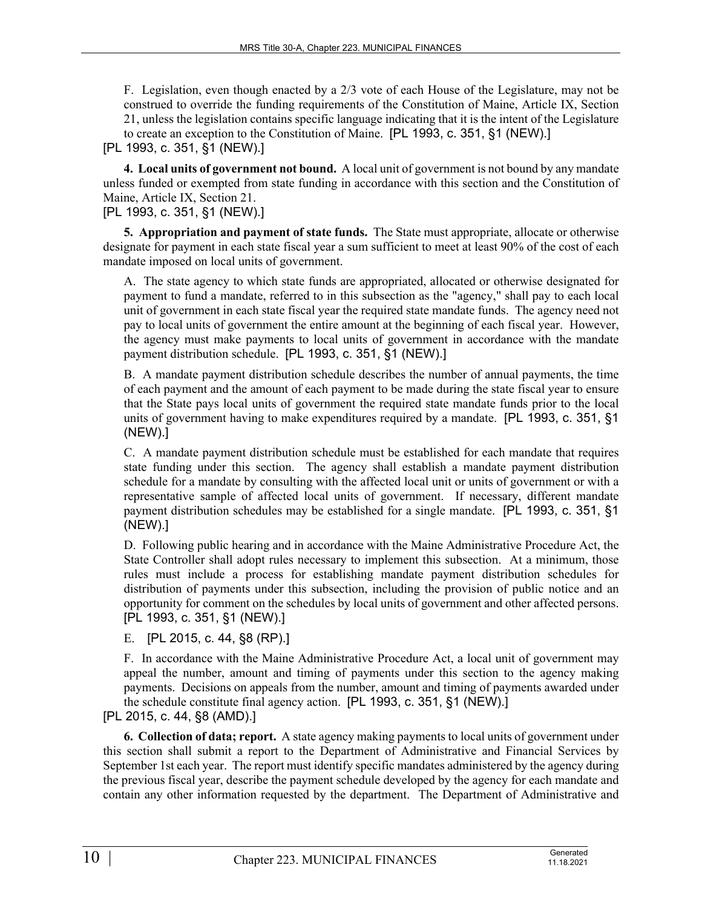F. Legislation, even though enacted by a 2/3 vote of each House of the Legislature, may not be construed to override the funding requirements of the Constitution of Maine, Article IX, Section 21, unless the legislation contains specific language indicating that it is the intent of the Legislature to create an exception to the Constitution of Maine. [PL 1993, c. 351, §1 (NEW).]

[PL 1993, c. 351, §1 (NEW).]

**4. Local units of government not bound.** A local unit of government is not bound by any mandate unless funded or exempted from state funding in accordance with this section and the Constitution of Maine, Article IX, Section 21.

[PL 1993, c. 351, §1 (NEW).]

**5. Appropriation and payment of state funds.** The State must appropriate, allocate or otherwise designate for payment in each state fiscal year a sum sufficient to meet at least 90% of the cost of each mandate imposed on local units of government.

A. The state agency to which state funds are appropriated, allocated or otherwise designated for payment to fund a mandate, referred to in this subsection as the "agency," shall pay to each local unit of government in each state fiscal year the required state mandate funds. The agency need not pay to local units of government the entire amount at the beginning of each fiscal year. However, the agency must make payments to local units of government in accordance with the mandate payment distribution schedule. [PL 1993, c. 351, §1 (NEW).]

B. A mandate payment distribution schedule describes the number of annual payments, the time of each payment and the amount of each payment to be made during the state fiscal year to ensure that the State pays local units of government the required state mandate funds prior to the local units of government having to make expenditures required by a mandate. [PL 1993, c. 351, §1 (NEW).]

C. A mandate payment distribution schedule must be established for each mandate that requires state funding under this section. The agency shall establish a mandate payment distribution schedule for a mandate by consulting with the affected local unit or units of government or with a representative sample of affected local units of government. If necessary, different mandate payment distribution schedules may be established for a single mandate. [PL 1993, c. 351, §1 (NEW).]

D. Following public hearing and in accordance with the Maine Administrative Procedure Act, the State Controller shall adopt rules necessary to implement this subsection. At a minimum, those rules must include a process for establishing mandate payment distribution schedules for distribution of payments under this subsection, including the provision of public notice and an opportunity for comment on the schedules by local units of government and other affected persons. [PL 1993, c. 351, §1 (NEW).]

E. [PL 2015, c. 44, §8 (RP).]

F. In accordance with the Maine Administrative Procedure Act, a local unit of government may appeal the number, amount and timing of payments under this section to the agency making payments. Decisions on appeals from the number, amount and timing of payments awarded under the schedule constitute final agency action. [PL 1993, c. 351, §1 (NEW).]

[PL 2015, c. 44, §8 (AMD).]

**6. Collection of data; report.** A state agency making payments to local units of government under this section shall submit a report to the Department of Administrative and Financial Services by September 1st each year. The report must identify specific mandates administered by the agency during the previous fiscal year, describe the payment schedule developed by the agency for each mandate and contain any other information requested by the department. The Department of Administrative and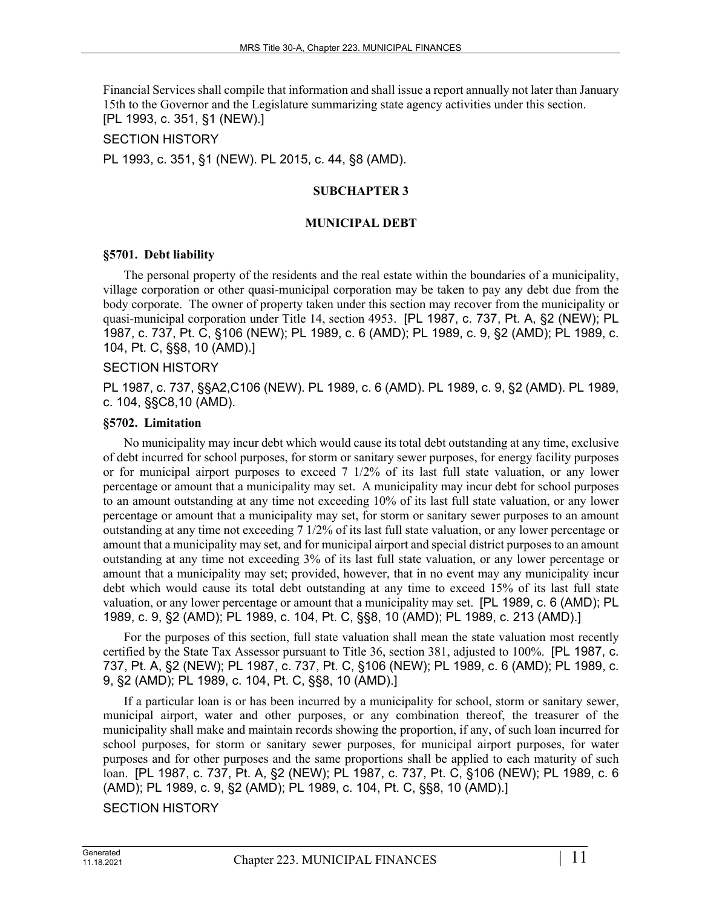Financial Services shall compile that information and shall issue a report annually not later than January 15th to the Governor and the Legislature summarizing state agency activities under this section. [PL 1993, c. 351, §1 (NEW).]

SECTION HISTORY

PL 1993, c. 351, §1 (NEW). PL 2015, c. 44, §8 (AMD).

#### **SUBCHAPTER 3**

#### **MUNICIPAL DEBT**

#### **§5701. Debt liability**

The personal property of the residents and the real estate within the boundaries of a municipality, village corporation or other quasi-municipal corporation may be taken to pay any debt due from the body corporate. The owner of property taken under this section may recover from the municipality or quasi-municipal corporation under Title 14, section 4953. [PL 1987, c. 737, Pt. A, §2 (NEW); PL 1987, c. 737, Pt. C, §106 (NEW); PL 1989, c. 6 (AMD); PL 1989, c. 9, §2 (AMD); PL 1989, c. 104, Pt. C, §§8, 10 (AMD).]

#### SECTION HISTORY

PL 1987, c. 737, §§A2,C106 (NEW). PL 1989, c. 6 (AMD). PL 1989, c. 9, §2 (AMD). PL 1989, c. 104, §§C8,10 (AMD).

### **§5702. Limitation**

No municipality may incur debt which would cause its total debt outstanding at any time, exclusive of debt incurred for school purposes, for storm or sanitary sewer purposes, for energy facility purposes or for municipal airport purposes to exceed 7 1/2% of its last full state valuation, or any lower percentage or amount that a municipality may set. A municipality may incur debt for school purposes to an amount outstanding at any time not exceeding 10% of its last full state valuation, or any lower percentage or amount that a municipality may set, for storm or sanitary sewer purposes to an amount outstanding at any time not exceeding 7 1/2% of its last full state valuation, or any lower percentage or amount that a municipality may set, and for municipal airport and special district purposes to an amount outstanding at any time not exceeding 3% of its last full state valuation, or any lower percentage or amount that a municipality may set; provided, however, that in no event may any municipality incur debt which would cause its total debt outstanding at any time to exceed 15% of its last full state valuation, or any lower percentage or amount that a municipality may set. [PL 1989, c. 6 (AMD); PL 1989, c. 9, §2 (AMD); PL 1989, c. 104, Pt. C, §§8, 10 (AMD); PL 1989, c. 213 (AMD).]

For the purposes of this section, full state valuation shall mean the state valuation most recently certified by the State Tax Assessor pursuant to Title 36, section 381, adjusted to 100%. [PL 1987, c. 737, Pt. A, §2 (NEW); PL 1987, c. 737, Pt. C, §106 (NEW); PL 1989, c. 6 (AMD); PL 1989, c. 9, §2 (AMD); PL 1989, c. 104, Pt. C, §§8, 10 (AMD).]

If a particular loan is or has been incurred by a municipality for school, storm or sanitary sewer, municipal airport, water and other purposes, or any combination thereof, the treasurer of the municipality shall make and maintain records showing the proportion, if any, of such loan incurred for school purposes, for storm or sanitary sewer purposes, for municipal airport purposes, for water purposes and for other purposes and the same proportions shall be applied to each maturity of such loan. [PL 1987, c. 737, Pt. A, §2 (NEW); PL 1987, c. 737, Pt. C, §106 (NEW); PL 1989, c. 6 (AMD); PL 1989, c. 9, §2 (AMD); PL 1989, c. 104, Pt. C, §§8, 10 (AMD).]

SECTION HISTORY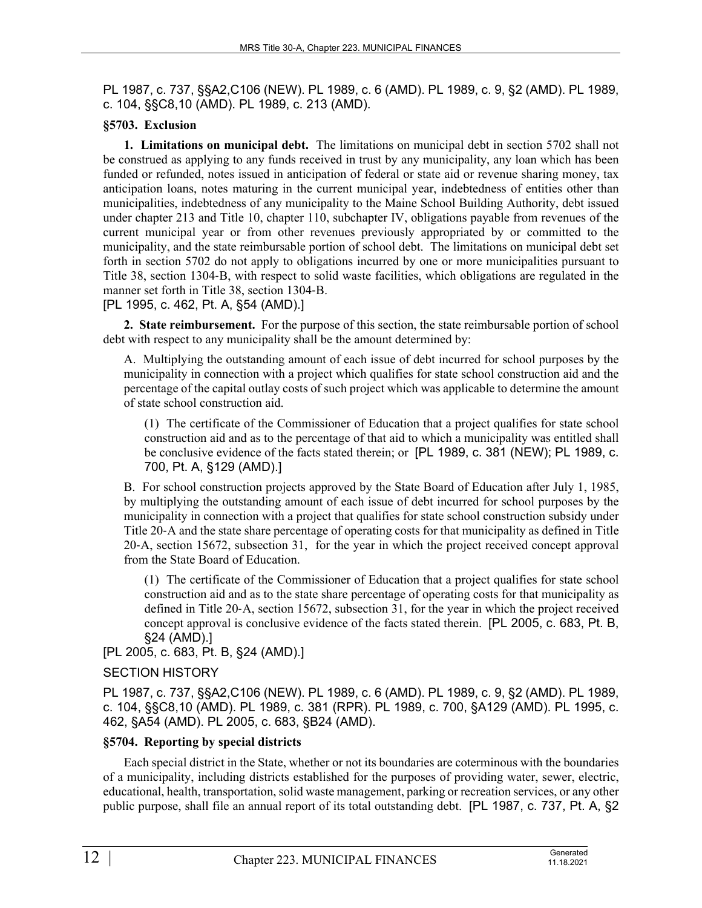PL 1987, c. 737, §§A2,C106 (NEW). PL 1989, c. 6 (AMD). PL 1989, c. 9, §2 (AMD). PL 1989, c. 104, §§C8,10 (AMD). PL 1989, c. 213 (AMD).

### **§5703. Exclusion**

**1. Limitations on municipal debt.** The limitations on municipal debt in section 5702 shall not be construed as applying to any funds received in trust by any municipality, any loan which has been funded or refunded, notes issued in anticipation of federal or state aid or revenue sharing money, tax anticipation loans, notes maturing in the current municipal year, indebtedness of entities other than municipalities, indebtedness of any municipality to the Maine School Building Authority, debt issued under chapter 213 and Title 10, chapter 110, subchapter IV, obligations payable from revenues of the current municipal year or from other revenues previously appropriated by or committed to the municipality, and the state reimbursable portion of school debt. The limitations on municipal debt set forth in section 5702 do not apply to obligations incurred by one or more municipalities pursuant to Title 38, section 1304‑B, with respect to solid waste facilities, which obligations are regulated in the manner set forth in Title 38, section 1304‑B.

[PL 1995, c. 462, Pt. A, §54 (AMD).]

**2. State reimbursement.** For the purpose of this section, the state reimbursable portion of school debt with respect to any municipality shall be the amount determined by:

A. Multiplying the outstanding amount of each issue of debt incurred for school purposes by the municipality in connection with a project which qualifies for state school construction aid and the percentage of the capital outlay costs of such project which was applicable to determine the amount of state school construction aid.

(1) The certificate of the Commissioner of Education that a project qualifies for state school construction aid and as to the percentage of that aid to which a municipality was entitled shall be conclusive evidence of the facts stated therein; or [PL 1989, c. 381 (NEW); PL 1989, c. 700, Pt. A, §129 (AMD).]

B. For school construction projects approved by the State Board of Education after July 1, 1985, by multiplying the outstanding amount of each issue of debt incurred for school purposes by the municipality in connection with a project that qualifies for state school construction subsidy under Title 20‑A and the state share percentage of operating costs for that municipality as defined in Title 20‑A, section 15672, subsection 31, for the year in which the project received concept approval from the State Board of Education.

(1) The certificate of the Commissioner of Education that a project qualifies for state school construction aid and as to the state share percentage of operating costs for that municipality as defined in Title 20-A, section 15672, subsection 31, for the year in which the project received concept approval is conclusive evidence of the facts stated therein. [PL 2005, c. 683, Pt. B, §24 (AMD).]

[PL 2005, c. 683, Pt. B, §24 (AMD).]

### SECTION HISTORY

PL 1987, c. 737, §§A2,C106 (NEW). PL 1989, c. 6 (AMD). PL 1989, c. 9, §2 (AMD). PL 1989, c. 104, §§C8,10 (AMD). PL 1989, c. 381 (RPR). PL 1989, c. 700, §A129 (AMD). PL 1995, c. 462, §A54 (AMD). PL 2005, c. 683, §B24 (AMD).

### **§5704. Reporting by special districts**

Each special district in the State, whether or not its boundaries are coterminous with the boundaries of a municipality, including districts established for the purposes of providing water, sewer, electric, educational, health, transportation, solid waste management, parking or recreation services, or any other public purpose, shall file an annual report of its total outstanding debt. [PL 1987, c. 737, Pt. A, §2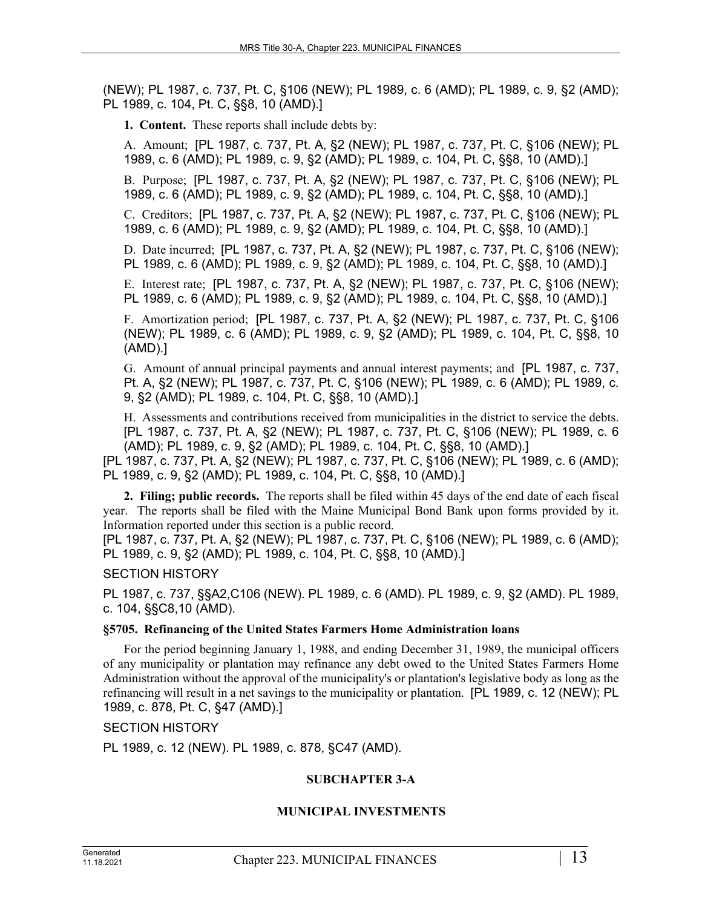**1. Content.** These reports shall include debts by:

A. Amount; [PL 1987, c. 737, Pt. A, §2 (NEW); PL 1987, c. 737, Pt. C, §106 (NEW); PL 1989, c. 6 (AMD); PL 1989, c. 9, §2 (AMD); PL 1989, c. 104, Pt. C, §§8, 10 (AMD).]

B. Purpose; [PL 1987, c. 737, Pt. A, §2 (NEW); PL 1987, c. 737, Pt. C, §106 (NEW); PL 1989, c. 6 (AMD); PL 1989, c. 9, §2 (AMD); PL 1989, c. 104, Pt. C, §§8, 10 (AMD).]

C. Creditors; [PL 1987, c. 737, Pt. A, §2 (NEW); PL 1987, c. 737, Pt. C, §106 (NEW); PL 1989, c. 6 (AMD); PL 1989, c. 9, §2 (AMD); PL 1989, c. 104, Pt. C, §§8, 10 (AMD).]

D. Date incurred; [PL 1987, c. 737, Pt. A, §2 (NEW); PL 1987, c. 737, Pt. C, §106 (NEW); PL 1989, c. 6 (AMD); PL 1989, c. 9, §2 (AMD); PL 1989, c. 104, Pt. C, §§8, 10 (AMD).]

E. Interest rate; [PL 1987, c. 737, Pt. A, §2 (NEW); PL 1987, c. 737, Pt. C, §106 (NEW); PL 1989, c. 6 (AMD); PL 1989, c. 9, §2 (AMD); PL 1989, c. 104, Pt. C, §§8, 10 (AMD).]

F. Amortization period; [PL 1987, c. 737, Pt. A, §2 (NEW); PL 1987, c. 737, Pt. C, §106 (NEW); PL 1989, c. 6 (AMD); PL 1989, c. 9, §2 (AMD); PL 1989, c. 104, Pt. C, §§8, 10 (AMD).]

G. Amount of annual principal payments and annual interest payments; and [PL 1987, c. 737, Pt. A, §2 (NEW); PL 1987, c. 737, Pt. C, §106 (NEW); PL 1989, c. 6 (AMD); PL 1989, c. 9, §2 (AMD); PL 1989, c. 104, Pt. C, §§8, 10 (AMD).]

H. Assessments and contributions received from municipalities in the district to service the debts. [PL 1987, c. 737, Pt. A, §2 (NEW); PL 1987, c. 737, Pt. C, §106 (NEW); PL 1989, c. 6 (AMD); PL 1989, c. 9, §2 (AMD); PL 1989, c. 104, Pt. C, §§8, 10 (AMD).] [PL 1987, c. 737, Pt. A, §2 (NEW); PL 1987, c. 737, Pt. C, §106 (NEW); PL 1989, c. 6 (AMD);

PL 1989, c. 9, §2 (AMD); PL 1989, c. 104, Pt. C, §§8, 10 (AMD).]

**2. Filing; public records.** The reports shall be filed within 45 days of the end date of each fiscal year. The reports shall be filed with the Maine Municipal Bond Bank upon forms provided by it. Information reported under this section is a public record.

[PL 1987, c. 737, Pt. A, §2 (NEW); PL 1987, c. 737, Pt. C, §106 (NEW); PL 1989, c. 6 (AMD); PL 1989, c. 9, §2 (AMD); PL 1989, c. 104, Pt. C, §§8, 10 (AMD).]

SECTION HISTORY

PL 1987, c. 737, §§A2,C106 (NEW). PL 1989, c. 6 (AMD). PL 1989, c. 9, §2 (AMD). PL 1989, c. 104, §§C8,10 (AMD).

### **§5705. Refinancing of the United States Farmers Home Administration loans**

For the period beginning January 1, 1988, and ending December 31, 1989, the municipal officers of any municipality or plantation may refinance any debt owed to the United States Farmers Home Administration without the approval of the municipality's or plantation's legislative body as long as the refinancing will result in a net savings to the municipality or plantation. [PL 1989, c. 12 (NEW); PL 1989, c. 878, Pt. C, §47 (AMD).]

### SECTION HISTORY

PL 1989, c. 12 (NEW). PL 1989, c. 878, §C47 (AMD).

# **SUBCHAPTER 3-A**

### **MUNICIPAL INVESTMENTS**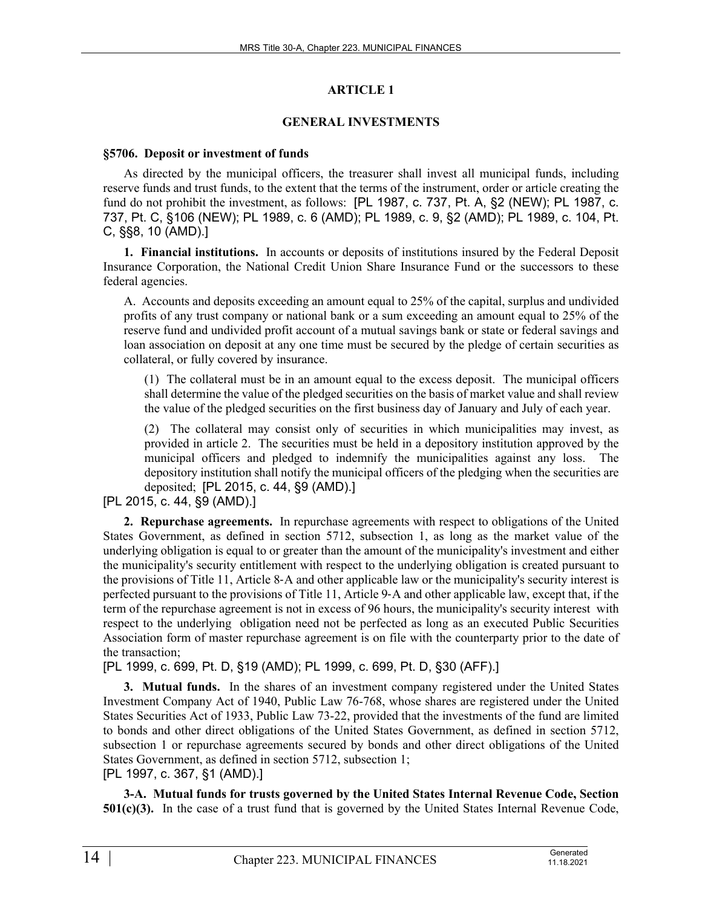# **ARTICLE 1**

### **GENERAL INVESTMENTS**

### **§5706. Deposit or investment of funds**

As directed by the municipal officers, the treasurer shall invest all municipal funds, including reserve funds and trust funds, to the extent that the terms of the instrument, order or article creating the fund do not prohibit the investment, as follows: [PL 1987, c. 737, Pt. A, §2 (NEW); PL 1987, c. 737, Pt. C, §106 (NEW); PL 1989, c. 6 (AMD); PL 1989, c. 9, §2 (AMD); PL 1989, c. 104, Pt. C, §§8, 10 (AMD).]

**1. Financial institutions.** In accounts or deposits of institutions insured by the Federal Deposit Insurance Corporation, the National Credit Union Share Insurance Fund or the successors to these federal agencies.

A. Accounts and deposits exceeding an amount equal to 25% of the capital, surplus and undivided profits of any trust company or national bank or a sum exceeding an amount equal to 25% of the reserve fund and undivided profit account of a mutual savings bank or state or federal savings and loan association on deposit at any one time must be secured by the pledge of certain securities as collateral, or fully covered by insurance.

(1) The collateral must be in an amount equal to the excess deposit. The municipal officers shall determine the value of the pledged securities on the basis of market value and shall review the value of the pledged securities on the first business day of January and July of each year.

(2) The collateral may consist only of securities in which municipalities may invest, as provided in article 2. The securities must be held in a depository institution approved by the municipal officers and pledged to indemnify the municipalities against any loss. The depository institution shall notify the municipal officers of the pledging when the securities are deposited; [PL 2015, c. 44, §9 (AMD).]

[PL 2015, c. 44, §9 (AMD).]

**2. Repurchase agreements.** In repurchase agreements with respect to obligations of the United States Government, as defined in section 5712, subsection 1, as long as the market value of the underlying obligation is equal to or greater than the amount of the municipality's investment and either the municipality's security entitlement with respect to the underlying obligation is created pursuant to the provisions of Title 11, Article 8‑A and other applicable law or the municipality's security interest is perfected pursuant to the provisions of Title 11, Article 9‑A and other applicable law, except that, if the term of the repurchase agreement is not in excess of 96 hours, the municipality's security interest with respect to the underlying obligation need not be perfected as long as an executed Public Securities Association form of master repurchase agreement is on file with the counterparty prior to the date of the transaction;

[PL 1999, c. 699, Pt. D, §19 (AMD); PL 1999, c. 699, Pt. D, §30 (AFF).]

**3. Mutual funds.** In the shares of an investment company registered under the United States Investment Company Act of 1940, Public Law 76-768, whose shares are registered under the United States Securities Act of 1933, Public Law 73-22, provided that the investments of the fund are limited to bonds and other direct obligations of the United States Government, as defined in section 5712, subsection 1 or repurchase agreements secured by bonds and other direct obligations of the United States Government, as defined in section 5712, subsection 1;

[PL 1997, c. 367, §1 (AMD).]

**3-A. Mutual funds for trusts governed by the United States Internal Revenue Code, Section 501(c)(3).** In the case of a trust fund that is governed by the United States Internal Revenue Code,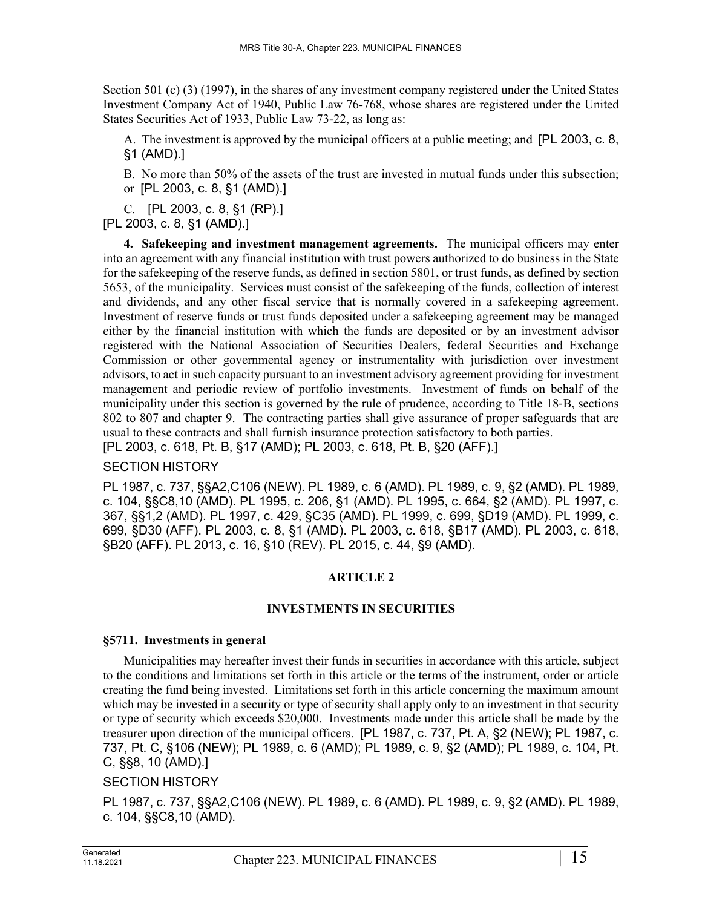Section 501 (c) (3) (1997), in the shares of any investment company registered under the United States Investment Company Act of 1940, Public Law 76-768, whose shares are registered under the United States Securities Act of 1933, Public Law 73-22, as long as:

A. The investment is approved by the municipal officers at a public meeting; and [PL 2003, c. 8, §1 (AMD).]

B. No more than 50% of the assets of the trust are invested in mutual funds under this subsection; or [PL 2003, c. 8, §1 (AMD).]

C. [PL 2003, c. 8, §1 (RP).] [PL 2003, c. 8, §1 (AMD).]

**4. Safekeeping and investment management agreements.** The municipal officers may enter into an agreement with any financial institution with trust powers authorized to do business in the State for the safekeeping of the reserve funds, as defined in section 5801, or trust funds, as defined by section 5653, of the municipality. Services must consist of the safekeeping of the funds, collection of interest and dividends, and any other fiscal service that is normally covered in a safekeeping agreement. Investment of reserve funds or trust funds deposited under a safekeeping agreement may be managed either by the financial institution with which the funds are deposited or by an investment advisor registered with the National Association of Securities Dealers, federal Securities and Exchange Commission or other governmental agency or instrumentality with jurisdiction over investment advisors, to act in such capacity pursuant to an investment advisory agreement providing for investment management and periodic review of portfolio investments. Investment of funds on behalf of the municipality under this section is governed by the rule of prudence, according to Title 18‑B, sections 802 to 807 and chapter 9. The contracting parties shall give assurance of proper safeguards that are usual to these contracts and shall furnish insurance protection satisfactory to both parties. [PL 2003, c. 618, Pt. B, §17 (AMD); PL 2003, c. 618, Pt. B, §20 (AFF).]

# SECTION HISTORY

PL 1987, c. 737, §§A2,C106 (NEW). PL 1989, c. 6 (AMD). PL 1989, c. 9, §2 (AMD). PL 1989, c. 104, §§C8,10 (AMD). PL 1995, c. 206, §1 (AMD). PL 1995, c. 664, §2 (AMD). PL 1997, c. 367, §§1,2 (AMD). PL 1997, c. 429, §C35 (AMD). PL 1999, c. 699, §D19 (AMD). PL 1999, c. 699, §D30 (AFF). PL 2003, c. 8, §1 (AMD). PL 2003, c. 618, §B17 (AMD). PL 2003, c. 618, §B20 (AFF). PL 2013, c. 16, §10 (REV). PL 2015, c. 44, §9 (AMD).

# **ARTICLE 2**

# **INVESTMENTS IN SECURITIES**

### **§5711. Investments in general**

Municipalities may hereafter invest their funds in securities in accordance with this article, subject to the conditions and limitations set forth in this article or the terms of the instrument, order or article creating the fund being invested. Limitations set forth in this article concerning the maximum amount which may be invested in a security or type of security shall apply only to an investment in that security or type of security which exceeds \$20,000. Investments made under this article shall be made by the treasurer upon direction of the municipal officers. [PL 1987, c. 737, Pt. A, §2 (NEW); PL 1987, c. 737, Pt. C, §106 (NEW); PL 1989, c. 6 (AMD); PL 1989, c. 9, §2 (AMD); PL 1989, c. 104, Pt. C, §§8, 10 (AMD).]

# SECTION HISTORY

PL 1987, c. 737, §§A2,C106 (NEW). PL 1989, c. 6 (AMD). PL 1989, c. 9, §2 (AMD). PL 1989, c. 104, §§C8,10 (AMD).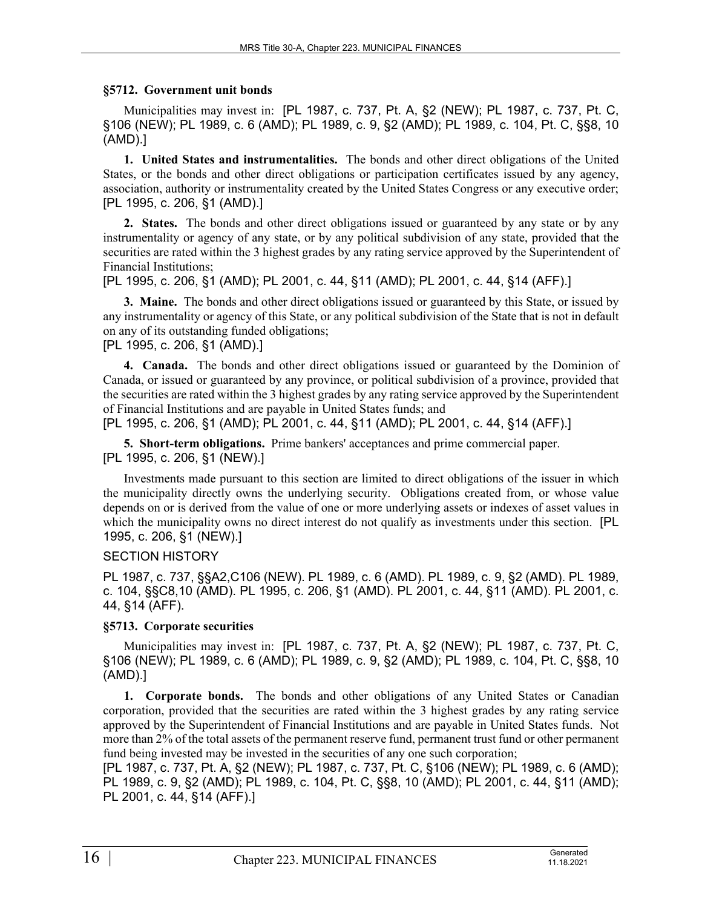### **§5712. Government unit bonds**

Municipalities may invest in: [PL 1987, c. 737, Pt. A, §2 (NEW); PL 1987, c. 737, Pt. C, §106 (NEW); PL 1989, c. 6 (AMD); PL 1989, c. 9, §2 (AMD); PL 1989, c. 104, Pt. C, §§8, 10 (AMD).]

**1. United States and instrumentalities.** The bonds and other direct obligations of the United States, or the bonds and other direct obligations or participation certificates issued by any agency, association, authority or instrumentality created by the United States Congress or any executive order; [PL 1995, c. 206, §1 (AMD).]

**2. States.** The bonds and other direct obligations issued or guaranteed by any state or by any instrumentality or agency of any state, or by any political subdivision of any state, provided that the securities are rated within the 3 highest grades by any rating service approved by the Superintendent of Financial Institutions;

[PL 1995, c. 206, §1 (AMD); PL 2001, c. 44, §11 (AMD); PL 2001, c. 44, §14 (AFF).]

**3. Maine.** The bonds and other direct obligations issued or guaranteed by this State, or issued by any instrumentality or agency of this State, or any political subdivision of the State that is not in default on any of its outstanding funded obligations;

[PL 1995, c. 206, §1 (AMD).]

**4. Canada.** The bonds and other direct obligations issued or guaranteed by the Dominion of Canada, or issued or guaranteed by any province, or political subdivision of a province, provided that the securities are rated within the 3 highest grades by any rating service approved by the Superintendent of Financial Institutions and are payable in United States funds; and

[PL 1995, c. 206, §1 (AMD); PL 2001, c. 44, §11 (AMD); PL 2001, c. 44, §14 (AFF).]

**5. Short-term obligations.** Prime bankers' acceptances and prime commercial paper. [PL 1995, c. 206, §1 (NEW).]

Investments made pursuant to this section are limited to direct obligations of the issuer in which the municipality directly owns the underlying security. Obligations created from, or whose value depends on or is derived from the value of one or more underlying assets or indexes of asset values in which the municipality owns no direct interest do not qualify as investments under this section. [PL 1995, c. 206, §1 (NEW).]

# SECTION HISTORY

PL 1987, c. 737, §§A2,C106 (NEW). PL 1989, c. 6 (AMD). PL 1989, c. 9, §2 (AMD). PL 1989, c. 104, §§C8,10 (AMD). PL 1995, c. 206, §1 (AMD). PL 2001, c. 44, §11 (AMD). PL 2001, c. 44, §14 (AFF).

### **§5713. Corporate securities**

Municipalities may invest in: [PL 1987, c. 737, Pt. A, §2 (NEW); PL 1987, c. 737, Pt. C, §106 (NEW); PL 1989, c. 6 (AMD); PL 1989, c. 9, §2 (AMD); PL 1989, c. 104, Pt. C, §§8, 10 (AMD).]

**1. Corporate bonds.** The bonds and other obligations of any United States or Canadian corporation, provided that the securities are rated within the 3 highest grades by any rating service approved by the Superintendent of Financial Institutions and are payable in United States funds. Not more than 2% of the total assets of the permanent reserve fund, permanent trust fund or other permanent fund being invested may be invested in the securities of any one such corporation;

[PL 1987, c. 737, Pt. A, §2 (NEW); PL 1987, c. 737, Pt. C, §106 (NEW); PL 1989, c. 6 (AMD); PL 1989, c. 9, §2 (AMD); PL 1989, c. 104, Pt. C, §§8, 10 (AMD); PL 2001, c. 44, §11 (AMD); PL 2001, c. 44, §14 (AFF).]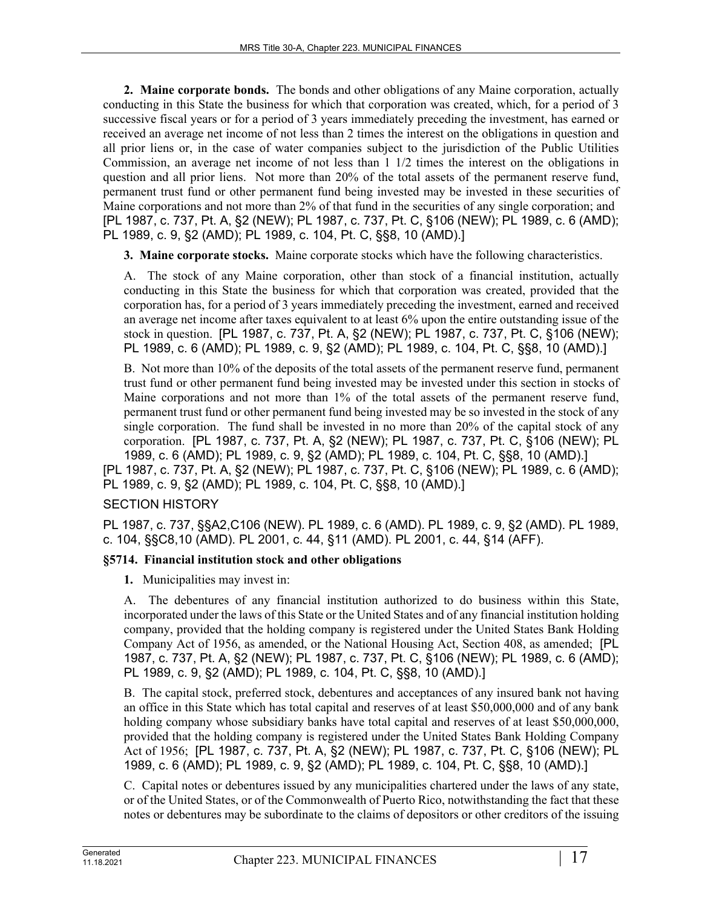**2. Maine corporate bonds.** The bonds and other obligations of any Maine corporation, actually conducting in this State the business for which that corporation was created, which, for a period of 3 successive fiscal years or for a period of 3 years immediately preceding the investment, has earned or received an average net income of not less than 2 times the interest on the obligations in question and all prior liens or, in the case of water companies subject to the jurisdiction of the Public Utilities Commission, an average net income of not less than 1 1/2 times the interest on the obligations in question and all prior liens. Not more than 20% of the total assets of the permanent reserve fund, permanent trust fund or other permanent fund being invested may be invested in these securities of Maine corporations and not more than 2% of that fund in the securities of any single corporation; and [PL 1987, c. 737, Pt. A, §2 (NEW); PL 1987, c. 737, Pt. C, §106 (NEW); PL 1989, c. 6 (AMD); PL 1989, c. 9, §2 (AMD); PL 1989, c. 104, Pt. C, §§8, 10 (AMD).]

**3. Maine corporate stocks.** Maine corporate stocks which have the following characteristics.

A. The stock of any Maine corporation, other than stock of a financial institution, actually conducting in this State the business for which that corporation was created, provided that the corporation has, for a period of 3 years immediately preceding the investment, earned and received an average net income after taxes equivalent to at least 6% upon the entire outstanding issue of the stock in question. [PL 1987, c. 737, Pt. A, §2 (NEW); PL 1987, c. 737, Pt. C, §106 (NEW); PL 1989, c. 6 (AMD); PL 1989, c. 9, §2 (AMD); PL 1989, c. 104, Pt. C, §§8, 10 (AMD).]

B. Not more than 10% of the deposits of the total assets of the permanent reserve fund, permanent trust fund or other permanent fund being invested may be invested under this section in stocks of Maine corporations and not more than 1% of the total assets of the permanent reserve fund, permanent trust fund or other permanent fund being invested may be so invested in the stock of any single corporation. The fund shall be invested in no more than 20% of the capital stock of any corporation. [PL 1987, c. 737, Pt. A, §2 (NEW); PL 1987, c. 737, Pt. C, §106 (NEW); PL 1989, c. 6 (AMD); PL 1989, c. 9, §2 (AMD); PL 1989, c. 104, Pt. C, §§8, 10 (AMD).] [PL 1987, c. 737, Pt. A, §2 (NEW); PL 1987, c. 737, Pt. C, §106 (NEW); PL 1989, c. 6 (AMD); PL 1989, c. 9, §2 (AMD); PL 1989, c. 104, Pt. C, §§8, 10 (AMD).]

# SECTION HISTORY

PL 1987, c. 737, §§A2,C106 (NEW). PL 1989, c. 6 (AMD). PL 1989, c. 9, §2 (AMD). PL 1989, c. 104, §§C8,10 (AMD). PL 2001, c. 44, §11 (AMD). PL 2001, c. 44, §14 (AFF).

# **§5714. Financial institution stock and other obligations**

**1.** Municipalities may invest in:

A. The debentures of any financial institution authorized to do business within this State, incorporated under the laws of this State or the United States and of any financial institution holding company, provided that the holding company is registered under the United States Bank Holding Company Act of 1956, as amended, or the National Housing Act, Section 408, as amended; [PL 1987, c. 737, Pt. A, §2 (NEW); PL 1987, c. 737, Pt. C, §106 (NEW); PL 1989, c. 6 (AMD); PL 1989, c. 9, §2 (AMD); PL 1989, c. 104, Pt. C, §§8, 10 (AMD).]

B. The capital stock, preferred stock, debentures and acceptances of any insured bank not having an office in this State which has total capital and reserves of at least \$50,000,000 and of any bank holding company whose subsidiary banks have total capital and reserves of at least \$50,000,000, provided that the holding company is registered under the United States Bank Holding Company Act of 1956; [PL 1987, c. 737, Pt. A, §2 (NEW); PL 1987, c. 737, Pt. C, §106 (NEW); PL 1989, c. 6 (AMD); PL 1989, c. 9, §2 (AMD); PL 1989, c. 104, Pt. C, §§8, 10 (AMD).]

C. Capital notes or debentures issued by any municipalities chartered under the laws of any state, or of the United States, or of the Commonwealth of Puerto Rico, notwithstanding the fact that these notes or debentures may be subordinate to the claims of depositors or other creditors of the issuing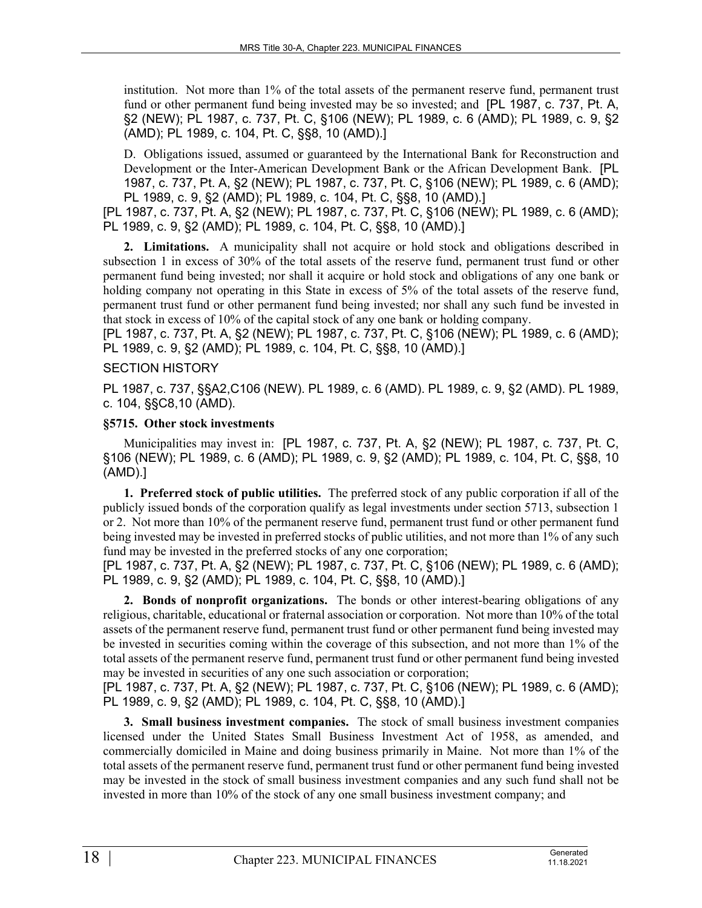institution. Not more than 1% of the total assets of the permanent reserve fund, permanent trust fund or other permanent fund being invested may be so invested; and [PL 1987, c. 737, Pt. A, §2 (NEW); PL 1987, c. 737, Pt. C, §106 (NEW); PL 1989, c. 6 (AMD); PL 1989, c. 9, §2 (AMD); PL 1989, c. 104, Pt. C, §§8, 10 (AMD).]

D. Obligations issued, assumed or guaranteed by the International Bank for Reconstruction and Development or the Inter-American Development Bank or the African Development Bank. [PL 1987, c. 737, Pt. A, §2 (NEW); PL 1987, c. 737, Pt. C, §106 (NEW); PL 1989, c. 6 (AMD); PL 1989, c. 9, §2 (AMD); PL 1989, c. 104, Pt. C, §§8, 10 (AMD).]

[PL 1987, c. 737, Pt. A, §2 (NEW); PL 1987, c. 737, Pt. C, §106 (NEW); PL 1989, c. 6 (AMD); PL 1989, c. 9, §2 (AMD); PL 1989, c. 104, Pt. C, §§8, 10 (AMD).]

**2. Limitations.** A municipality shall not acquire or hold stock and obligations described in subsection 1 in excess of 30% of the total assets of the reserve fund, permanent trust fund or other permanent fund being invested; nor shall it acquire or hold stock and obligations of any one bank or holding company not operating in this State in excess of 5% of the total assets of the reserve fund, permanent trust fund or other permanent fund being invested; nor shall any such fund be invested in that stock in excess of 10% of the capital stock of any one bank or holding company.

[PL 1987, c. 737, Pt. A, §2 (NEW); PL 1987, c. 737, Pt. C, §106 (NEW); PL 1989, c. 6 (AMD); PL 1989, c. 9, §2 (AMD); PL 1989, c. 104, Pt. C, §§8, 10 (AMD).]

### SECTION HISTORY

PL 1987, c. 737, §§A2,C106 (NEW). PL 1989, c. 6 (AMD). PL 1989, c. 9, §2 (AMD). PL 1989, c. 104, §§C8,10 (AMD).

### **§5715. Other stock investments**

Municipalities may invest in: [PL 1987, c. 737, Pt. A, §2 (NEW); PL 1987, c. 737, Pt. C, §106 (NEW); PL 1989, c. 6 (AMD); PL 1989, c. 9, §2 (AMD); PL 1989, c. 104, Pt. C, §§8, 10 (AMD).]

**1. Preferred stock of public utilities.** The preferred stock of any public corporation if all of the publicly issued bonds of the corporation qualify as legal investments under section 5713, subsection 1 or 2. Not more than 10% of the permanent reserve fund, permanent trust fund or other permanent fund being invested may be invested in preferred stocks of public utilities, and not more than 1% of any such fund may be invested in the preferred stocks of any one corporation;

[PL 1987, c. 737, Pt. A, §2 (NEW); PL 1987, c. 737, Pt. C, §106 (NEW); PL 1989, c. 6 (AMD); PL 1989, c. 9, §2 (AMD); PL 1989, c. 104, Pt. C, §§8, 10 (AMD).]

**2. Bonds of nonprofit organizations.** The bonds or other interest-bearing obligations of any religious, charitable, educational or fraternal association or corporation. Not more than 10% of the total assets of the permanent reserve fund, permanent trust fund or other permanent fund being invested may be invested in securities coming within the coverage of this subsection, and not more than 1% of the total assets of the permanent reserve fund, permanent trust fund or other permanent fund being invested may be invested in securities of any one such association or corporation;

[PL 1987, c. 737, Pt. A, §2 (NEW); PL 1987, c. 737, Pt. C, §106 (NEW); PL 1989, c. 6 (AMD); PL 1989, c. 9, §2 (AMD); PL 1989, c. 104, Pt. C, §§8, 10 (AMD).]

**3. Small business investment companies.** The stock of small business investment companies licensed under the United States Small Business Investment Act of 1958, as amended, and commercially domiciled in Maine and doing business primarily in Maine. Not more than 1% of the total assets of the permanent reserve fund, permanent trust fund or other permanent fund being invested may be invested in the stock of small business investment companies and any such fund shall not be invested in more than 10% of the stock of any one small business investment company; and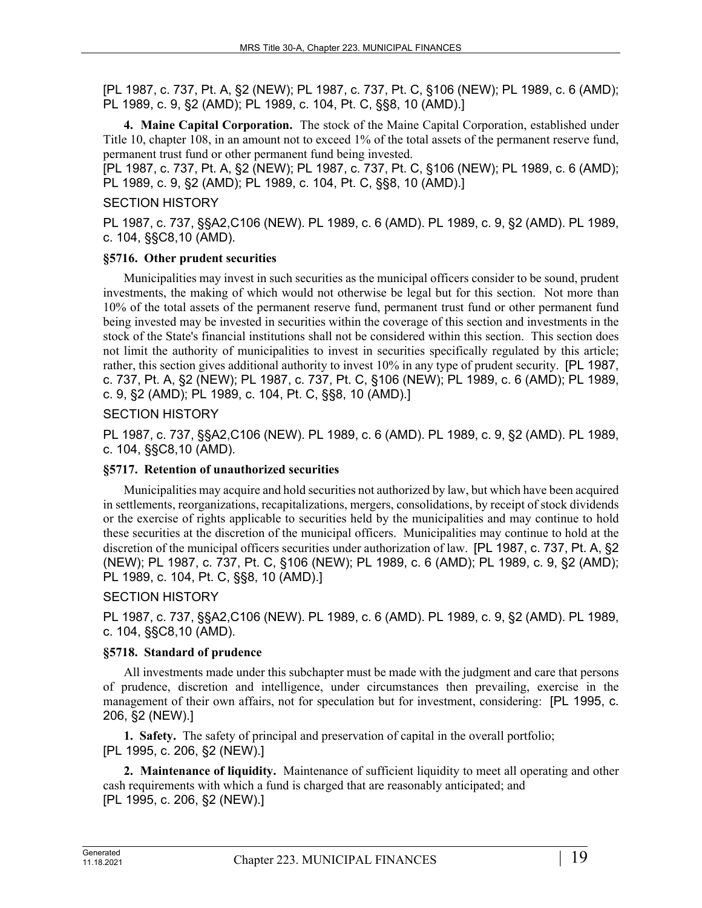**4. Maine Capital Corporation.** The stock of the Maine Capital Corporation, established under Title 10, chapter 108, in an amount not to exceed 1% of the total assets of the permanent reserve fund, permanent trust fund or other permanent fund being invested.

[PL 1987, c. 737, Pt. A, §2 (NEW); PL 1987, c. 737, Pt. C, §106 (NEW); PL 1989, c. 6 (AMD); PL 1989, c. 9, §2 (AMD); PL 1989, c. 104, Pt. C, §§8, 10 (AMD).]

### SECTION HISTORY

PL 1987, c. 737, §§A2,C106 (NEW). PL 1989, c. 6 (AMD). PL 1989, c. 9, §2 (AMD). PL 1989, c. 104, §§C8,10 (AMD).

### **§5716. Other prudent securities**

Municipalities may invest in such securities as the municipal officers consider to be sound, prudent investments, the making of which would not otherwise be legal but for this section. Not more than 10% of the total assets of the permanent reserve fund, permanent trust fund or other permanent fund being invested may be invested in securities within the coverage of this section and investments in the stock of the State's financial institutions shall not be considered within this section. This section does not limit the authority of municipalities to invest in securities specifically regulated by this article; rather, this section gives additional authority to invest 10% in any type of prudent security. [PL 1987, c. 737, Pt. A, §2 (NEW); PL 1987, c. 737, Pt. C, §106 (NEW); PL 1989, c. 6 (AMD); PL 1989, c. 9, §2 (AMD); PL 1989, c. 104, Pt. C, §§8, 10 (AMD).]

### SECTION HISTORY

PL 1987, c. 737, §§A2,C106 (NEW). PL 1989, c. 6 (AMD). PL 1989, c. 9, §2 (AMD). PL 1989, c. 104, §§C8,10 (AMD).

### **§5717. Retention of unauthorized securities**

Municipalities may acquire and hold securities not authorized by law, but which have been acquired in settlements, reorganizations, recapitalizations, mergers, consolidations, by receipt of stock dividends or the exercise of rights applicable to securities held by the municipalities and may continue to hold these securities at the discretion of the municipal officers. Municipalities may continue to hold at the discretion of the municipal officers securities under authorization of law. [PL 1987, c. 737, Pt. A, §2 (NEW); PL 1987, c. 737, Pt. C, §106 (NEW); PL 1989, c. 6 (AMD); PL 1989, c. 9, §2 (AMD); PL 1989, c. 104, Pt. C, §§8, 10 (AMD).]

# SECTION HISTORY

PL 1987, c. 737, §§A2,C106 (NEW). PL 1989, c. 6 (AMD). PL 1989, c. 9, §2 (AMD). PL 1989, c. 104, §§C8,10 (AMD).

### **§5718. Standard of prudence**

All investments made under this subchapter must be made with the judgment and care that persons of prudence, discretion and intelligence, under circumstances then prevailing, exercise in the management of their own affairs, not for speculation but for investment, considering: [PL 1995, c. 206, §2 (NEW).]

**1. Safety.** The safety of principal and preservation of capital in the overall portfolio; [PL 1995, c. 206, §2 (NEW).]

**2. Maintenance of liquidity.** Maintenance of sufficient liquidity to meet all operating and other cash requirements with which a fund is charged that are reasonably anticipated; and [PL 1995, c. 206, §2 (NEW).]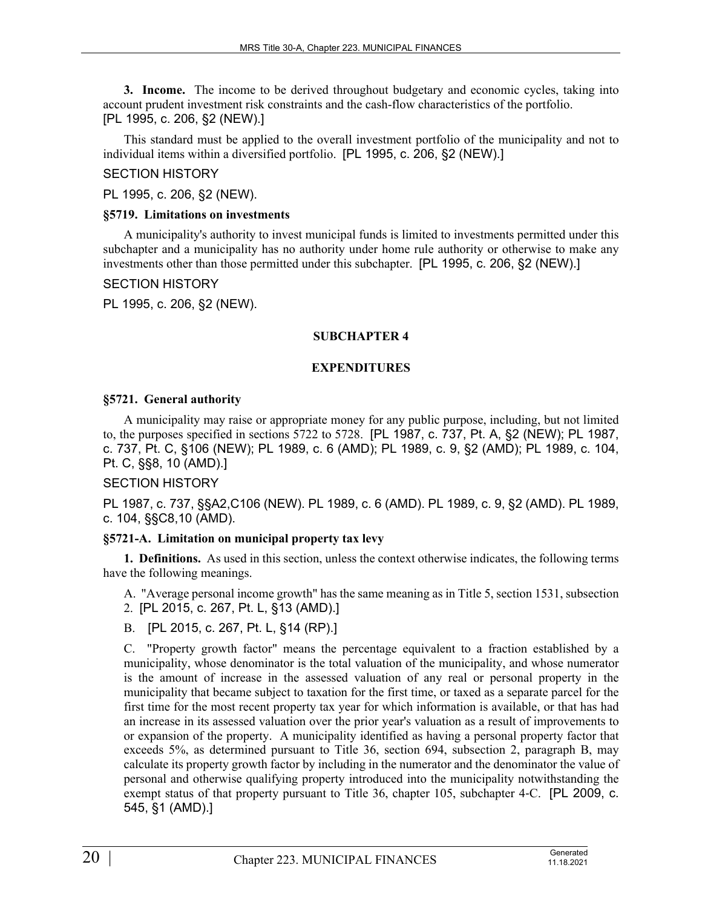**3. Income.** The income to be derived throughout budgetary and economic cycles, taking into account prudent investment risk constraints and the cash-flow characteristics of the portfolio. [PL 1995, c. 206, §2 (NEW).]

This standard must be applied to the overall investment portfolio of the municipality and not to individual items within a diversified portfolio. [PL 1995, c. 206, §2 (NEW).]

### SECTION HISTORY

PL 1995, c. 206, §2 (NEW).

### **§5719. Limitations on investments**

A municipality's authority to invest municipal funds is limited to investments permitted under this subchapter and a municipality has no authority under home rule authority or otherwise to make any investments other than those permitted under this subchapter. [PL 1995, c. 206, §2 (NEW).]

### SECTION HISTORY

PL 1995, c. 206, §2 (NEW).

### **SUBCHAPTER 4**

### **EXPENDITURES**

### **§5721. General authority**

A municipality may raise or appropriate money for any public purpose, including, but not limited to, the purposes specified in sections 5722 to 5728. [PL 1987, c. 737, Pt. A, §2 (NEW); PL 1987, c. 737, Pt. C, §106 (NEW); PL 1989, c. 6 (AMD); PL 1989, c. 9, §2 (AMD); PL 1989, c. 104, Pt. C, §§8, 10 (AMD).]

# SECTION HISTORY

PL 1987, c. 737, §§A2,C106 (NEW). PL 1989, c. 6 (AMD). PL 1989, c. 9, §2 (AMD). PL 1989, c. 104, §§C8,10 (AMD).

# **§5721-A. Limitation on municipal property tax levy**

**1. Definitions.** As used in this section, unless the context otherwise indicates, the following terms have the following meanings.

A. "Average personal income growth" has the same meaning as in Title 5, section 1531, subsection 2. [PL 2015, c. 267, Pt. L, §13 (AMD).]

B. [PL 2015, c. 267, Pt. L, §14 (RP).]

C. "Property growth factor" means the percentage equivalent to a fraction established by a municipality, whose denominator is the total valuation of the municipality, and whose numerator is the amount of increase in the assessed valuation of any real or personal property in the municipality that became subject to taxation for the first time, or taxed as a separate parcel for the first time for the most recent property tax year for which information is available, or that has had an increase in its assessed valuation over the prior year's valuation as a result of improvements to or expansion of the property. A municipality identified as having a personal property factor that exceeds 5%, as determined pursuant to Title 36, section 694, subsection 2, paragraph B, may calculate its property growth factor by including in the numerator and the denominator the value of personal and otherwise qualifying property introduced into the municipality notwithstanding the exempt status of that property pursuant to Title 36, chapter 105, subchapter 4-C. [PL 2009, c. 545, §1 (AMD).]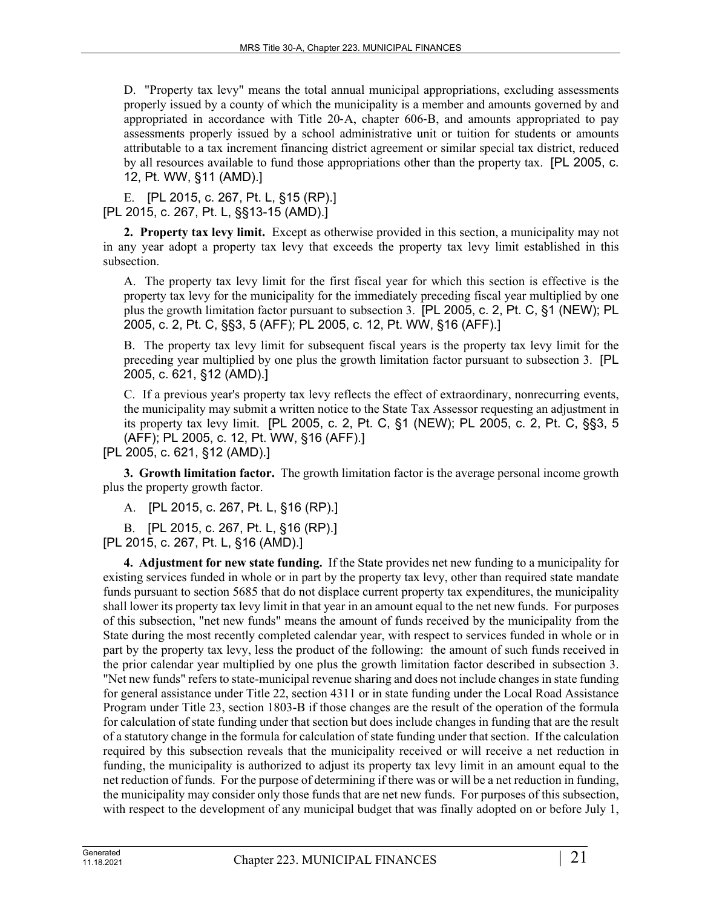D. "Property tax levy" means the total annual municipal appropriations, excluding assessments properly issued by a county of which the municipality is a member and amounts governed by and appropriated in accordance with Title 20‑A, chapter 606‑B, and amounts appropriated to pay assessments properly issued by a school administrative unit or tuition for students or amounts attributable to a tax increment financing district agreement or similar special tax district, reduced by all resources available to fund those appropriations other than the property tax. [PL 2005, c. 12, Pt. WW, §11 (AMD).]

E. [PL 2015, c. 267, Pt. L, §15 (RP).] [PL 2015, c. 267, Pt. L, §§13-15 (AMD).]

**2. Property tax levy limit.** Except as otherwise provided in this section, a municipality may not in any year adopt a property tax levy that exceeds the property tax levy limit established in this subsection.

A. The property tax levy limit for the first fiscal year for which this section is effective is the property tax levy for the municipality for the immediately preceding fiscal year multiplied by one plus the growth limitation factor pursuant to subsection 3. [PL 2005, c. 2, Pt. C, §1 (NEW); PL 2005, c. 2, Pt. C, §§3, 5 (AFF); PL 2005, c. 12, Pt. WW, §16 (AFF).]

B. The property tax levy limit for subsequent fiscal years is the property tax levy limit for the preceding year multiplied by one plus the growth limitation factor pursuant to subsection 3. [PL 2005, c. 621, §12 (AMD).]

C. If a previous year's property tax levy reflects the effect of extraordinary, nonrecurring events, the municipality may submit a written notice to the State Tax Assessor requesting an adjustment in its property tax levy limit. [PL 2005, c. 2, Pt. C, §1 (NEW); PL 2005, c. 2, Pt. C, §§3, 5 (AFF); PL 2005, c. 12, Pt. WW, §16 (AFF).]

[PL 2005, c. 621, §12 (AMD).]

**3. Growth limitation factor.** The growth limitation factor is the average personal income growth plus the property growth factor.

A. [PL 2015, c. 267, Pt. L, §16 (RP).]

B. [PL 2015, c. 267, Pt. L, §16 (RP).]

[PL 2015, c. 267, Pt. L, §16 (AMD).]

**4. Adjustment for new state funding.** If the State provides net new funding to a municipality for existing services funded in whole or in part by the property tax levy, other than required state mandate funds pursuant to section 5685 that do not displace current property tax expenditures, the municipality shall lower its property tax levy limit in that year in an amount equal to the net new funds. For purposes of this subsection, "net new funds" means the amount of funds received by the municipality from the State during the most recently completed calendar year, with respect to services funded in whole or in part by the property tax levy, less the product of the following: the amount of such funds received in the prior calendar year multiplied by one plus the growth limitation factor described in subsection 3. "Net new funds" refers to state-municipal revenue sharing and does not include changes in state funding for general assistance under Title 22, section 4311 or in state funding under the Local Road Assistance Program under Title 23, section 1803-B if those changes are the result of the operation of the formula for calculation of state funding under that section but does include changes in funding that are the result of a statutory change in the formula for calculation of state funding under that section. If the calculation required by this subsection reveals that the municipality received or will receive a net reduction in funding, the municipality is authorized to adjust its property tax levy limit in an amount equal to the net reduction of funds. For the purpose of determining if there was or will be a net reduction in funding, the municipality may consider only those funds that are net new funds. For purposes of this subsection, with respect to the development of any municipal budget that was finally adopted on or before July 1,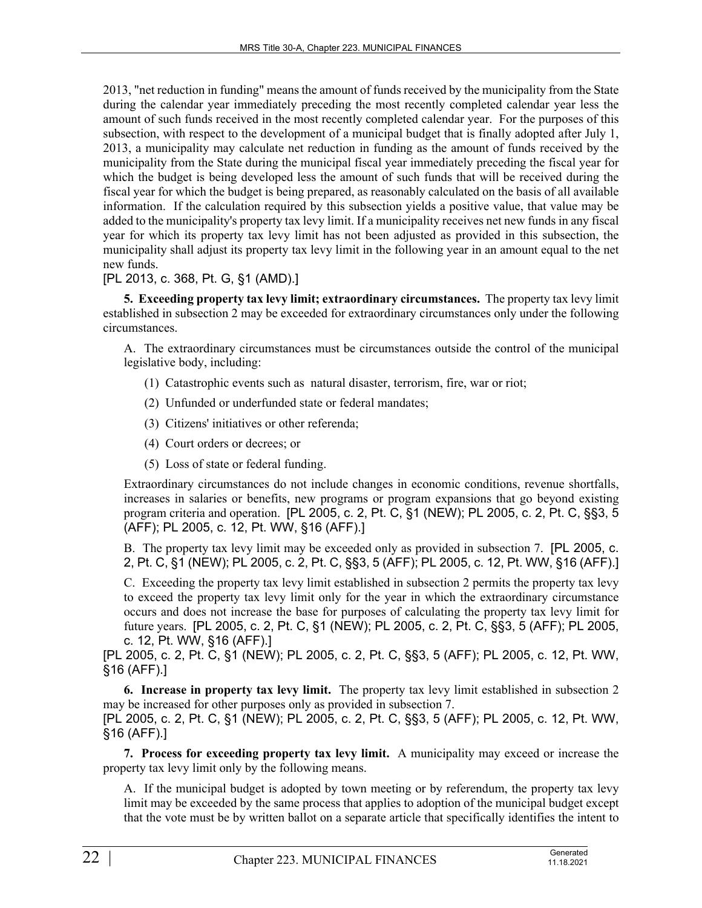2013, "net reduction in funding" means the amount of funds received by the municipality from the State during the calendar year immediately preceding the most recently completed calendar year less the amount of such funds received in the most recently completed calendar year. For the purposes of this subsection, with respect to the development of a municipal budget that is finally adopted after July 1, 2013, a municipality may calculate net reduction in funding as the amount of funds received by the municipality from the State during the municipal fiscal year immediately preceding the fiscal year for which the budget is being developed less the amount of such funds that will be received during the fiscal year for which the budget is being prepared, as reasonably calculated on the basis of all available information. If the calculation required by this subsection yields a positive value, that value may be added to the municipality's property tax levy limit. If a municipality receives net new funds in any fiscal year for which its property tax levy limit has not been adjusted as provided in this subsection, the municipality shall adjust its property tax levy limit in the following year in an amount equal to the net new funds.

# [PL 2013, c. 368, Pt. G, §1 (AMD).]

**5. Exceeding property tax levy limit; extraordinary circumstances.** The property tax levy limit established in subsection 2 may be exceeded for extraordinary circumstances only under the following circumstances.

A. The extraordinary circumstances must be circumstances outside the control of the municipal legislative body, including:

- (1) Catastrophic events such as natural disaster, terrorism, fire, war or riot;
- (2) Unfunded or underfunded state or federal mandates;
- (3) Citizens' initiatives or other referenda;
- (4) Court orders or decrees; or
- (5) Loss of state or federal funding.

Extraordinary circumstances do not include changes in economic conditions, revenue shortfalls, increases in salaries or benefits, new programs or program expansions that go beyond existing program criteria and operation. [PL 2005, c. 2, Pt. C, §1 (NEW); PL 2005, c. 2, Pt. C, §§3, 5 (AFF); PL 2005, c. 12, Pt. WW, §16 (AFF).]

B. The property tax levy limit may be exceeded only as provided in subsection 7. [PL 2005, c. 2, Pt. C, §1 (NEW); PL 2005, c. 2, Pt. C, §§3, 5 (AFF); PL 2005, c. 12, Pt. WW, §16 (AFF).]

C. Exceeding the property tax levy limit established in subsection 2 permits the property tax levy to exceed the property tax levy limit only for the year in which the extraordinary circumstance occurs and does not increase the base for purposes of calculating the property tax levy limit for future years. [PL 2005, c. 2, Pt. C, §1 (NEW); PL 2005, c. 2, Pt. C, §§3, 5 (AFF); PL 2005, c. 12, Pt. WW, §16 (AFF).]

[PL 2005, c. 2, Pt. C, §1 (NEW); PL 2005, c. 2, Pt. C, §§3, 5 (AFF); PL 2005, c. 12, Pt. WW, §16 (AFF).]

**6. Increase in property tax levy limit.** The property tax levy limit established in subsection 2 may be increased for other purposes only as provided in subsection 7.

[PL 2005, c. 2, Pt. C, §1 (NEW); PL 2005, c. 2, Pt. C, §§3, 5 (AFF); PL 2005, c. 12, Pt. WW, §16 (AFF).]

**7. Process for exceeding property tax levy limit.** A municipality may exceed or increase the property tax levy limit only by the following means.

A. If the municipal budget is adopted by town meeting or by referendum, the property tax levy limit may be exceeded by the same process that applies to adoption of the municipal budget except that the vote must be by written ballot on a separate article that specifically identifies the intent to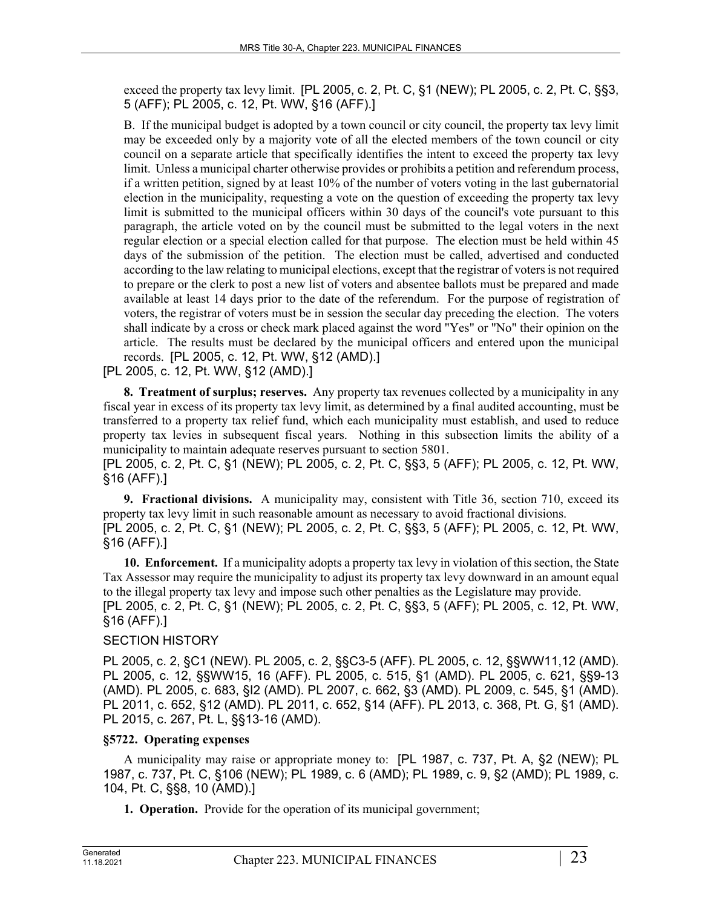exceed the property tax levy limit. [PL 2005, c. 2, Pt. C, §1 (NEW); PL 2005, c. 2, Pt. C, §§3, 5 (AFF); PL 2005, c. 12, Pt. WW, §16 (AFF).]

B. If the municipal budget is adopted by a town council or city council, the property tax levy limit may be exceeded only by a majority vote of all the elected members of the town council or city council on a separate article that specifically identifies the intent to exceed the property tax levy limit. Unless a municipal charter otherwise provides or prohibits a petition and referendum process, if a written petition, signed by at least 10% of the number of voters voting in the last gubernatorial election in the municipality, requesting a vote on the question of exceeding the property tax levy limit is submitted to the municipal officers within 30 days of the council's vote pursuant to this paragraph, the article voted on by the council must be submitted to the legal voters in the next regular election or a special election called for that purpose. The election must be held within 45 days of the submission of the petition. The election must be called, advertised and conducted according to the law relating to municipal elections, except that the registrar of voters is not required to prepare or the clerk to post a new list of voters and absentee ballots must be prepared and made available at least 14 days prior to the date of the referendum. For the purpose of registration of voters, the registrar of voters must be in session the secular day preceding the election. The voters shall indicate by a cross or check mark placed against the word "Yes" or "No" their opinion on the article. The results must be declared by the municipal officers and entered upon the municipal records. [PL 2005, c. 12, Pt. WW, §12 (AMD).]

[PL 2005, c. 12, Pt. WW, §12 (AMD).]

**8. Treatment of surplus; reserves.** Any property tax revenues collected by a municipality in any fiscal year in excess of its property tax levy limit, as determined by a final audited accounting, must be transferred to a property tax relief fund, which each municipality must establish, and used to reduce property tax levies in subsequent fiscal years. Nothing in this subsection limits the ability of a municipality to maintain adequate reserves pursuant to section 5801.

[PL 2005, c. 2, Pt. C, §1 (NEW); PL 2005, c. 2, Pt. C, §§3, 5 (AFF); PL 2005, c. 12, Pt. WW, §16 (AFF).]

**9. Fractional divisions.** A municipality may, consistent with Title 36, section 710, exceed its property tax levy limit in such reasonable amount as necessary to avoid fractional divisions. [PL 2005, c. 2, Pt. C, §1 (NEW); PL 2005, c. 2, Pt. C, §§3, 5 (AFF); PL 2005, c. 12, Pt. WW, §16 (AFF).]

**10. Enforcement.** If a municipality adopts a property tax levy in violation of this section, the State Tax Assessor may require the municipality to adjust its property tax levy downward in an amount equal to the illegal property tax levy and impose such other penalties as the Legislature may provide. [PL 2005, c. 2, Pt. C, §1 (NEW); PL 2005, c. 2, Pt. C, §§3, 5 (AFF); PL 2005, c. 12, Pt. WW,

§16 (AFF).]

### SECTION HISTORY

PL 2005, c. 2, §C1 (NEW). PL 2005, c. 2, §§C3-5 (AFF). PL 2005, c. 12, §§WW11,12 (AMD). PL 2005, c. 12, §§WW15, 16 (AFF). PL 2005, c. 515, §1 (AMD). PL 2005, c. 621, §§9-13 (AMD). PL 2005, c. 683, §I2 (AMD). PL 2007, c. 662, §3 (AMD). PL 2009, c. 545, §1 (AMD). PL 2011, c. 652, §12 (AMD). PL 2011, c. 652, §14 (AFF). PL 2013, c. 368, Pt. G, §1 (AMD). PL 2015, c. 267, Pt. L, §§13-16 (AMD).

# **§5722. Operating expenses**

A municipality may raise or appropriate money to: [PL 1987, c. 737, Pt. A, §2 (NEW); PL 1987, c. 737, Pt. C, §106 (NEW); PL 1989, c. 6 (AMD); PL 1989, c. 9, §2 (AMD); PL 1989, c. 104, Pt. C, §§8, 10 (AMD).]

**1. Operation.** Provide for the operation of its municipal government;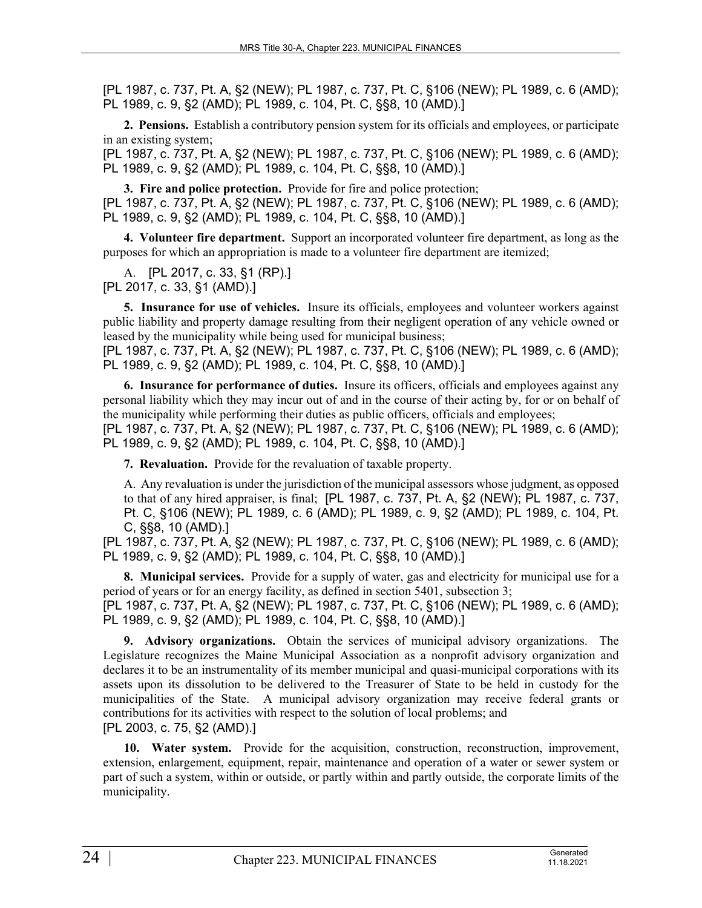**2. Pensions.** Establish a contributory pension system for its officials and employees, or participate in an existing system;

[PL 1987, c. 737, Pt. A, §2 (NEW); PL 1987, c. 737, Pt. C, §106 (NEW); PL 1989, c. 6 (AMD); PL 1989, c. 9, §2 (AMD); PL 1989, c. 104, Pt. C, §§8, 10 (AMD).]

**3. Fire and police protection.** Provide for fire and police protection; [PL 1987, c. 737, Pt. A, §2 (NEW); PL 1987, c. 737, Pt. C, §106 (NEW); PL 1989, c. 6 (AMD); PL 1989, c. 9, §2 (AMD); PL 1989, c. 104, Pt. C, §§8, 10 (AMD).]

**4. Volunteer fire department.** Support an incorporated volunteer fire department, as long as the purposes for which an appropriation is made to a volunteer fire department are itemized;

A. [PL 2017, c. 33, §1 (RP).] [PL 2017, c. 33, §1 (AMD).]

**5. Insurance for use of vehicles.** Insure its officials, employees and volunteer workers against public liability and property damage resulting from their negligent operation of any vehicle owned or leased by the municipality while being used for municipal business;

[PL 1987, c. 737, Pt. A, §2 (NEW); PL 1987, c. 737, Pt. C, §106 (NEW); PL 1989, c. 6 (AMD); PL 1989, c. 9, §2 (AMD); PL 1989, c. 104, Pt. C, §§8, 10 (AMD).]

**6. Insurance for performance of duties.** Insure its officers, officials and employees against any personal liability which they may incur out of and in the course of their acting by, for or on behalf of the municipality while performing their duties as public officers, officials and employees;

[PL 1987, c. 737, Pt. A, §2 (NEW); PL 1987, c. 737, Pt. C, §106 (NEW); PL 1989, c. 6 (AMD); PL 1989, c. 9, §2 (AMD); PL 1989, c. 104, Pt. C, §§8, 10 (AMD).]

**7. Revaluation.** Provide for the revaluation of taxable property.

A. Any revaluation is under the jurisdiction of the municipal assessors whose judgment, as opposed to that of any hired appraiser, is final; [PL 1987, c. 737, Pt. A, §2 (NEW); PL 1987, c. 737, Pt. C, §106 (NEW); PL 1989, c. 6 (AMD); PL 1989, c. 9, §2 (AMD); PL 1989, c. 104, Pt. C, §§8, 10 (AMD).]

[PL 1987, c. 737, Pt. A, §2 (NEW); PL 1987, c. 737, Pt. C, §106 (NEW); PL 1989, c. 6 (AMD); PL 1989, c. 9, §2 (AMD); PL 1989, c. 104, Pt. C, §§8, 10 (AMD).]

**8. Municipal services.** Provide for a supply of water, gas and electricity for municipal use for a period of years or for an energy facility, as defined in section 5401, subsection 3; [PL 1987, c. 737, Pt. A, §2 (NEW); PL 1987, c. 737, Pt. C, §106 (NEW); PL 1989, c. 6 (AMD); PL 1989, c. 9, §2 (AMD); PL 1989, c. 104, Pt. C, §§8, 10 (AMD).]

**9. Advisory organizations.** Obtain the services of municipal advisory organizations. The Legislature recognizes the Maine Municipal Association as a nonprofit advisory organization and declares it to be an instrumentality of its member municipal and quasi-municipal corporations with its assets upon its dissolution to be delivered to the Treasurer of State to be held in custody for the municipalities of the State. A municipal advisory organization may receive federal grants or contributions for its activities with respect to the solution of local problems; and [PL 2003, c. 75, §2 (AMD).]

**10. Water system.** Provide for the acquisition, construction, reconstruction, improvement, extension, enlargement, equipment, repair, maintenance and operation of a water or sewer system or part of such a system, within or outside, or partly within and partly outside, the corporate limits of the municipality.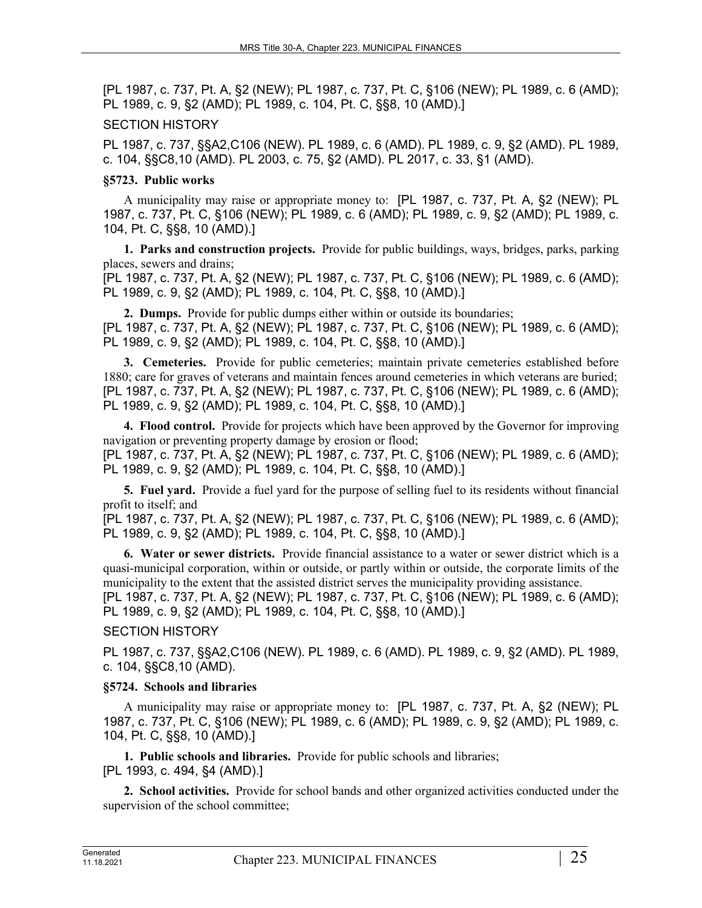### SECTION HISTORY

PL 1987, c. 737, §§A2,C106 (NEW). PL 1989, c. 6 (AMD). PL 1989, c. 9, §2 (AMD). PL 1989, c. 104, §§C8,10 (AMD). PL 2003, c. 75, §2 (AMD). PL 2017, c. 33, §1 (AMD).

### **§5723. Public works**

A municipality may raise or appropriate money to: [PL 1987, c. 737, Pt. A, §2 (NEW); PL 1987, c. 737, Pt. C, §106 (NEW); PL 1989, c. 6 (AMD); PL 1989, c. 9, §2 (AMD); PL 1989, c. 104, Pt. C, §§8, 10 (AMD).]

**1. Parks and construction projects.** Provide for public buildings, ways, bridges, parks, parking places, sewers and drains;

[PL 1987, c. 737, Pt. A, §2 (NEW); PL 1987, c. 737, Pt. C, §106 (NEW); PL 1989, c. 6 (AMD); PL 1989, c. 9, §2 (AMD); PL 1989, c. 104, Pt. C, §§8, 10 (AMD).]

**2. Dumps.** Provide for public dumps either within or outside its boundaries; [PL 1987, c. 737, Pt. A, §2 (NEW); PL 1987, c. 737, Pt. C, §106 (NEW); PL 1989, c. 6 (AMD); PL 1989, c. 9, §2 (AMD); PL 1989, c. 104, Pt. C, §§8, 10 (AMD).]

**3. Cemeteries.** Provide for public cemeteries; maintain private cemeteries established before 1880; care for graves of veterans and maintain fences around cemeteries in which veterans are buried; [PL 1987, c. 737, Pt. A, §2 (NEW); PL 1987, c. 737, Pt. C, §106 (NEW); PL 1989, c. 6 (AMD); PL 1989, c. 9, §2 (AMD); PL 1989, c. 104, Pt. C, §§8, 10 (AMD).]

**4. Flood control.** Provide for projects which have been approved by the Governor for improving navigation or preventing property damage by erosion or flood; [PL 1987, c. 737, Pt. A, §2 (NEW); PL 1987, c. 737, Pt. C, §106 (NEW); PL 1989, c. 6 (AMD); PL 1989, c. 9, §2 (AMD); PL 1989, c. 104, Pt. C, §§8, 10 (AMD).]

**5. Fuel yard.** Provide a fuel yard for the purpose of selling fuel to its residents without financial profit to itself; and

[PL 1987, c. 737, Pt. A, §2 (NEW); PL 1987, c. 737, Pt. C, §106 (NEW); PL 1989, c. 6 (AMD); PL 1989, c. 9, §2 (AMD); PL 1989, c. 104, Pt. C, §§8, 10 (AMD).]

**6. Water or sewer districts.** Provide financial assistance to a water or sewer district which is a quasi-municipal corporation, within or outside, or partly within or outside, the corporate limits of the municipality to the extent that the assisted district serves the municipality providing assistance.

[PL 1987, c. 737, Pt. A, §2 (NEW); PL 1987, c. 737, Pt. C, §106 (NEW); PL 1989, c. 6 (AMD); PL 1989, c. 9, §2 (AMD); PL 1989, c. 104, Pt. C, §§8, 10 (AMD).]

# SECTION HISTORY

PL 1987, c. 737, §§A2,C106 (NEW). PL 1989, c. 6 (AMD). PL 1989, c. 9, §2 (AMD). PL 1989, c. 104, §§C8,10 (AMD).

# **§5724. Schools and libraries**

A municipality may raise or appropriate money to: [PL 1987, c. 737, Pt. A, §2 (NEW); PL 1987, c. 737, Pt. C, §106 (NEW); PL 1989, c. 6 (AMD); PL 1989, c. 9, §2 (AMD); PL 1989, c. 104, Pt. C, §§8, 10 (AMD).]

**1. Public schools and libraries.** Provide for public schools and libraries; [PL 1993, c. 494, §4 (AMD).]

**2. School activities.** Provide for school bands and other organized activities conducted under the supervision of the school committee;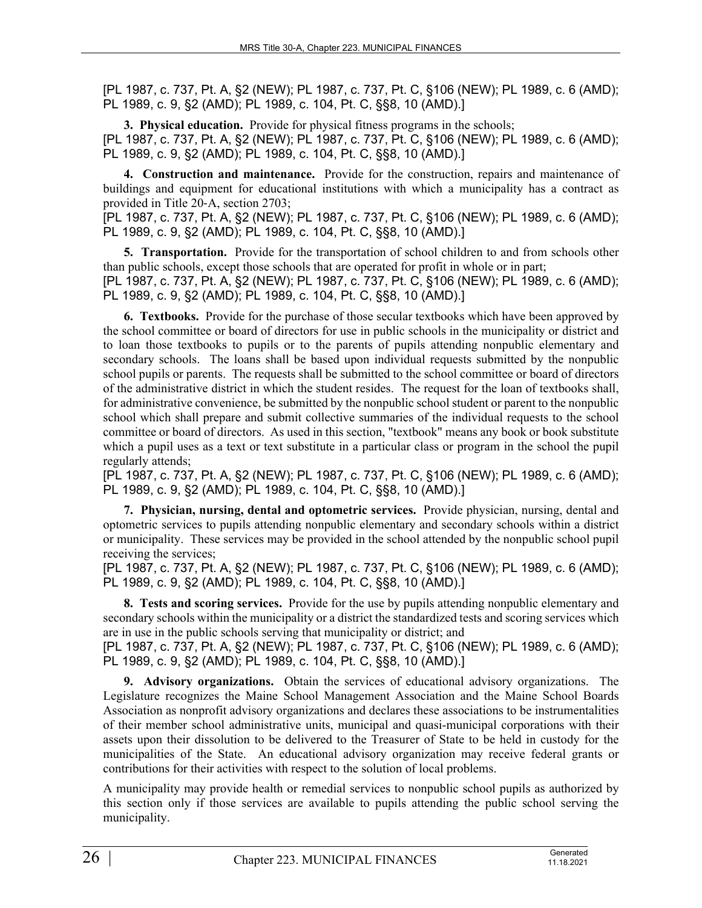**3. Physical education.** Provide for physical fitness programs in the schools; [PL 1987, c. 737, Pt. A, §2 (NEW); PL 1987, c. 737, Pt. C, §106 (NEW); PL 1989, c. 6 (AMD); PL 1989, c. 9, §2 (AMD); PL 1989, c. 104, Pt. C, §§8, 10 (AMD).]

**4. Construction and maintenance.** Provide for the construction, repairs and maintenance of buildings and equipment for educational institutions with which a municipality has a contract as provided in Title 20‑A, section 2703;

[PL 1987, c. 737, Pt. A, §2 (NEW); PL 1987, c. 737, Pt. C, §106 (NEW); PL 1989, c. 6 (AMD); PL 1989, c. 9, §2 (AMD); PL 1989, c. 104, Pt. C, §§8, 10 (AMD).]

**5. Transportation.** Provide for the transportation of school children to and from schools other than public schools, except those schools that are operated for profit in whole or in part; [PL 1987, c. 737, Pt. A, §2 (NEW); PL 1987, c. 737, Pt. C, §106 (NEW); PL 1989, c. 6 (AMD); PL 1989, c. 9, §2 (AMD); PL 1989, c. 104, Pt. C, §§8, 10 (AMD).]

**6. Textbooks.** Provide for the purchase of those secular textbooks which have been approved by the school committee or board of directors for use in public schools in the municipality or district and to loan those textbooks to pupils or to the parents of pupils attending nonpublic elementary and secondary schools. The loans shall be based upon individual requests submitted by the nonpublic school pupils or parents. The requests shall be submitted to the school committee or board of directors of the administrative district in which the student resides. The request for the loan of textbooks shall, for administrative convenience, be submitted by the nonpublic school student or parent to the nonpublic school which shall prepare and submit collective summaries of the individual requests to the school committee or board of directors. As used in this section, "textbook" means any book or book substitute which a pupil uses as a text or text substitute in a particular class or program in the school the pupil regularly attends;

[PL 1987, c. 737, Pt. A, §2 (NEW); PL 1987, c. 737, Pt. C, §106 (NEW); PL 1989, c. 6 (AMD); PL 1989, c. 9, §2 (AMD); PL 1989, c. 104, Pt. C, §§8, 10 (AMD).]

**7. Physician, nursing, dental and optometric services.** Provide physician, nursing, dental and optometric services to pupils attending nonpublic elementary and secondary schools within a district or municipality. These services may be provided in the school attended by the nonpublic school pupil receiving the services;

[PL 1987, c. 737, Pt. A, §2 (NEW); PL 1987, c. 737, Pt. C, §106 (NEW); PL 1989, c. 6 (AMD); PL 1989, c. 9, §2 (AMD); PL 1989, c. 104, Pt. C, §§8, 10 (AMD).]

**8. Tests and scoring services.** Provide for the use by pupils attending nonpublic elementary and secondary schools within the municipality or a district the standardized tests and scoring services which are in use in the public schools serving that municipality or district; and

[PL 1987, c. 737, Pt. A, §2 (NEW); PL 1987, c. 737, Pt. C, §106 (NEW); PL 1989, c. 6 (AMD); PL 1989, c. 9, §2 (AMD); PL 1989, c. 104, Pt. C, §§8, 10 (AMD).]

**9. Advisory organizations.** Obtain the services of educational advisory organizations. The Legislature recognizes the Maine School Management Association and the Maine School Boards Association as nonprofit advisory organizations and declares these associations to be instrumentalities of their member school administrative units, municipal and quasi-municipal corporations with their assets upon their dissolution to be delivered to the Treasurer of State to be held in custody for the municipalities of the State. An educational advisory organization may receive federal grants or contributions for their activities with respect to the solution of local problems.

A municipality may provide health or remedial services to nonpublic school pupils as authorized by this section only if those services are available to pupils attending the public school serving the municipality.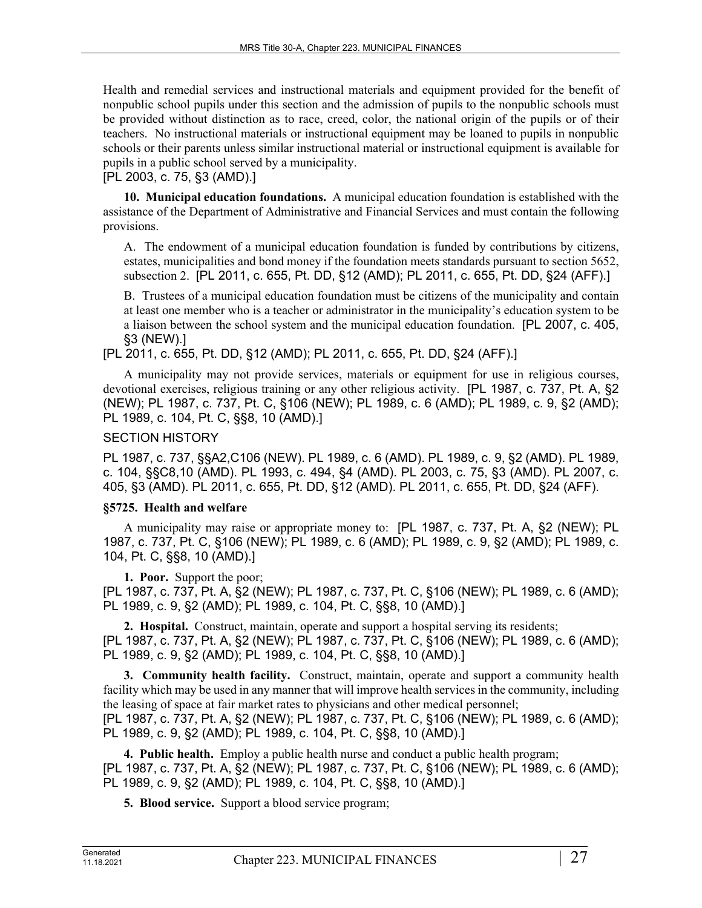Health and remedial services and instructional materials and equipment provided for the benefit of nonpublic school pupils under this section and the admission of pupils to the nonpublic schools must be provided without distinction as to race, creed, color, the national origin of the pupils or of their teachers. No instructional materials or instructional equipment may be loaned to pupils in nonpublic schools or their parents unless similar instructional material or instructional equipment is available for pupils in a public school served by a municipality.

[PL 2003, c. 75, §3 (AMD).]

**10. Municipal education foundations.** A municipal education foundation is established with the assistance of the Department of Administrative and Financial Services and must contain the following provisions.

A. The endowment of a municipal education foundation is funded by contributions by citizens, estates, municipalities and bond money if the foundation meets standards pursuant to section 5652, subsection 2. [PL 2011, c. 655, Pt. DD, §12 (AMD); PL 2011, c. 655, Pt. DD, §24 (AFF).]

B. Trustees of a municipal education foundation must be citizens of the municipality and contain at least one member who is a teacher or administrator in the municipality's education system to be a liaison between the school system and the municipal education foundation. [PL 2007, c. 405, §3 (NEW).]

[PL 2011, c. 655, Pt. DD, §12 (AMD); PL 2011, c. 655, Pt. DD, §24 (AFF).]

A municipality may not provide services, materials or equipment for use in religious courses, devotional exercises, religious training or any other religious activity. [PL 1987, c. 737, Pt. A, §2 (NEW); PL 1987, c. 737, Pt. C, §106 (NEW); PL 1989, c. 6 (AMD); PL 1989, c. 9, §2 (AMD); PL 1989, c. 104, Pt. C, §§8, 10 (AMD).]

### SECTION HISTORY

PL 1987, c. 737, §§A2,C106 (NEW). PL 1989, c. 6 (AMD). PL 1989, c. 9, §2 (AMD). PL 1989, c. 104, §§C8,10 (AMD). PL 1993, c. 494, §4 (AMD). PL 2003, c. 75, §3 (AMD). PL 2007, c. 405, §3 (AMD). PL 2011, c. 655, Pt. DD, §12 (AMD). PL 2011, c. 655, Pt. DD, §24 (AFF).

### **§5725. Health and welfare**

A municipality may raise or appropriate money to: [PL 1987, c. 737, Pt. A, §2 (NEW); PL 1987, c. 737, Pt. C, §106 (NEW); PL 1989, c. 6 (AMD); PL 1989, c. 9, §2 (AMD); PL 1989, c. 104, Pt. C, §§8, 10 (AMD).]

**1. Poor.** Support the poor; [PL 1987, c. 737, Pt. A, §2 (NEW); PL 1987, c. 737, Pt. C, §106 (NEW); PL 1989, c. 6 (AMD); PL 1989, c. 9, §2 (AMD); PL 1989, c. 104, Pt. C, §§8, 10 (AMD).]

**2. Hospital.** Construct, maintain, operate and support a hospital serving its residents; [PL 1987, c. 737, Pt. A, §2 (NEW); PL 1987, c. 737, Pt. C, §106 (NEW); PL 1989, c. 6 (AMD); PL 1989, c. 9, §2 (AMD); PL 1989, c. 104, Pt. C, §§8, 10 (AMD).]

**3. Community health facility.** Construct, maintain, operate and support a community health facility which may be used in any manner that will improve health services in the community, including the leasing of space at fair market rates to physicians and other medical personnel;

[PL 1987, c. 737, Pt. A, §2 (NEW); PL 1987, c. 737, Pt. C, §106 (NEW); PL 1989, c. 6 (AMD); PL 1989, c. 9, §2 (AMD); PL 1989, c. 104, Pt. C, §§8, 10 (AMD).]

**4. Public health.** Employ a public health nurse and conduct a public health program; [PL 1987, c. 737, Pt. A, §2 (NEW); PL 1987, c. 737, Pt. C, §106 (NEW); PL 1989, c. 6 (AMD); PL 1989, c. 9, §2 (AMD); PL 1989, c. 104, Pt. C, §§8, 10 (AMD).]

**5. Blood service.** Support a blood service program;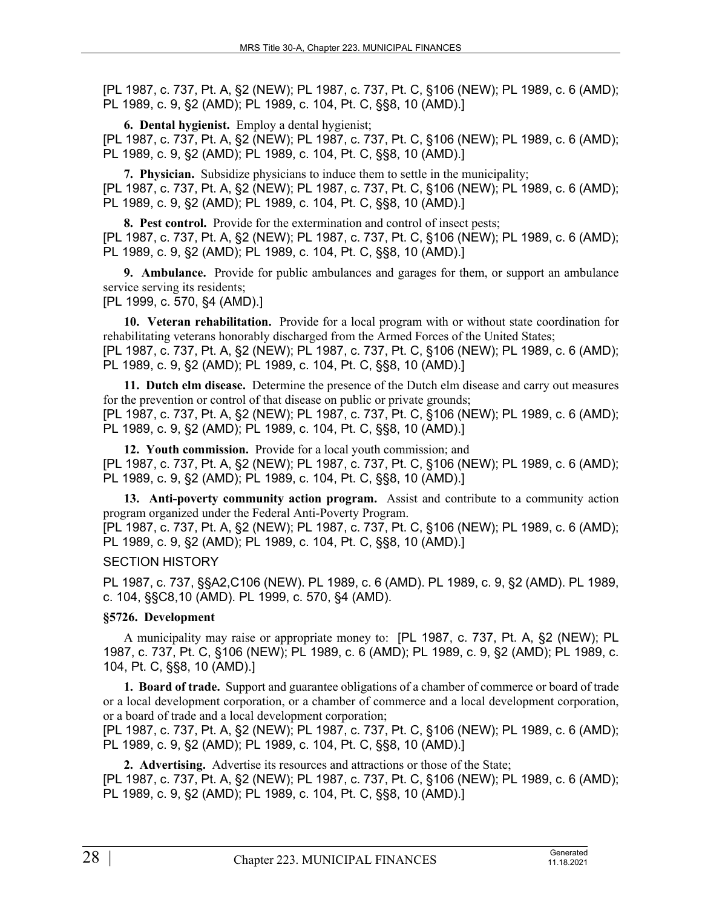**6. Dental hygienist.** Employ a dental hygienist; [PL 1987, c. 737, Pt. A, §2 (NEW); PL 1987, c. 737, Pt. C, §106 (NEW); PL 1989, c. 6 (AMD); PL 1989, c. 9, §2 (AMD); PL 1989, c. 104, Pt. C, §§8, 10 (AMD).]

**7. Physician.** Subsidize physicians to induce them to settle in the municipality; [PL 1987, c. 737, Pt. A, §2 (NEW); PL 1987, c. 737, Pt. C, §106 (NEW); PL 1989, c. 6 (AMD); PL 1989, c. 9, §2 (AMD); PL 1989, c. 104, Pt. C, §§8, 10 (AMD).]

**8. Pest control.** Provide for the extermination and control of insect pests; [PL 1987, c. 737, Pt. A, §2 (NEW); PL 1987, c. 737, Pt. C, §106 (NEW); PL 1989, c. 6 (AMD); PL 1989, c. 9, §2 (AMD); PL 1989, c. 104, Pt. C, §§8, 10 (AMD).]

**9. Ambulance.** Provide for public ambulances and garages for them, or support an ambulance service serving its residents;

[PL 1999, c. 570, §4 (AMD).]

**10. Veteran rehabilitation.** Provide for a local program with or without state coordination for rehabilitating veterans honorably discharged from the Armed Forces of the United States; [PL 1987, c. 737, Pt. A, §2 (NEW); PL 1987, c. 737, Pt. C, §106 (NEW); PL 1989, c. 6 (AMD);

PL 1989, c. 9, §2 (AMD); PL 1989, c. 104, Pt. C, §§8, 10 (AMD).]

**11. Dutch elm disease.** Determine the presence of the Dutch elm disease and carry out measures for the prevention or control of that disease on public or private grounds; [PL 1987, c. 737, Pt. A, §2 (NEW); PL 1987, c. 737, Pt. C, §106 (NEW); PL 1989, c. 6 (AMD); PL 1989, c. 9, §2 (AMD); PL 1989, c. 104, Pt. C, §§8, 10 (AMD).]

**12. Youth commission.** Provide for a local youth commission; and [PL 1987, c. 737, Pt. A, §2 (NEW); PL 1987, c. 737, Pt. C, §106 (NEW); PL 1989, c. 6 (AMD); PL 1989, c. 9, §2 (AMD); PL 1989, c. 104, Pt. C, §§8, 10 (AMD).]

**13. Anti-poverty community action program.** Assist and contribute to a community action program organized under the Federal Anti-Poverty Program.

[PL 1987, c. 737, Pt. A, §2 (NEW); PL 1987, c. 737, Pt. C, §106 (NEW); PL 1989, c. 6 (AMD); PL 1989, c. 9, §2 (AMD); PL 1989, c. 104, Pt. C, §§8, 10 (AMD).]

# SECTION HISTORY

PL 1987, c. 737, §§A2,C106 (NEW). PL 1989, c. 6 (AMD). PL 1989, c. 9, §2 (AMD). PL 1989, c. 104, §§C8,10 (AMD). PL 1999, c. 570, §4 (AMD).

# **§5726. Development**

A municipality may raise or appropriate money to: [PL 1987, c. 737, Pt. A, §2 (NEW); PL 1987, c. 737, Pt. C, §106 (NEW); PL 1989, c. 6 (AMD); PL 1989, c. 9, §2 (AMD); PL 1989, c. 104, Pt. C, §§8, 10 (AMD).]

**1. Board of trade.** Support and guarantee obligations of a chamber of commerce or board of trade or a local development corporation, or a chamber of commerce and a local development corporation, or a board of trade and a local development corporation;

[PL 1987, c. 737, Pt. A, §2 (NEW); PL 1987, c. 737, Pt. C, §106 (NEW); PL 1989, c. 6 (AMD); PL 1989, c. 9, §2 (AMD); PL 1989, c. 104, Pt. C, §§8, 10 (AMD).]

**2. Advertising.** Advertise its resources and attractions or those of the State; [PL 1987, c. 737, Pt. A, §2 (NEW); PL 1987, c. 737, Pt. C, §106 (NEW); PL 1989, c. 6 (AMD); PL 1989, c. 9, §2 (AMD); PL 1989, c. 104, Pt. C, §§8, 10 (AMD).]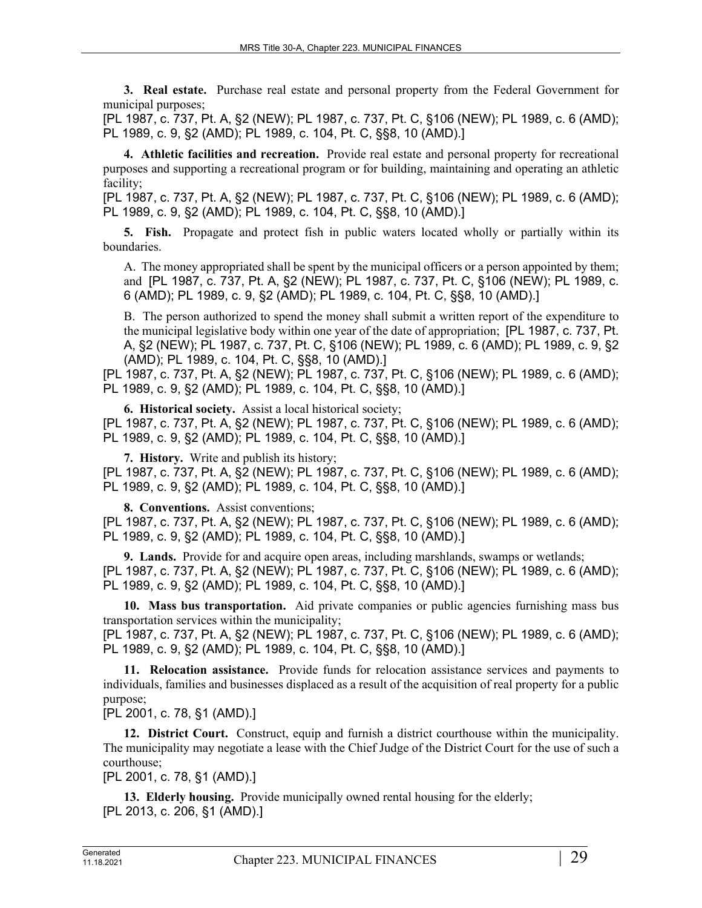**3. Real estate.** Purchase real estate and personal property from the Federal Government for municipal purposes;

[PL 1987, c. 737, Pt. A, §2 (NEW); PL 1987, c. 737, Pt. C, §106 (NEW); PL 1989, c. 6 (AMD); PL 1989, c. 9, §2 (AMD); PL 1989, c. 104, Pt. C, §§8, 10 (AMD).]

**4. Athletic facilities and recreation.** Provide real estate and personal property for recreational purposes and supporting a recreational program or for building, maintaining and operating an athletic facility;

[PL 1987, c. 737, Pt. A, §2 (NEW); PL 1987, c. 737, Pt. C, §106 (NEW); PL 1989, c. 6 (AMD); PL 1989, c. 9, §2 (AMD); PL 1989, c. 104, Pt. C, §§8, 10 (AMD).]

**5. Fish.** Propagate and protect fish in public waters located wholly or partially within its boundaries.

A. The money appropriated shall be spent by the municipal officers or a person appointed by them; and [PL 1987, c. 737, Pt. A, §2 (NEW); PL 1987, c. 737, Pt. C, §106 (NEW); PL 1989, c. 6 (AMD); PL 1989, c. 9, §2 (AMD); PL 1989, c. 104, Pt. C, §§8, 10 (AMD).]

B. The person authorized to spend the money shall submit a written report of the expenditure to the municipal legislative body within one year of the date of appropriation; [PL 1987, c. 737, Pt. A, §2 (NEW); PL 1987, c. 737, Pt. C, §106 (NEW); PL 1989, c. 6 (AMD); PL 1989, c. 9, §2 (AMD); PL 1989, c. 104, Pt. C, §§8, 10 (AMD).]

[PL 1987, c. 737, Pt. A, §2 (NEW); PL 1987, c. 737, Pt. C, §106 (NEW); PL 1989, c. 6 (AMD); PL 1989, c. 9, §2 (AMD); PL 1989, c. 104, Pt. C, §§8, 10 (AMD).]

**6. Historical society.** Assist a local historical society;

[PL 1987, c. 737, Pt. A, §2 (NEW); PL 1987, c. 737, Pt. C, §106 (NEW); PL 1989, c. 6 (AMD); PL 1989, c. 9, §2 (AMD); PL 1989, c. 104, Pt. C, §§8, 10 (AMD).]

**7. History.** Write and publish its history;

[PL 1987, c. 737, Pt. A, §2 (NEW); PL 1987, c. 737, Pt. C, §106 (NEW); PL 1989, c. 6 (AMD); PL 1989, c. 9, §2 (AMD); PL 1989, c. 104, Pt. C, §§8, 10 (AMD).]

**8. Conventions.** Assist conventions;

[PL 1987, c. 737, Pt. A, §2 (NEW); PL 1987, c. 737, Pt. C, §106 (NEW); PL 1989, c. 6 (AMD); PL 1989, c. 9, §2 (AMD); PL 1989, c. 104, Pt. C, §§8, 10 (AMD).]

**9. Lands.** Provide for and acquire open areas, including marshlands, swamps or wetlands; [PL 1987, c. 737, Pt. A, §2 (NEW); PL 1987, c. 737, Pt. C, §106 (NEW); PL 1989, c. 6 (AMD); PL 1989, c. 9, §2 (AMD); PL 1989, c. 104, Pt. C, §§8, 10 (AMD).]

**10. Mass bus transportation.** Aid private companies or public agencies furnishing mass bus transportation services within the municipality;

[PL 1987, c. 737, Pt. A, §2 (NEW); PL 1987, c. 737, Pt. C, §106 (NEW); PL 1989, c. 6 (AMD); PL 1989, c. 9, §2 (AMD); PL 1989, c. 104, Pt. C, §§8, 10 (AMD).]

**11. Relocation assistance.** Provide funds for relocation assistance services and payments to individuals, families and businesses displaced as a result of the acquisition of real property for a public purpose;

[PL 2001, c. 78, §1 (AMD).]

**12. District Court.** Construct, equip and furnish a district courthouse within the municipality. The municipality may negotiate a lease with the Chief Judge of the District Court for the use of such a courthouse;

[PL 2001, c. 78, §1 (AMD).]

**13. Elderly housing.** Provide municipally owned rental housing for the elderly; [PL 2013, c. 206, §1 (AMD).]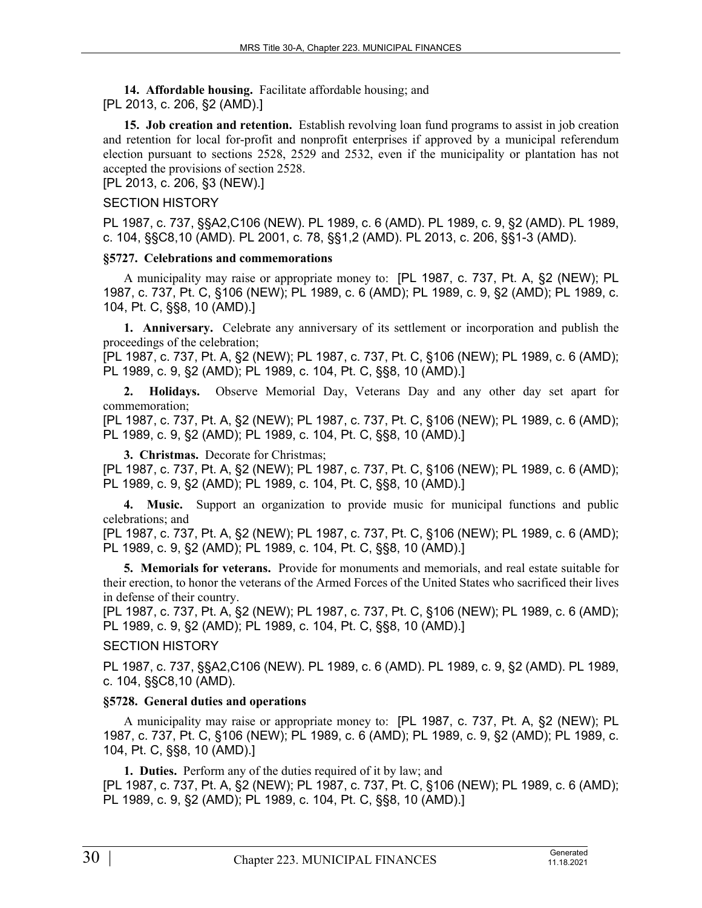**14. Affordable housing.** Facilitate affordable housing; and [PL 2013, c. 206, §2 (AMD).]

**15. Job creation and retention.** Establish revolving loan fund programs to assist in job creation and retention for local for-profit and nonprofit enterprises if approved by a municipal referendum election pursuant to sections 2528, 2529 and 2532, even if the municipality or plantation has not accepted the provisions of section 2528.

[PL 2013, c. 206, §3 (NEW).]

#### SECTION HISTORY

PL 1987, c. 737, §§A2,C106 (NEW). PL 1989, c. 6 (AMD). PL 1989, c. 9, §2 (AMD). PL 1989, c. 104, §§C8,10 (AMD). PL 2001, c. 78, §§1,2 (AMD). PL 2013, c. 206, §§1-3 (AMD).

### **§5727. Celebrations and commemorations**

A municipality may raise or appropriate money to: [PL 1987, c. 737, Pt. A, §2 (NEW); PL 1987, c. 737, Pt. C, §106 (NEW); PL 1989, c. 6 (AMD); PL 1989, c. 9, §2 (AMD); PL 1989, c. 104, Pt. C, §§8, 10 (AMD).]

**1. Anniversary.** Celebrate any anniversary of its settlement or incorporation and publish the proceedings of the celebration;

[PL 1987, c. 737, Pt. A, §2 (NEW); PL 1987, c. 737, Pt. C, §106 (NEW); PL 1989, c. 6 (AMD); PL 1989, c. 9, §2 (AMD); PL 1989, c. 104, Pt. C, §§8, 10 (AMD).]

**2. Holidays.** Observe Memorial Day, Veterans Day and any other day set apart for commemoration;

[PL 1987, c. 737, Pt. A, §2 (NEW); PL 1987, c. 737, Pt. C, §106 (NEW); PL 1989, c. 6 (AMD); PL 1989, c. 9, §2 (AMD); PL 1989, c. 104, Pt. C, §§8, 10 (AMD).]

**3. Christmas.** Decorate for Christmas;

[PL 1987, c. 737, Pt. A, §2 (NEW); PL 1987, c. 737, Pt. C, §106 (NEW); PL 1989, c. 6 (AMD); PL 1989, c. 9, §2 (AMD); PL 1989, c. 104, Pt. C, §§8, 10 (AMD).]

**4. Music.** Support an organization to provide music for municipal functions and public celebrations; and

[PL 1987, c. 737, Pt. A, §2 (NEW); PL 1987, c. 737, Pt. C, §106 (NEW); PL 1989, c. 6 (AMD); PL 1989, c. 9, §2 (AMD); PL 1989, c. 104, Pt. C, §§8, 10 (AMD).]

**5. Memorials for veterans.** Provide for monuments and memorials, and real estate suitable for their erection, to honor the veterans of the Armed Forces of the United States who sacrificed their lives in defense of their country.

[PL 1987, c. 737, Pt. A, §2 (NEW); PL 1987, c. 737, Pt. C, §106 (NEW); PL 1989, c. 6 (AMD); PL 1989, c. 9, §2 (AMD); PL 1989, c. 104, Pt. C, §§8, 10 (AMD).]

### SECTION HISTORY

PL 1987, c. 737, §§A2,C106 (NEW). PL 1989, c. 6 (AMD). PL 1989, c. 9, §2 (AMD). PL 1989, c. 104, §§C8,10 (AMD).

### **§5728. General duties and operations**

A municipality may raise or appropriate money to: [PL 1987, c. 737, Pt. A, §2 (NEW); PL 1987, c. 737, Pt. C, §106 (NEW); PL 1989, c. 6 (AMD); PL 1989, c. 9, §2 (AMD); PL 1989, c. 104, Pt. C, §§8, 10 (AMD).]

**1. Duties.** Perform any of the duties required of it by law; and [PL 1987, c. 737, Pt. A, §2 (NEW); PL 1987, c. 737, Pt. C, §106 (NEW); PL 1989, c. 6 (AMD); PL 1989, c. 9, §2 (AMD); PL 1989, c. 104, Pt. C, §§8, 10 (AMD).]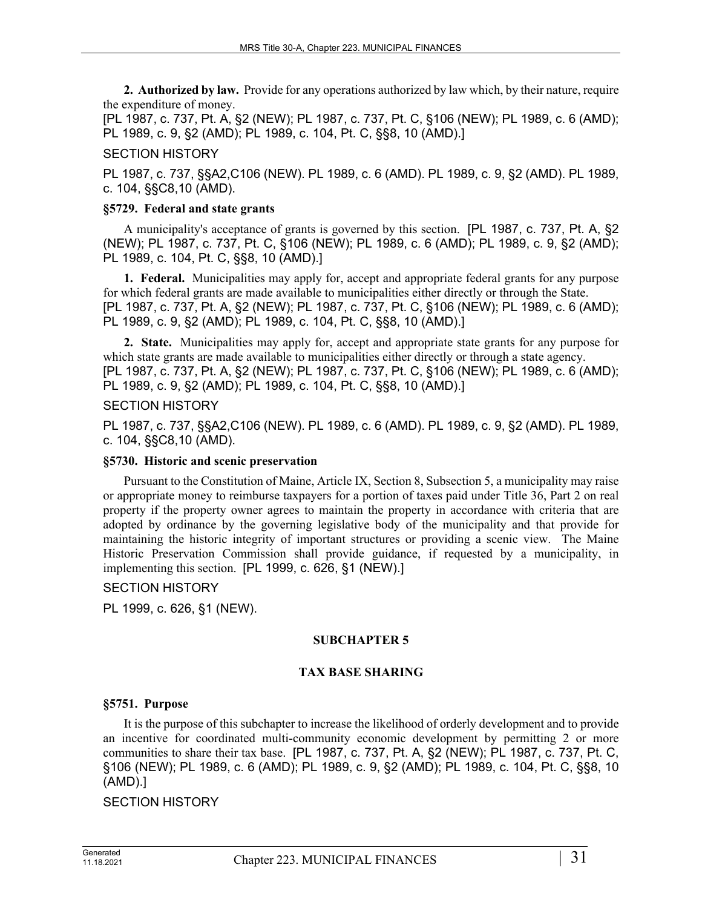**2. Authorized by law.** Provide for any operations authorized by law which, by their nature, require the expenditure of money.

[PL 1987, c. 737, Pt. A, §2 (NEW); PL 1987, c. 737, Pt. C, §106 (NEW); PL 1989, c. 6 (AMD); PL 1989, c. 9, §2 (AMD); PL 1989, c. 104, Pt. C, §§8, 10 (AMD).]

### SECTION HISTORY

PL 1987, c. 737, §§A2,C106 (NEW). PL 1989, c. 6 (AMD). PL 1989, c. 9, §2 (AMD). PL 1989, c. 104, §§C8,10 (AMD).

### **§5729. Federal and state grants**

A municipality's acceptance of grants is governed by this section. [PL 1987, c. 737, Pt. A, §2 (NEW); PL 1987, c. 737, Pt. C, §106 (NEW); PL 1989, c. 6 (AMD); PL 1989, c. 9, §2 (AMD); PL 1989, c. 104, Pt. C, §§8, 10 (AMD).]

**1. Federal.** Municipalities may apply for, accept and appropriate federal grants for any purpose for which federal grants are made available to municipalities either directly or through the State. [PL 1987, c. 737, Pt. A, §2 (NEW); PL 1987, c. 737, Pt. C, §106 (NEW); PL 1989, c. 6 (AMD); PL 1989, c. 9, §2 (AMD); PL 1989, c. 104, Pt. C, §§8, 10 (AMD).]

**2. State.** Municipalities may apply for, accept and appropriate state grants for any purpose for which state grants are made available to municipalities either directly or through a state agency. [PL 1987, c. 737, Pt. A, §2 (NEW); PL 1987, c. 737, Pt. C, §106 (NEW); PL 1989, c. 6 (AMD); PL 1989, c. 9, §2 (AMD); PL 1989, c. 104, Pt. C, §§8, 10 (AMD).]

### SECTION HISTORY

PL 1987, c. 737, §§A2,C106 (NEW). PL 1989, c. 6 (AMD). PL 1989, c. 9, §2 (AMD). PL 1989, c. 104, §§C8,10 (AMD).

### **§5730. Historic and scenic preservation**

Pursuant to the Constitution of Maine, Article IX, Section 8, Subsection 5, a municipality may raise or appropriate money to reimburse taxpayers for a portion of taxes paid under Title 36, Part 2 on real property if the property owner agrees to maintain the property in accordance with criteria that are adopted by ordinance by the governing legislative body of the municipality and that provide for maintaining the historic integrity of important structures or providing a scenic view. The Maine Historic Preservation Commission shall provide guidance, if requested by a municipality, in implementing this section. [PL 1999, c. 626, §1 (NEW).]

### SECTION HISTORY

PL 1999, c. 626, §1 (NEW).

### **SUBCHAPTER 5**

### **TAX BASE SHARING**

### **§5751. Purpose**

It is the purpose of this subchapter to increase the likelihood of orderly development and to provide an incentive for coordinated multi-community economic development by permitting 2 or more communities to share their tax base. [PL 1987, c. 737, Pt. A, §2 (NEW); PL 1987, c. 737, Pt. C, §106 (NEW); PL 1989, c. 6 (AMD); PL 1989, c. 9, §2 (AMD); PL 1989, c. 104, Pt. C, §§8, 10 (AMD).]

### SECTION HISTORY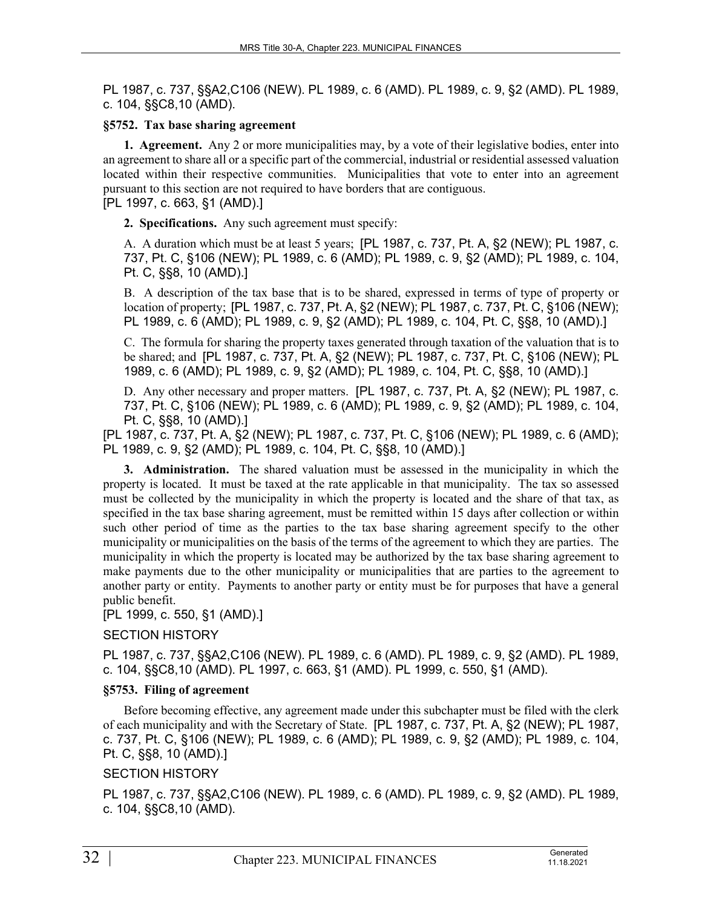PL 1987, c. 737, §§A2,C106 (NEW). PL 1989, c. 6 (AMD). PL 1989, c. 9, §2 (AMD). PL 1989, c. 104, §§C8,10 (AMD).

### **§5752. Tax base sharing agreement**

**1. Agreement.** Any 2 or more municipalities may, by a vote of their legislative bodies, enter into an agreement to share all or a specific part of the commercial, industrial or residential assessed valuation located within their respective communities. Municipalities that vote to enter into an agreement pursuant to this section are not required to have borders that are contiguous.

[PL 1997, c. 663, §1 (AMD).]

**2. Specifications.** Any such agreement must specify:

A. A duration which must be at least 5 years; [PL 1987, c. 737, Pt. A, §2 (NEW); PL 1987, c. 737, Pt. C, §106 (NEW); PL 1989, c. 6 (AMD); PL 1989, c. 9, §2 (AMD); PL 1989, c. 104, Pt. C, §§8, 10 (AMD).]

B. A description of the tax base that is to be shared, expressed in terms of type of property or location of property; [PL 1987, c. 737, Pt. A, §2 (NEW); PL 1987, c. 737, Pt. C, §106 (NEW); PL 1989, c. 6 (AMD); PL 1989, c. 9, §2 (AMD); PL 1989, c. 104, Pt. C, §§8, 10 (AMD).]

C. The formula for sharing the property taxes generated through taxation of the valuation that is to be shared; and [PL 1987, c. 737, Pt. A, §2 (NEW); PL 1987, c. 737, Pt. C, §106 (NEW); PL 1989, c. 6 (AMD); PL 1989, c. 9, §2 (AMD); PL 1989, c. 104, Pt. C, §§8, 10 (AMD).]

D. Any other necessary and proper matters. [PL 1987, c. 737, Pt. A, §2 (NEW); PL 1987, c. 737, Pt. C, §106 (NEW); PL 1989, c. 6 (AMD); PL 1989, c. 9, §2 (AMD); PL 1989, c. 104, Pt. C, §§8, 10 (AMD).]

[PL 1987, c. 737, Pt. A, §2 (NEW); PL 1987, c. 737, Pt. C, §106 (NEW); PL 1989, c. 6 (AMD); PL 1989, c. 9, §2 (AMD); PL 1989, c. 104, Pt. C, §§8, 10 (AMD).]

**3. Administration.** The shared valuation must be assessed in the municipality in which the property is located. It must be taxed at the rate applicable in that municipality. The tax so assessed must be collected by the municipality in which the property is located and the share of that tax, as specified in the tax base sharing agreement, must be remitted within 15 days after collection or within such other period of time as the parties to the tax base sharing agreement specify to the other municipality or municipalities on the basis of the terms of the agreement to which they are parties. The municipality in which the property is located may be authorized by the tax base sharing agreement to make payments due to the other municipality or municipalities that are parties to the agreement to another party or entity. Payments to another party or entity must be for purposes that have a general public benefit.

[PL 1999, c. 550, §1 (AMD).]

# SECTION HISTORY

PL 1987, c. 737, §§A2,C106 (NEW). PL 1989, c. 6 (AMD). PL 1989, c. 9, §2 (AMD). PL 1989, c. 104, §§C8,10 (AMD). PL 1997, c. 663, §1 (AMD). PL 1999, c. 550, §1 (AMD).

### **§5753. Filing of agreement**

Before becoming effective, any agreement made under this subchapter must be filed with the clerk of each municipality and with the Secretary of State. [PL 1987, c. 737, Pt. A, §2 (NEW); PL 1987, c. 737, Pt. C, §106 (NEW); PL 1989, c. 6 (AMD); PL 1989, c. 9, §2 (AMD); PL 1989, c. 104, Pt. C, §§8, 10 (AMD).]

# SECTION HISTORY

PL 1987, c. 737, §§A2,C106 (NEW). PL 1989, c. 6 (AMD). PL 1989, c. 9, §2 (AMD). PL 1989, c. 104, §§C8,10 (AMD).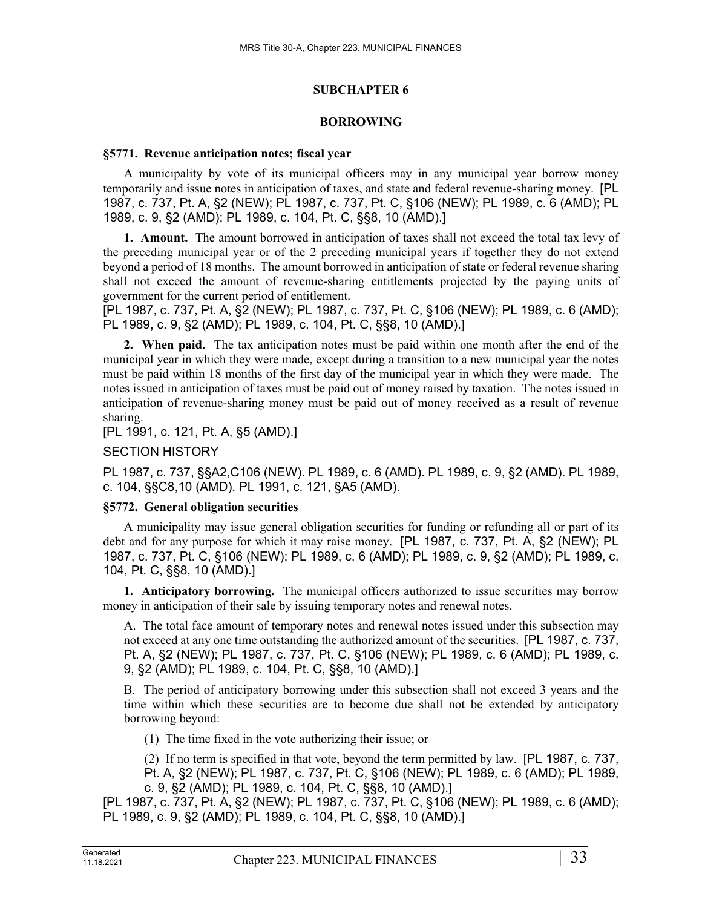### **SUBCHAPTER 6**

### **BORROWING**

#### **§5771. Revenue anticipation notes; fiscal year**

A municipality by vote of its municipal officers may in any municipal year borrow money temporarily and issue notes in anticipation of taxes, and state and federal revenue-sharing money. [PL 1987, c. 737, Pt. A, §2 (NEW); PL 1987, c. 737, Pt. C, §106 (NEW); PL 1989, c. 6 (AMD); PL 1989, c. 9, §2 (AMD); PL 1989, c. 104, Pt. C, §§8, 10 (AMD).]

**1. Amount.** The amount borrowed in anticipation of taxes shall not exceed the total tax levy of the preceding municipal year or of the 2 preceding municipal years if together they do not extend beyond a period of 18 months. The amount borrowed in anticipation of state or federal revenue sharing shall not exceed the amount of revenue-sharing entitlements projected by the paying units of government for the current period of entitlement.

[PL 1987, c. 737, Pt. A, §2 (NEW); PL 1987, c. 737, Pt. C, §106 (NEW); PL 1989, c. 6 (AMD); PL 1989, c. 9, §2 (AMD); PL 1989, c. 104, Pt. C, §§8, 10 (AMD).]

**2. When paid.** The tax anticipation notes must be paid within one month after the end of the municipal year in which they were made, except during a transition to a new municipal year the notes must be paid within 18 months of the first day of the municipal year in which they were made. The notes issued in anticipation of taxes must be paid out of money raised by taxation. The notes issued in anticipation of revenue-sharing money must be paid out of money received as a result of revenue sharing.

[PL 1991, c. 121, Pt. A, §5 (AMD).]

### SECTION HISTORY

PL 1987, c. 737, §§A2,C106 (NEW). PL 1989, c. 6 (AMD). PL 1989, c. 9, §2 (AMD). PL 1989, c. 104, §§C8,10 (AMD). PL 1991, c. 121, §A5 (AMD).

### **§5772. General obligation securities**

A municipality may issue general obligation securities for funding or refunding all or part of its debt and for any purpose for which it may raise money. [PL 1987, c. 737, Pt. A, §2 (NEW); PL 1987, c. 737, Pt. C, §106 (NEW); PL 1989, c. 6 (AMD); PL 1989, c. 9, §2 (AMD); PL 1989, c. 104, Pt. C, §§8, 10 (AMD).]

**1. Anticipatory borrowing.** The municipal officers authorized to issue securities may borrow money in anticipation of their sale by issuing temporary notes and renewal notes.

A. The total face amount of temporary notes and renewal notes issued under this subsection may not exceed at any one time outstanding the authorized amount of the securities. [PL 1987, c. 737, Pt. A, §2 (NEW); PL 1987, c. 737, Pt. C, §106 (NEW); PL 1989, c. 6 (AMD); PL 1989, c. 9, §2 (AMD); PL 1989, c. 104, Pt. C, §§8, 10 (AMD).]

B. The period of anticipatory borrowing under this subsection shall not exceed 3 years and the time within which these securities are to become due shall not be extended by anticipatory borrowing beyond:

(1) The time fixed in the vote authorizing their issue; or

(2) If no term is specified in that vote, beyond the term permitted by law. [PL 1987, c. 737, Pt. A, §2 (NEW); PL 1987, c. 737, Pt. C, §106 (NEW); PL 1989, c. 6 (AMD); PL 1989, c. 9, §2 (AMD); PL 1989, c. 104, Pt. C, §§8, 10 (AMD).]

[PL 1987, c. 737, Pt. A, §2 (NEW); PL 1987, c. 737, Pt. C, §106 (NEW); PL 1989, c. 6 (AMD); PL 1989, c. 9, §2 (AMD); PL 1989, c. 104, Pt. C, §§8, 10 (AMD).]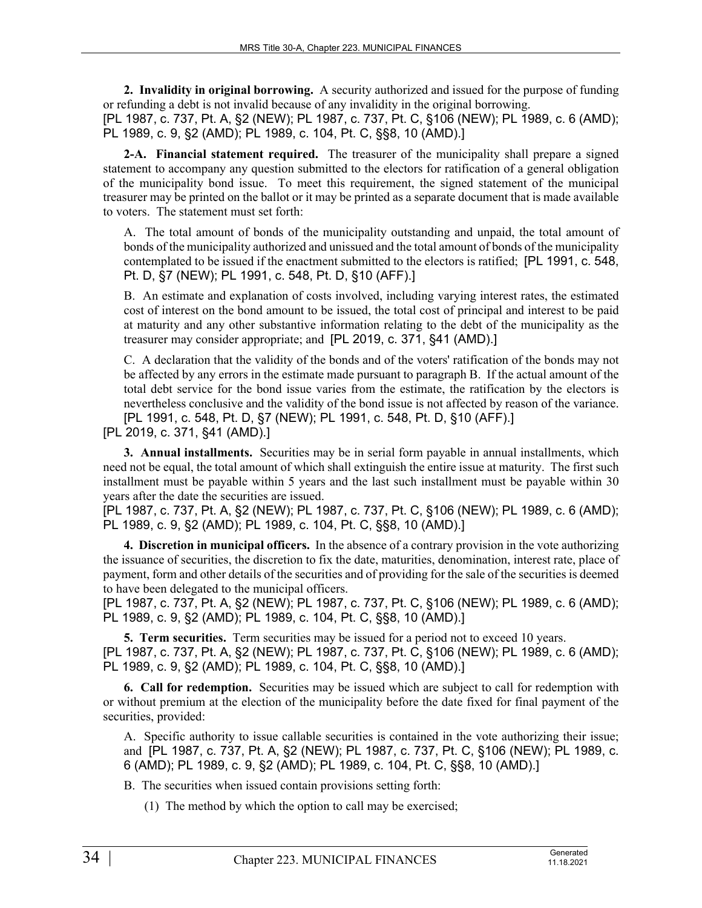**2. Invalidity in original borrowing.** A security authorized and issued for the purpose of funding or refunding a debt is not invalid because of any invalidity in the original borrowing.

[PL 1987, c. 737, Pt. A, §2 (NEW); PL 1987, c. 737, Pt. C, §106 (NEW); PL 1989, c. 6 (AMD); PL 1989, c. 9, §2 (AMD); PL 1989, c. 104, Pt. C, §§8, 10 (AMD).]

**2-A. Financial statement required.** The treasurer of the municipality shall prepare a signed statement to accompany any question submitted to the electors for ratification of a general obligation of the municipality bond issue. To meet this requirement, the signed statement of the municipal treasurer may be printed on the ballot or it may be printed as a separate document that is made available to voters. The statement must set forth:

A. The total amount of bonds of the municipality outstanding and unpaid, the total amount of bonds of the municipality authorized and unissued and the total amount of bonds of the municipality contemplated to be issued if the enactment submitted to the electors is ratified; [PL 1991, c. 548, Pt. D, §7 (NEW); PL 1991, c. 548, Pt. D, §10 (AFF).]

B. An estimate and explanation of costs involved, including varying interest rates, the estimated cost of interest on the bond amount to be issued, the total cost of principal and interest to be paid at maturity and any other substantive information relating to the debt of the municipality as the treasurer may consider appropriate; and [PL 2019, c. 371, §41 (AMD).]

C. A declaration that the validity of the bonds and of the voters' ratification of the bonds may not be affected by any errors in the estimate made pursuant to paragraph B. If the actual amount of the total debt service for the bond issue varies from the estimate, the ratification by the electors is nevertheless conclusive and the validity of the bond issue is not affected by reason of the variance. [PL 1991, c. 548, Pt. D, §7 (NEW); PL 1991, c. 548, Pt. D, §10 (AFF).]

[PL 2019, c. 371, §41 (AMD).]

**3. Annual installments.** Securities may be in serial form payable in annual installments, which need not be equal, the total amount of which shall extinguish the entire issue at maturity. The first such installment must be payable within 5 years and the last such installment must be payable within 30 years after the date the securities are issued.

[PL 1987, c. 737, Pt. A, §2 (NEW); PL 1987, c. 737, Pt. C, §106 (NEW); PL 1989, c. 6 (AMD); PL 1989, c. 9, §2 (AMD); PL 1989, c. 104, Pt. C, §§8, 10 (AMD).]

**4. Discretion in municipal officers.** In the absence of a contrary provision in the vote authorizing the issuance of securities, the discretion to fix the date, maturities, denomination, interest rate, place of payment, form and other details of the securities and of providing for the sale of the securities is deemed to have been delegated to the municipal officers.

[PL 1987, c. 737, Pt. A, §2 (NEW); PL 1987, c. 737, Pt. C, §106 (NEW); PL 1989, c. 6 (AMD); PL 1989, c. 9, §2 (AMD); PL 1989, c. 104, Pt. C, §§8, 10 (AMD).]

**5. Term securities.** Term securities may be issued for a period not to exceed 10 years. [PL 1987, c. 737, Pt. A, §2 (NEW); PL 1987, c. 737, Pt. C, §106 (NEW); PL 1989, c. 6 (AMD); PL 1989, c. 9, §2 (AMD); PL 1989, c. 104, Pt. C, §§8, 10 (AMD).]

**6. Call for redemption.** Securities may be issued which are subject to call for redemption with or without premium at the election of the municipality before the date fixed for final payment of the securities, provided:

A. Specific authority to issue callable securities is contained in the vote authorizing their issue; and [PL 1987, c. 737, Pt. A, §2 (NEW); PL 1987, c. 737, Pt. C, §106 (NEW); PL 1989, c. 6 (AMD); PL 1989, c. 9, §2 (AMD); PL 1989, c. 104, Pt. C, §§8, 10 (AMD).]

B. The securities when issued contain provisions setting forth:

(1) The method by which the option to call may be exercised;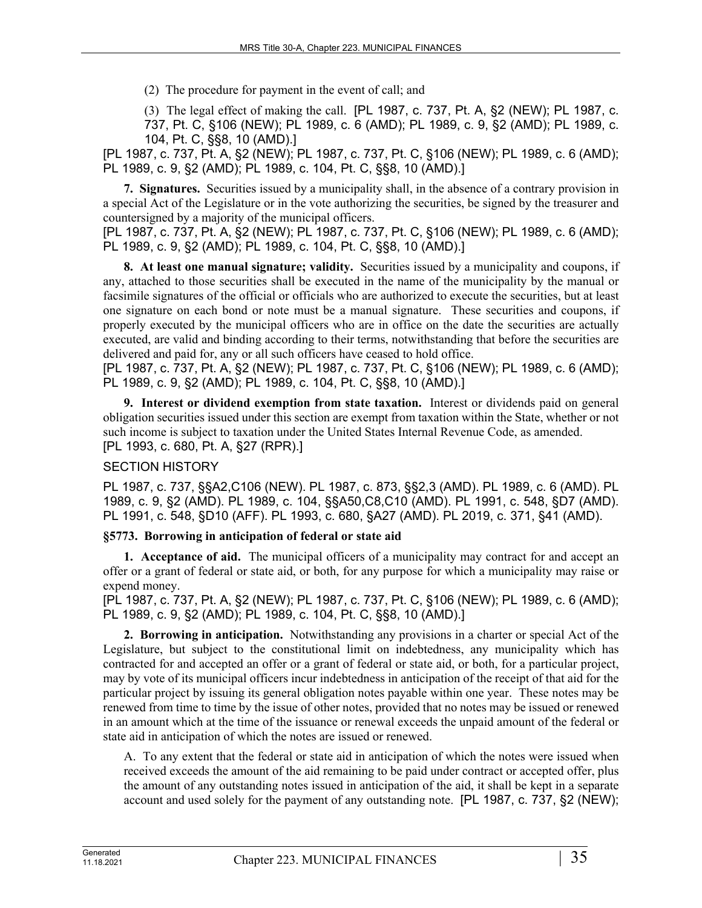(2) The procedure for payment in the event of call; and

(3) The legal effect of making the call. [PL 1987, c. 737, Pt. A, §2 (NEW); PL 1987, c. 737, Pt. C, §106 (NEW); PL 1989, c. 6 (AMD); PL 1989, c. 9, §2 (AMD); PL 1989, c. 104, Pt. C, §§8, 10 (AMD).]

[PL 1987, c. 737, Pt. A, §2 (NEW); PL 1987, c. 737, Pt. C, §106 (NEW); PL 1989, c. 6 (AMD); PL 1989, c. 9, §2 (AMD); PL 1989, c. 104, Pt. C, §§8, 10 (AMD).]

**7. Signatures.** Securities issued by a municipality shall, in the absence of a contrary provision in a special Act of the Legislature or in the vote authorizing the securities, be signed by the treasurer and countersigned by a majority of the municipal officers.

[PL 1987, c. 737, Pt. A, §2 (NEW); PL 1987, c. 737, Pt. C, §106 (NEW); PL 1989, c. 6 (AMD); PL 1989, c. 9, §2 (AMD); PL 1989, c. 104, Pt. C, §§8, 10 (AMD).]

**8. At least one manual signature; validity.** Securities issued by a municipality and coupons, if any, attached to those securities shall be executed in the name of the municipality by the manual or facsimile signatures of the official or officials who are authorized to execute the securities, but at least one signature on each bond or note must be a manual signature. These securities and coupons, if properly executed by the municipal officers who are in office on the date the securities are actually executed, are valid and binding according to their terms, notwithstanding that before the securities are delivered and paid for, any or all such officers have ceased to hold office.

[PL 1987, c. 737, Pt. A, §2 (NEW); PL 1987, c. 737, Pt. C, §106 (NEW); PL 1989, c. 6 (AMD); PL 1989, c. 9, §2 (AMD); PL 1989, c. 104, Pt. C, §§8, 10 (AMD).]

**9. Interest or dividend exemption from state taxation.** Interest or dividends paid on general obligation securities issued under this section are exempt from taxation within the State, whether or not such income is subject to taxation under the United States Internal Revenue Code, as amended. [PL 1993, c. 680, Pt. A, §27 (RPR).]

# SECTION HISTORY

PL 1987, c. 737, §§A2,C106 (NEW). PL 1987, c. 873, §§2,3 (AMD). PL 1989, c. 6 (AMD). PL 1989, c. 9, §2 (AMD). PL 1989, c. 104, §§A50,C8,C10 (AMD). PL 1991, c. 548, §D7 (AMD). PL 1991, c. 548, §D10 (AFF). PL 1993, c. 680, §A27 (AMD). PL 2019, c. 371, §41 (AMD).

### **§5773. Borrowing in anticipation of federal or state aid**

**1. Acceptance of aid.** The municipal officers of a municipality may contract for and accept an offer or a grant of federal or state aid, or both, for any purpose for which a municipality may raise or expend money.

[PL 1987, c. 737, Pt. A, §2 (NEW); PL 1987, c. 737, Pt. C, §106 (NEW); PL 1989, c. 6 (AMD); PL 1989, c. 9, §2 (AMD); PL 1989, c. 104, Pt. C, §§8, 10 (AMD).]

**2. Borrowing in anticipation.** Notwithstanding any provisions in a charter or special Act of the Legislature, but subject to the constitutional limit on indebtedness, any municipality which has contracted for and accepted an offer or a grant of federal or state aid, or both, for a particular project, may by vote of its municipal officers incur indebtedness in anticipation of the receipt of that aid for the particular project by issuing its general obligation notes payable within one year. These notes may be renewed from time to time by the issue of other notes, provided that no notes may be issued or renewed in an amount which at the time of the issuance or renewal exceeds the unpaid amount of the federal or state aid in anticipation of which the notes are issued or renewed.

A. To any extent that the federal or state aid in anticipation of which the notes were issued when received exceeds the amount of the aid remaining to be paid under contract or accepted offer, plus the amount of any outstanding notes issued in anticipation of the aid, it shall be kept in a separate account and used solely for the payment of any outstanding note. [PL 1987, c. 737, §2 (NEW);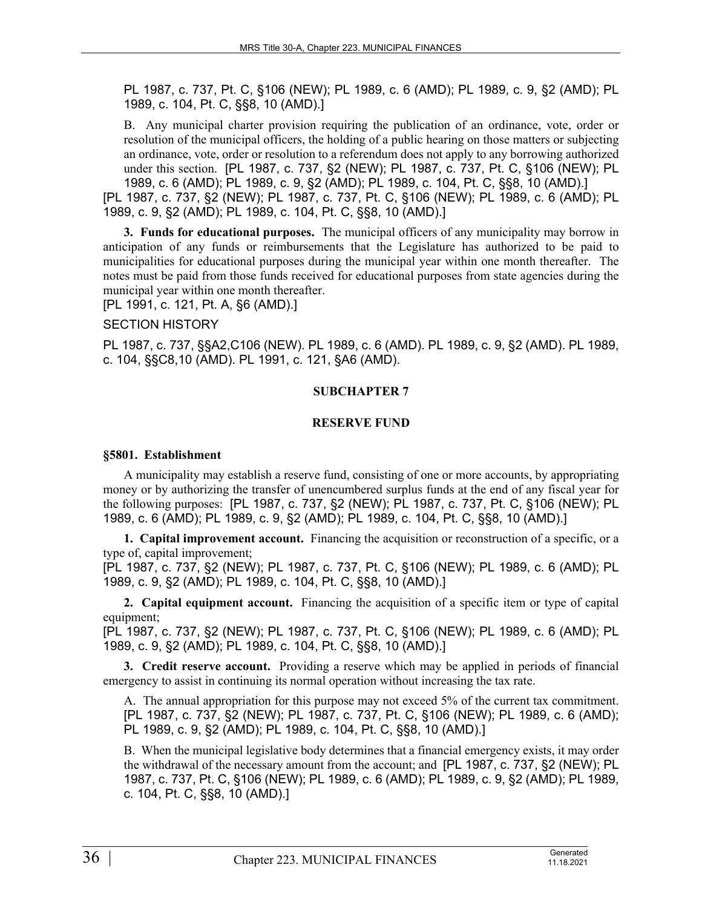PL 1987, c. 737, Pt. C, §106 (NEW); PL 1989, c. 6 (AMD); PL 1989, c. 9, §2 (AMD); PL 1989, c. 104, Pt. C, §§8, 10 (AMD).]

B. Any municipal charter provision requiring the publication of an ordinance, vote, order or resolution of the municipal officers, the holding of a public hearing on those matters or subjecting an ordinance, vote, order or resolution to a referendum does not apply to any borrowing authorized under this section. [PL 1987, c. 737, §2 (NEW); PL 1987, c. 737, Pt. C, §106 (NEW); PL 1989, c. 6 (AMD); PL 1989, c. 9, §2 (AMD); PL 1989, c. 104, Pt. C, §§8, 10 (AMD).]

[PL 1987, c. 737, §2 (NEW); PL 1987, c. 737, Pt. C, §106 (NEW); PL 1989, c. 6 (AMD); PL 1989, c. 9, §2 (AMD); PL 1989, c. 104, Pt. C, §§8, 10 (AMD).]

**3. Funds for educational purposes.** The municipal officers of any municipality may borrow in anticipation of any funds or reimbursements that the Legislature has authorized to be paid to municipalities for educational purposes during the municipal year within one month thereafter. The notes must be paid from those funds received for educational purposes from state agencies during the municipal year within one month thereafter.

[PL 1991, c. 121, Pt. A, §6 (AMD).]

#### SECTION HISTORY

PL 1987, c. 737, §§A2,C106 (NEW). PL 1989, c. 6 (AMD). PL 1989, c. 9, §2 (AMD). PL 1989, c. 104, §§C8,10 (AMD). PL 1991, c. 121, §A6 (AMD).

### **SUBCHAPTER 7**

#### **RESERVE FUND**

#### **§5801. Establishment**

A municipality may establish a reserve fund, consisting of one or more accounts, by appropriating money or by authorizing the transfer of unencumbered surplus funds at the end of any fiscal year for the following purposes: [PL 1987, c. 737, §2 (NEW); PL 1987, c. 737, Pt. C, §106 (NEW); PL 1989, c. 6 (AMD); PL 1989, c. 9, §2 (AMD); PL 1989, c. 104, Pt. C, §§8, 10 (AMD).]

**1. Capital improvement account.** Financing the acquisition or reconstruction of a specific, or a type of, capital improvement;

[PL 1987, c. 737, §2 (NEW); PL 1987, c. 737, Pt. C, §106 (NEW); PL 1989, c. 6 (AMD); PL 1989, c. 9, §2 (AMD); PL 1989, c. 104, Pt. C, §§8, 10 (AMD).]

**2. Capital equipment account.** Financing the acquisition of a specific item or type of capital equipment;

[PL 1987, c. 737, §2 (NEW); PL 1987, c. 737, Pt. C, §106 (NEW); PL 1989, c. 6 (AMD); PL 1989, c. 9, §2 (AMD); PL 1989, c. 104, Pt. C, §§8, 10 (AMD).]

**3. Credit reserve account.** Providing a reserve which may be applied in periods of financial emergency to assist in continuing its normal operation without increasing the tax rate.

A. The annual appropriation for this purpose may not exceed 5% of the current tax commitment. [PL 1987, c. 737, §2 (NEW); PL 1987, c. 737, Pt. C, §106 (NEW); PL 1989, c. 6 (AMD); PL 1989, c. 9, §2 (AMD); PL 1989, c. 104, Pt. C, §§8, 10 (AMD).]

B. When the municipal legislative body determines that a financial emergency exists, it may order the withdrawal of the necessary amount from the account; and [PL 1987, c. 737, §2 (NEW); PL 1987, c. 737, Pt. C, §106 (NEW); PL 1989, c. 6 (AMD); PL 1989, c. 9, §2 (AMD); PL 1989, c. 104, Pt. C, §§8, 10 (AMD).]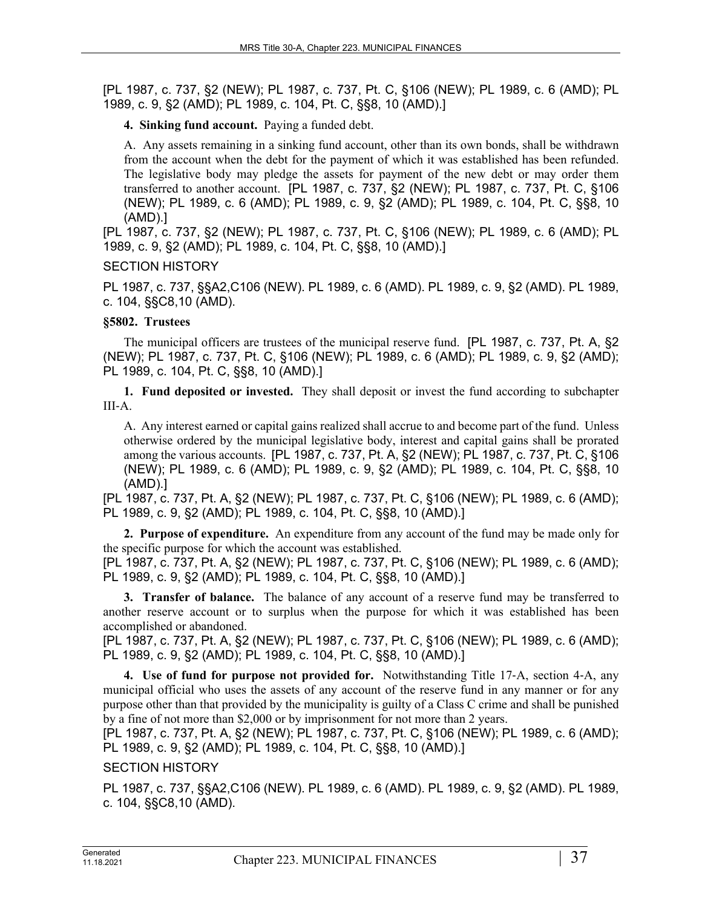**4. Sinking fund account.** Paying a funded debt.

A. Any assets remaining in a sinking fund account, other than its own bonds, shall be withdrawn from the account when the debt for the payment of which it was established has been refunded. The legislative body may pledge the assets for payment of the new debt or may order them transferred to another account. [PL 1987, c. 737, §2 (NEW); PL 1987, c. 737, Pt. C, §106 (NEW); PL 1989, c. 6 (AMD); PL 1989, c. 9, §2 (AMD); PL 1989, c. 104, Pt. C, §§8, 10 (AMD).]

[PL 1987, c. 737, §2 (NEW); PL 1987, c. 737, Pt. C, §106 (NEW); PL 1989, c. 6 (AMD); PL 1989, c. 9, §2 (AMD); PL 1989, c. 104, Pt. C, §§8, 10 (AMD).]

### SECTION HISTORY

PL 1987, c. 737, §§A2,C106 (NEW). PL 1989, c. 6 (AMD). PL 1989, c. 9, §2 (AMD). PL 1989, c. 104, §§C8,10 (AMD).

# **§5802. Trustees**

The municipal officers are trustees of the municipal reserve fund. [PL 1987, c. 737, Pt. A, §2 (NEW); PL 1987, c. 737, Pt. C, §106 (NEW); PL 1989, c. 6 (AMD); PL 1989, c. 9, §2 (AMD); PL 1989, c. 104, Pt. C, §§8, 10 (AMD).]

**1. Fund deposited or invested.** They shall deposit or invest the fund according to subchapter  $III - A$ 

A. Any interest earned or capital gains realized shall accrue to and become part of the fund. Unless otherwise ordered by the municipal legislative body, interest and capital gains shall be prorated among the various accounts. [PL 1987, c. 737, Pt. A, §2 (NEW); PL 1987, c. 737, Pt. C, §106 (NEW); PL 1989, c. 6 (AMD); PL 1989, c. 9, §2 (AMD); PL 1989, c. 104, Pt. C, §§8, 10 (AMD).]

[PL 1987, c. 737, Pt. A, §2 (NEW); PL 1987, c. 737, Pt. C, §106 (NEW); PL 1989, c. 6 (AMD); PL 1989, c. 9, §2 (AMD); PL 1989, c. 104, Pt. C, §§8, 10 (AMD).]

**2. Purpose of expenditure.** An expenditure from any account of the fund may be made only for the specific purpose for which the account was established.

[PL 1987, c. 737, Pt. A, §2 (NEW); PL 1987, c. 737, Pt. C, §106 (NEW); PL 1989, c. 6 (AMD); PL 1989, c. 9, §2 (AMD); PL 1989, c. 104, Pt. C, §§8, 10 (AMD).]

**3. Transfer of balance.** The balance of any account of a reserve fund may be transferred to another reserve account or to surplus when the purpose for which it was established has been accomplished or abandoned.

[PL 1987, c. 737, Pt. A, §2 (NEW); PL 1987, c. 737, Pt. C, §106 (NEW); PL 1989, c. 6 (AMD); PL 1989, c. 9, §2 (AMD); PL 1989, c. 104, Pt. C, §§8, 10 (AMD).]

**4. Use of fund for purpose not provided for.** Notwithstanding Title 17‑A, section 4‑A, any municipal official who uses the assets of any account of the reserve fund in any manner or for any purpose other than that provided by the municipality is guilty of a Class C crime and shall be punished by a fine of not more than \$2,000 or by imprisonment for not more than 2 years.

[PL 1987, c. 737, Pt. A, §2 (NEW); PL 1987, c. 737, Pt. C, §106 (NEW); PL 1989, c. 6 (AMD); PL 1989, c. 9, §2 (AMD); PL 1989, c. 104, Pt. C, §§8, 10 (AMD).]

# SECTION HISTORY

PL 1987, c. 737, §§A2,C106 (NEW). PL 1989, c. 6 (AMD). PL 1989, c. 9, §2 (AMD). PL 1989, c. 104, §§C8,10 (AMD).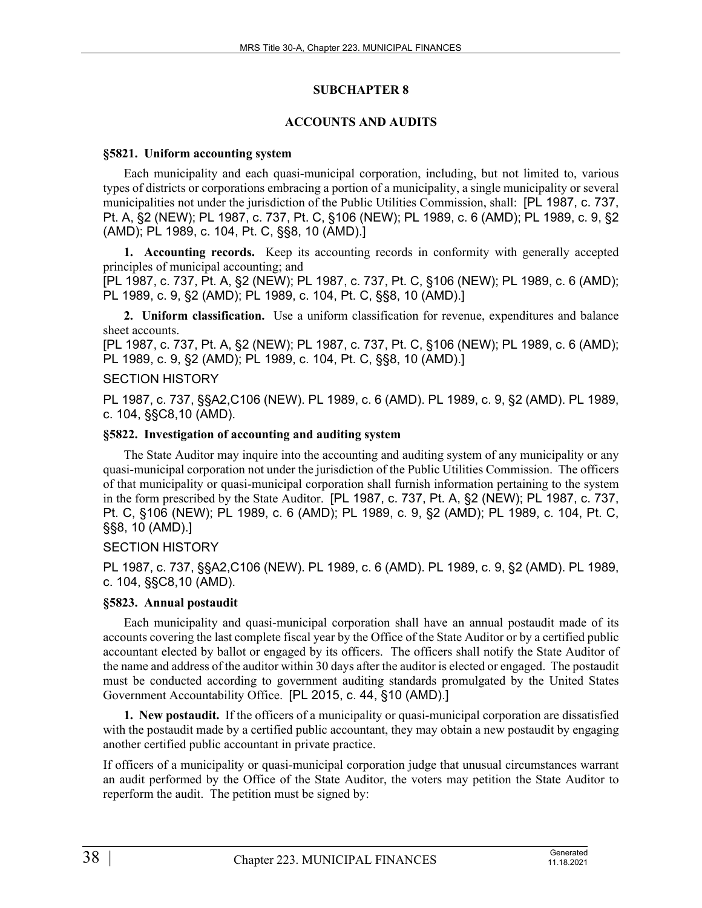### **SUBCHAPTER 8**

### **ACCOUNTS AND AUDITS**

### **§5821. Uniform accounting system**

Each municipality and each quasi-municipal corporation, including, but not limited to, various types of districts or corporations embracing a portion of a municipality, a single municipality or several municipalities not under the jurisdiction of the Public Utilities Commission, shall: [PL 1987, c. 737, Pt. A, §2 (NEW); PL 1987, c. 737, Pt. C, §106 (NEW); PL 1989, c. 6 (AMD); PL 1989, c. 9, §2 (AMD); PL 1989, c. 104, Pt. C, §§8, 10 (AMD).]

**1. Accounting records.** Keep its accounting records in conformity with generally accepted principles of municipal accounting; and

[PL 1987, c. 737, Pt. A, §2 (NEW); PL 1987, c. 737, Pt. C, §106 (NEW); PL 1989, c. 6 (AMD); PL 1989, c. 9, §2 (AMD); PL 1989, c. 104, Pt. C, §§8, 10 (AMD).]

**2. Uniform classification.** Use a uniform classification for revenue, expenditures and balance sheet accounts.

[PL 1987, c. 737, Pt. A, §2 (NEW); PL 1987, c. 737, Pt. C, §106 (NEW); PL 1989, c. 6 (AMD); PL 1989, c. 9, §2 (AMD); PL 1989, c. 104, Pt. C, §§8, 10 (AMD).]

### SECTION HISTORY

PL 1987, c. 737, §§A2,C106 (NEW). PL 1989, c. 6 (AMD). PL 1989, c. 9, §2 (AMD). PL 1989, c. 104, §§C8,10 (AMD).

### **§5822. Investigation of accounting and auditing system**

The State Auditor may inquire into the accounting and auditing system of any municipality or any quasi-municipal corporation not under the jurisdiction of the Public Utilities Commission. The officers of that municipality or quasi-municipal corporation shall furnish information pertaining to the system in the form prescribed by the State Auditor. [PL 1987, c. 737, Pt. A, §2 (NEW); PL 1987, c. 737, Pt. C, §106 (NEW); PL 1989, c. 6 (AMD); PL 1989, c. 9, §2 (AMD); PL 1989, c. 104, Pt. C, §§8, 10 (AMD).]

# SECTION HISTORY

PL 1987, c. 737, §§A2,C106 (NEW). PL 1989, c. 6 (AMD). PL 1989, c. 9, §2 (AMD). PL 1989, c. 104, §§C8,10 (AMD).

# **§5823. Annual postaudit**

Each municipality and quasi-municipal corporation shall have an annual postaudit made of its accounts covering the last complete fiscal year by the Office of the State Auditor or by a certified public accountant elected by ballot or engaged by its officers. The officers shall notify the State Auditor of the name and address of the auditor within 30 days after the auditor is elected or engaged. The postaudit must be conducted according to government auditing standards promulgated by the United States Government Accountability Office. [PL 2015, c. 44, §10 (AMD).]

**1. New postaudit.** If the officers of a municipality or quasi-municipal corporation are dissatisfied with the postaudit made by a certified public accountant, they may obtain a new postaudit by engaging another certified public accountant in private practice.

If officers of a municipality or quasi-municipal corporation judge that unusual circumstances warrant an audit performed by the Office of the State Auditor, the voters may petition the State Auditor to reperform the audit. The petition must be signed by: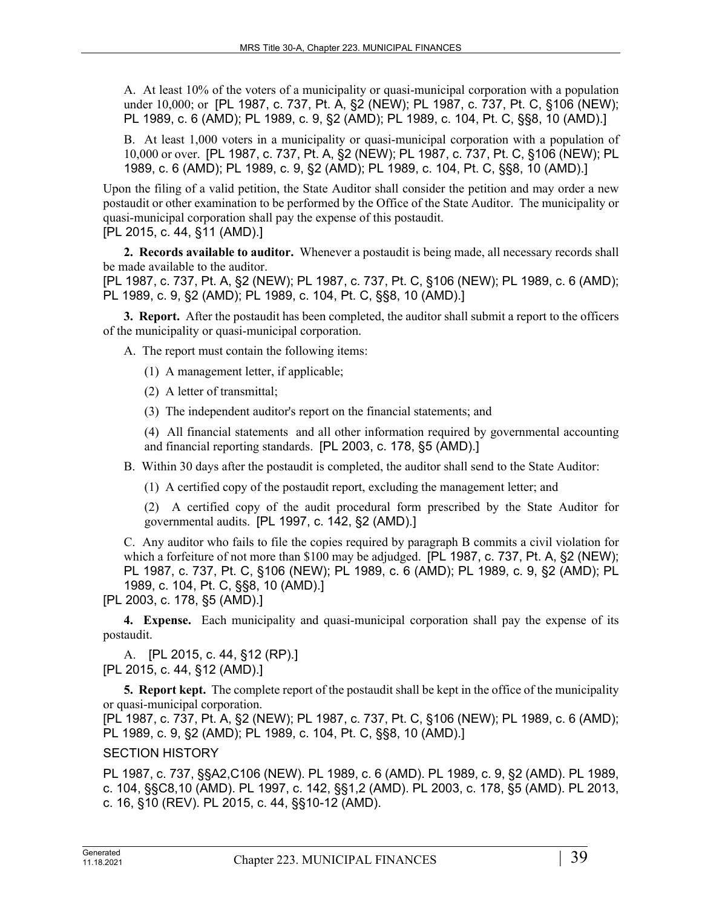A. At least 10% of the voters of a municipality or quasi-municipal corporation with a population under 10,000; or [PL 1987, c. 737, Pt. A, §2 (NEW); PL 1987, c. 737, Pt. C, §106 (NEW); PL 1989, c. 6 (AMD); PL 1989, c. 9, §2 (AMD); PL 1989, c. 104, Pt. C, §§8, 10 (AMD).]

B. At least 1,000 voters in a municipality or quasi-municipal corporation with a population of 10,000 or over. [PL 1987, c. 737, Pt. A, §2 (NEW); PL 1987, c. 737, Pt. C, §106 (NEW); PL 1989, c. 6 (AMD); PL 1989, c. 9, §2 (AMD); PL 1989, c. 104, Pt. C, §§8, 10 (AMD).]

Upon the filing of a valid petition, the State Auditor shall consider the petition and may order a new postaudit or other examination to be performed by the Office of the State Auditor. The municipality or quasi-municipal corporation shall pay the expense of this postaudit.

[PL 2015, c. 44, §11 (AMD).]

**2. Records available to auditor.** Whenever a postaudit is being made, all necessary records shall be made available to the auditor.

[PL 1987, c. 737, Pt. A, §2 (NEW); PL 1987, c. 737, Pt. C, §106 (NEW); PL 1989, c. 6 (AMD); PL 1989, c. 9, §2 (AMD); PL 1989, c. 104, Pt. C, §§8, 10 (AMD).]

**3. Report.** After the postaudit has been completed, the auditor shall submit a report to the officers of the municipality or quasi-municipal corporation.

A. The report must contain the following items:

- (1) A management letter, if applicable;
- (2) A letter of transmittal;
- (3) The independent auditor's report on the financial statements; and

(4) All financial statements and all other information required by governmental accounting and financial reporting standards. [PL 2003, c. 178, §5 (AMD).]

B. Within 30 days after the postaudit is completed, the auditor shall send to the State Auditor:

(1) A certified copy of the postaudit report, excluding the management letter; and

(2) A certified copy of the audit procedural form prescribed by the State Auditor for governmental audits. [PL 1997, c. 142, §2 (AMD).]

C. Any auditor who fails to file the copies required by paragraph B commits a civil violation for which a forfeiture of not more than \$100 may be adjudged. [PL 1987, c. 737, Pt. A, §2 (NEW); PL 1987, c. 737, Pt. C, §106 (NEW); PL 1989, c. 6 (AMD); PL 1989, c. 9, §2 (AMD); PL 1989, c. 104, Pt. C, §§8, 10 (AMD).]

[PL 2003, c. 178, §5 (AMD).]

**4. Expense.** Each municipality and quasi-municipal corporation shall pay the expense of its postaudit.

A. [PL 2015, c. 44, §12 (RP).] [PL 2015, c. 44, §12 (AMD).]

**5. Report kept.** The complete report of the postaudit shall be kept in the office of the municipality or quasi-municipal corporation.

[PL 1987, c. 737, Pt. A, §2 (NEW); PL 1987, c. 737, Pt. C, §106 (NEW); PL 1989, c. 6 (AMD); PL 1989, c. 9, §2 (AMD); PL 1989, c. 104, Pt. C, §§8, 10 (AMD).]

### SECTION HISTORY

PL 1987, c. 737, §§A2,C106 (NEW). PL 1989, c. 6 (AMD). PL 1989, c. 9, §2 (AMD). PL 1989, c. 104, §§C8,10 (AMD). PL 1997, c. 142, §§1,2 (AMD). PL 2003, c. 178, §5 (AMD). PL 2013, c. 16, §10 (REV). PL 2015, c. 44, §§10-12 (AMD).